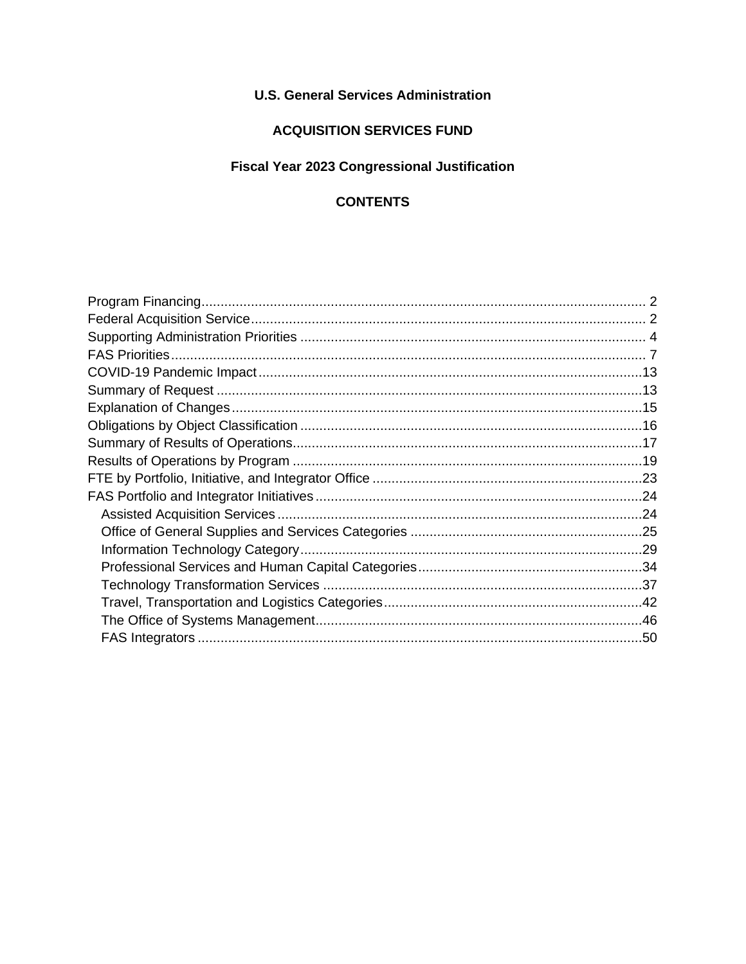## **U.S. General Services Administration**

# **ACQUISITION SERVICES FUND**

# Fiscal Year 2023 Congressional Justification

## **CONTENTS**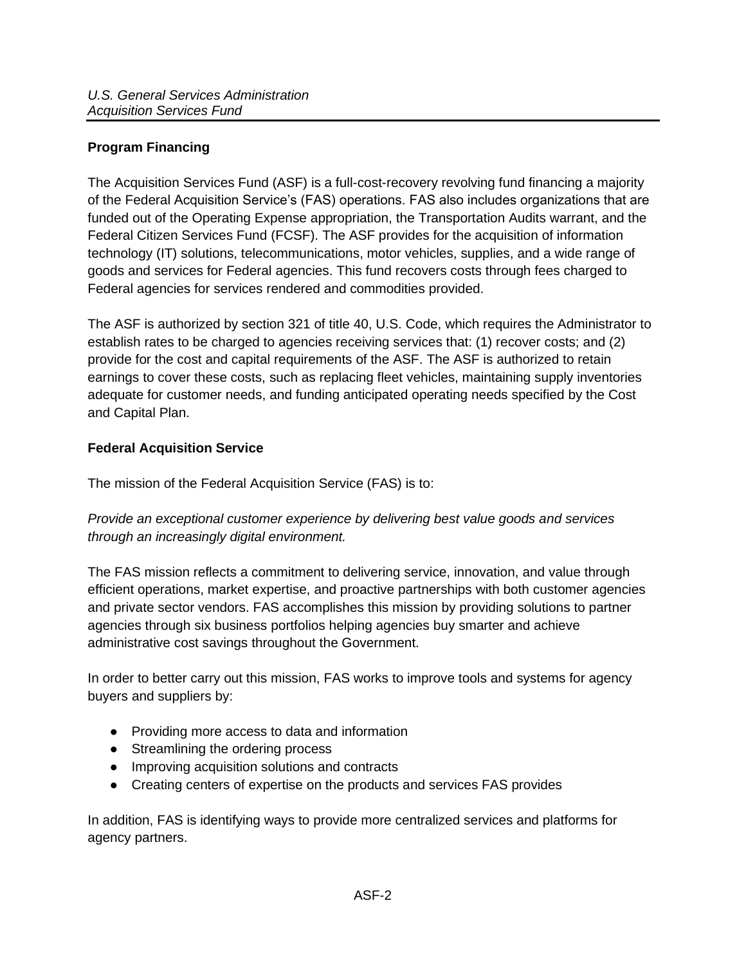## <span id="page-1-0"></span>**Program Financing**

The Acquisition Services Fund (ASF) is a full-cost-recovery revolving fund financing a majority of the Federal Acquisition Service's (FAS) operations. FAS also includes organizations that are funded out of the Operating Expense appropriation, the Transportation Audits warrant, and the Federal Citizen Services Fund (FCSF). The ASF provides for the acquisition of information technology (IT) solutions, telecommunications, motor vehicles, supplies, and a wide range of goods and services for Federal agencies. This fund recovers costs through fees charged to Federal agencies for services rendered and commodities provided.

The ASF is authorized by section 321 of title 40, U.S. Code, which requires the Administrator to establish rates to be charged to agencies receiving services that: (1) recover costs; and (2) provide for the cost and capital requirements of the ASF. The ASF is authorized to retain earnings to cover these costs, such as replacing fleet vehicles, maintaining supply inventories adequate for customer needs, and funding anticipated operating needs specified by the Cost and Capital Plan.

#### <span id="page-1-1"></span>**Federal Acquisition Service**

The mission of the Federal Acquisition Service (FAS) is to:

*Provide an exceptional customer experience by delivering best value goods and services through an increasingly digital environment.*

The FAS mission reflects a commitment to delivering service, innovation, and value through efficient operations, market expertise, and proactive partnerships with both customer agencies and private sector vendors. FAS accomplishes this mission by providing solutions to partner agencies through six business portfolios helping agencies buy smarter and achieve administrative cost savings throughout the Government.

In order to better carry out this mission, FAS works to improve tools and systems for agency buyers and suppliers by:

- Providing more access to data and information
- Streamlining the ordering process
- Improving acquisition solutions and contracts
- Creating centers of expertise on the products and services FAS provides

In addition, FAS is identifying ways to provide more centralized services and platforms for agency partners.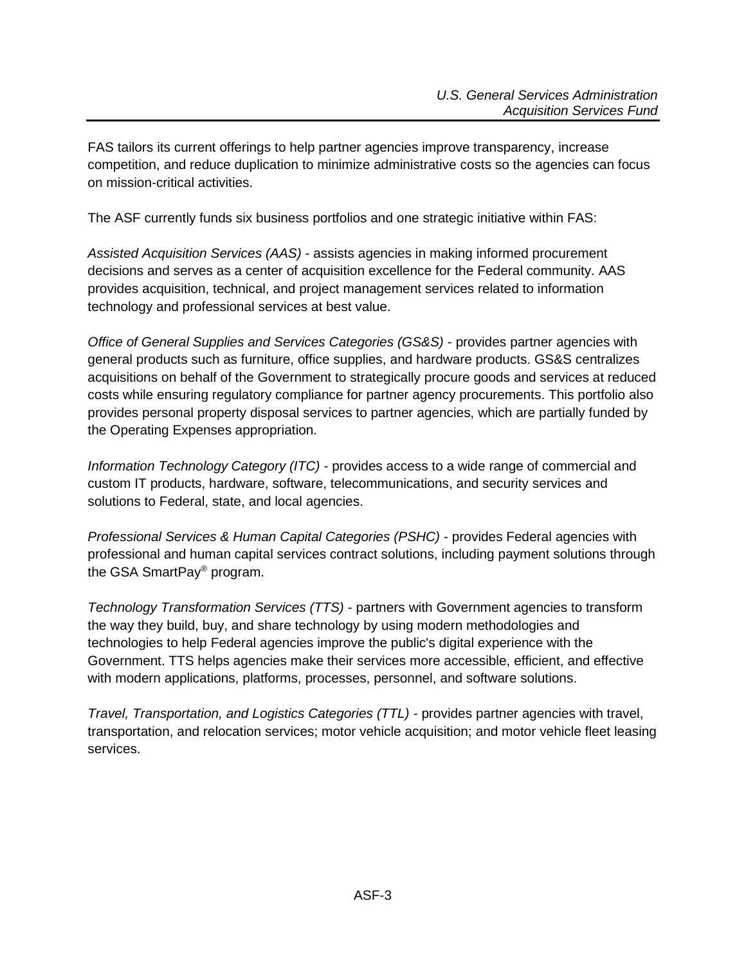FAS tailors its current offerings to help partner agencies improve transparency, increase competition, and reduce duplication to minimize administrative costs so the agencies can focus on mission-critical activities.

The ASF currently funds six business portfolios and one strategic initiative within FAS:

*Assisted Acquisition Services (AAS)* - assists agencies in making informed procurement decisions and serves as a center of acquisition excellence for the Federal community. AAS provides acquisition, technical, and project management services related to information technology and professional services at best value.

*Office of General Supplies and Services Categories (GS&S)* - provides partner agencies with general products such as furniture, office supplies, and hardware products. GS&S centralizes acquisitions on behalf of the Government to strategically procure goods and services at reduced costs while ensuring regulatory compliance for partner agency procurements. This portfolio also provides personal property disposal services to partner agencies, which are partially funded by the Operating Expenses appropriation.

*Information Technology Category (ITC)* - provides access to a wide range of commercial and custom IT products, hardware, software, telecommunications, and security services and solutions to Federal, state, and local agencies.

*Professional Services & Human Capital Categories (PSHC)* - provides Federal agencies with professional and human capital services contract solutions, including payment solutions through the GSA SmartPay® program.

*Technology Transformation Services (TTS)* - partners with Government agencies to transform the way they build, buy, and share technology by using modern methodologies and technologies to help Federal agencies improve the public's digital experience with the Government. TTS helps agencies make their services more accessible, efficient, and effective with modern applications, platforms, processes, personnel, and software solutions.

*Travel, Transportation, and Logistics Categories (TTL)* - provides partner agencies with travel, transportation, and relocation services; motor vehicle acquisition; and motor vehicle fleet leasing services.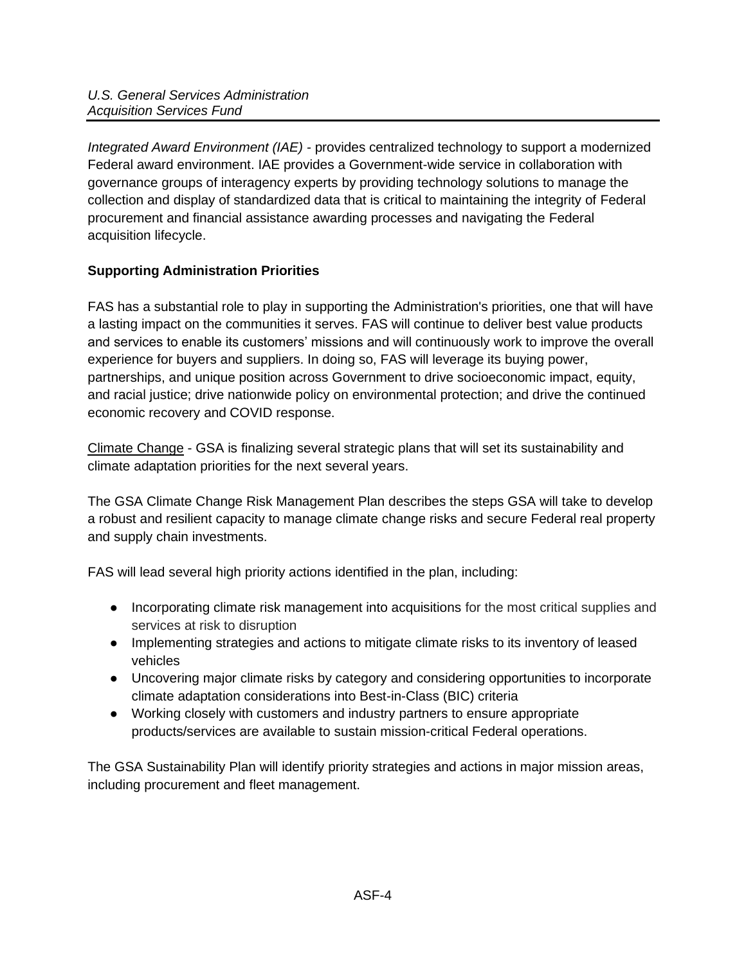*Integrated Award Environment (IAE) -* provides centralized technology to support a modernized Federal award environment. IAE provides a Government-wide service in collaboration with governance groups of interagency experts by providing technology solutions to manage the collection and display of standardized data that is critical to maintaining the integrity of Federal procurement and financial assistance awarding processes and navigating the Federal acquisition lifecycle.

# <span id="page-3-0"></span>**Supporting Administration Priorities**

FAS has a substantial role to play in supporting the Administration's priorities, one that will have a lasting impact on the communities it serves. FAS will continue to deliver best value products and services to enable its customers' missions and will continuously work to improve the overall experience for buyers and suppliers. In doing so, FAS will leverage its buying power, partnerships, and unique position across Government to drive socioeconomic impact, equity, and racial justice; drive nationwide policy on environmental protection; and drive the continued economic recovery and COVID response.

Climate Change - GSA is finalizing several strategic plans that will set its sustainability and climate adaptation priorities for the next several years.

The GSA Climate Change Risk Management Plan describes the steps GSA will take to develop a robust and resilient capacity to manage climate change risks and secure Federal real property and supply chain investments.

FAS will lead several high priority actions identified in the plan, including:

- Incorporating climate risk management into acquisitions for the most critical supplies and services at risk to disruption
- Implementing strategies and actions to mitigate climate risks to its inventory of leased vehicles
- Uncovering major climate risks by category and considering opportunities to incorporate climate adaptation considerations into Best-in-Class (BIC) criteria
- Working closely with customers and industry partners to ensure appropriate products/services are available to sustain mission-critical Federal operations.

The GSA Sustainability Plan will identify priority strategies and actions in major mission areas, including procurement and fleet management.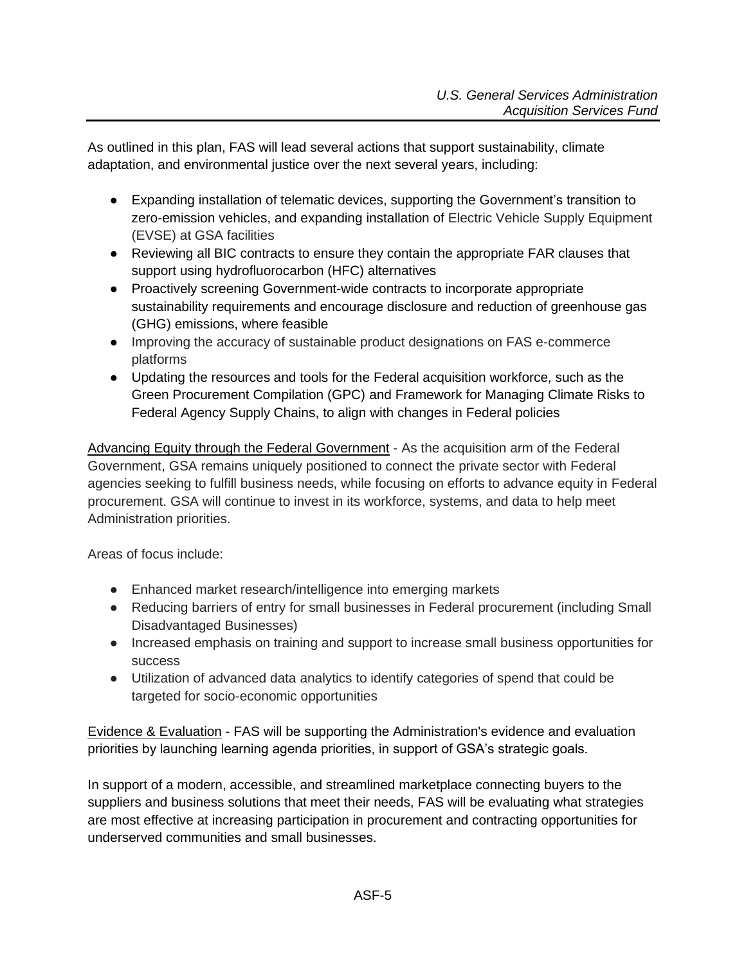As outlined in this plan, FAS will lead several actions that support sustainability, climate adaptation, and environmental justice over the next several years, including:

- Expanding installation of telematic devices, supporting the Government's transition to zero-emission vehicles, and expanding installation of Electric Vehicle Supply Equipment (EVSE) at GSA facilities
- Reviewing all BIC contracts to ensure they contain the appropriate FAR clauses that support using hydrofluorocarbon (HFC) alternatives
- Proactively screening Government-wide contracts to incorporate appropriate sustainability requirements and encourage disclosure and reduction of greenhouse gas (GHG) emissions, where feasible
- Improving the accuracy of sustainable product designations on FAS e-commerce platforms
- Updating the resources and tools for the Federal acquisition workforce, such as th[e](https://sftool.gov/GreenProcurement/) [Green Procurement Compilation \(GPC\)](https://sftool.gov/GreenProcurement/) and [Framework for Managing Climate Risks](https://sftool.gov/plan/553/framework-managing-climate-risks-federal-agency-supply-chains) to Federal [Agency Supply Chains,](https://sftool.gov/plan/553/framework-managing-climate-risks-federal-agency-supply-chains) to align with changes in Federal policies

Advancing Equity through the Federal Government - As the acquisition arm of the Federal Government, GSA remains uniquely positioned to connect the private sector with Federal agencies seeking to fulfill business needs, while focusing on efforts to advance equity in Federal procurement. GSA will continue to invest in its workforce, systems, and data to help meet Administration priorities.

Areas of focus include:

- Enhanced market research/intelligence into emerging markets
- Reducing barriers of entry for small businesses in Federal procurement (including Small Disadvantaged Businesses)
- Increased emphasis on training and support to increase small business opportunities for success
- Utilization of advanced data analytics to identify categories of spend that could be targeted for socio-economic opportunities

Evidence & Evaluation - FAS will be supporting the Administration's evidence and evaluation priorities by launching learning agenda priorities, in support of GSA's strategic goals.

In support of a modern, accessible, and streamlined marketplace connecting buyers to the suppliers and business solutions that meet their needs, FAS will be evaluating what strategies are most effective at increasing participation in procurement and contracting opportunities for underserved communities and small businesses.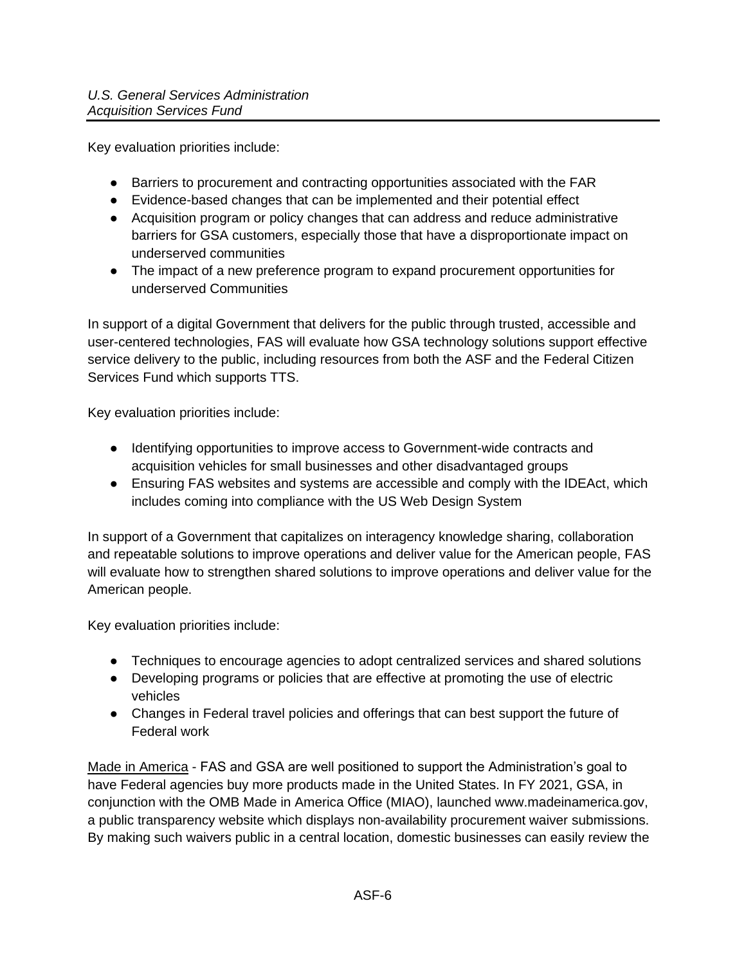Key evaluation priorities include:

- Barriers to procurement and contracting opportunities associated with the FAR
- Evidence-based changes that can be implemented and their potential effect
- Acquisition program or policy changes that can address and reduce administrative barriers for GSA customers, especially those that have a disproportionate impact on underserved communities
- The impact of a new preference program to expand procurement opportunities for underserved Communities

In support of a digital Government that delivers for the public through trusted, accessible and user-centered technologies, FAS will evaluate how GSA technology solutions support effective service delivery to the public, including resources from both the ASF and the Federal Citizen Services Fund which supports TTS.

Key evaluation priorities include:

- Identifying opportunities to improve access to Government-wide contracts and acquisition vehicles for small businesses and other disadvantaged groups
- Ensuring FAS websites and systems are accessible and comply with the IDEAct, which includes coming into compliance with the US Web Design System

In support of a Government that capitalizes on interagency knowledge sharing, collaboration and repeatable solutions to improve operations and deliver value for the American people, FAS will evaluate how to strengthen shared solutions to improve operations and deliver value for the American people.

Key evaluation priorities include:

- Techniques to encourage agencies to adopt centralized services and shared solutions
- Developing programs or policies that are effective at promoting the use of electric vehicles
- Changes in Federal travel policies and offerings that can best support the future of Federal work

Made in America - FAS and GSA are well positioned to support the Administration's goal to have Federal agencies buy more products made in the United States. In FY 2021, GSA, in conjunction with the OMB Made in America Office (MIAO), launched www.madeinamerica.gov, a public transparency website which displays non-availability procurement waiver submissions. By making such waivers public in a central location, domestic businesses can easily review the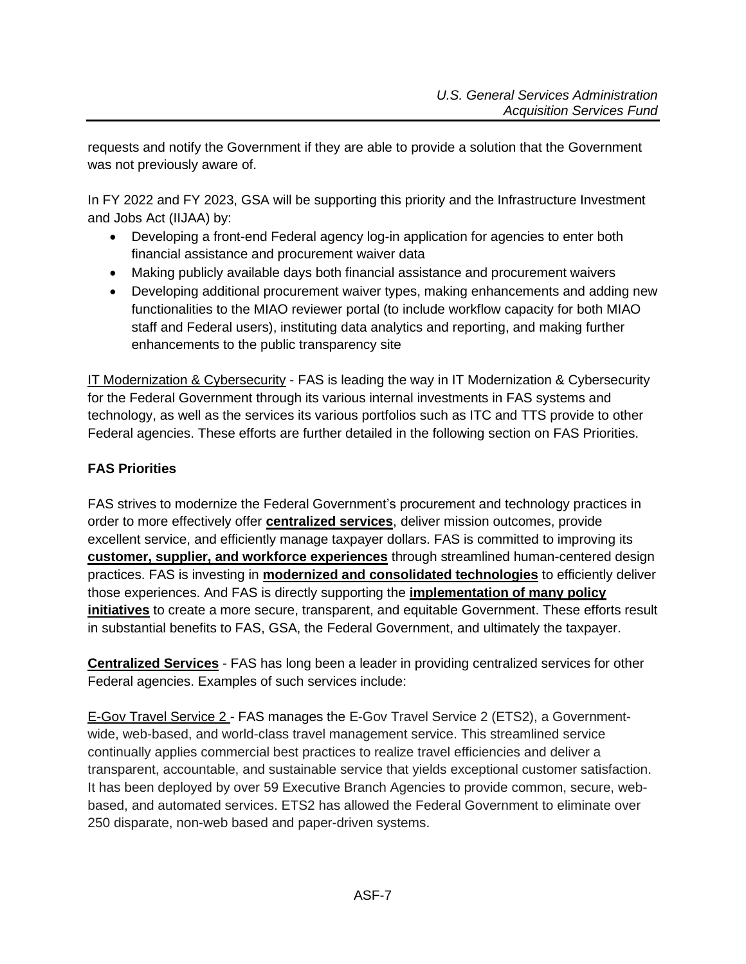requests and notify the Government if they are able to provide a solution that the Government was not previously aware of.

In FY 2022 and FY 2023, GSA will be supporting this priority and the Infrastructure Investment and Jobs Act (IIJAA) by:

- Developing a front-end Federal agency log-in application for agencies to enter both financial assistance and procurement waiver data
- Making publicly available days both financial assistance and procurement waivers
- Developing additional procurement waiver types, making enhancements and adding new functionalities to the MIAO reviewer portal (to include workflow capacity for both MIAO staff and Federal users), instituting data analytics and reporting, and making further enhancements to the public transparency site

IT Modernization & Cybersecurity - FAS is leading the way in IT Modernization & Cybersecurity for the Federal Government through its various internal investments in FAS systems and technology, as well as the services its various portfolios such as ITC and TTS provide to other Federal agencies. These efforts are further detailed in the following section on FAS Priorities.

# <span id="page-6-0"></span>**FAS Priorities**

FAS strives to modernize the Federal Government's procurement and technology practices in order to more effectively offer **centralized services**, deliver mission outcomes, provide excellent service, and efficiently manage taxpayer dollars. FAS is committed to improving its **[customer, supplier, and workforce experiences](https://docs.google.com/document/d/1FKSgcRhYZm3l9g5IntwPmmYG1s5rvEYGxGLe9jD-uqs/edit#bookmark=id.kbxm213q7f37)** through streamlined human-centered design practices. FAS is investing in **[modernized and consolidated technologies](https://docs.google.com/document/d/1FKSgcRhYZm3l9g5IntwPmmYG1s5rvEYGxGLe9jD-uqs/edit#bookmark=id.614ybcyaal4m)** to efficiently deliver those experiences. And FAS is directly supporting the **[implementation of many policy](https://docs.google.com/document/d/1FKSgcRhYZm3l9g5IntwPmmYG1s5rvEYGxGLe9jD-uqs/edit#bookmark=id.wrmqbctryb26)  [initiatives](https://docs.google.com/document/d/1FKSgcRhYZm3l9g5IntwPmmYG1s5rvEYGxGLe9jD-uqs/edit#bookmark=id.wrmqbctryb26)** to create a more secure, transparent, and equitable Government. These efforts result in substantial benefits to FAS, GSA, the Federal Government, and ultimately the taxpayer.

**Centralized Services** - FAS has long been a leader in providing centralized services for other Federal agencies. Examples of such services include:

E-Gov Travel Service 2 - FAS manages the E-Gov Travel Service 2 (ETS2), a Governmentwide, web-based, and world-class travel management service. This streamlined service continually applies commercial best practices to realize travel efficiencies and deliver a transparent, accountable, and sustainable service that yields exceptional customer satisfaction. It has been deployed by over 59 Executive Branch Agencies to provide common, secure, webbased, and automated services. ETS2 has allowed the Federal Government to eliminate over 250 disparate, non-web based and paper-driven systems.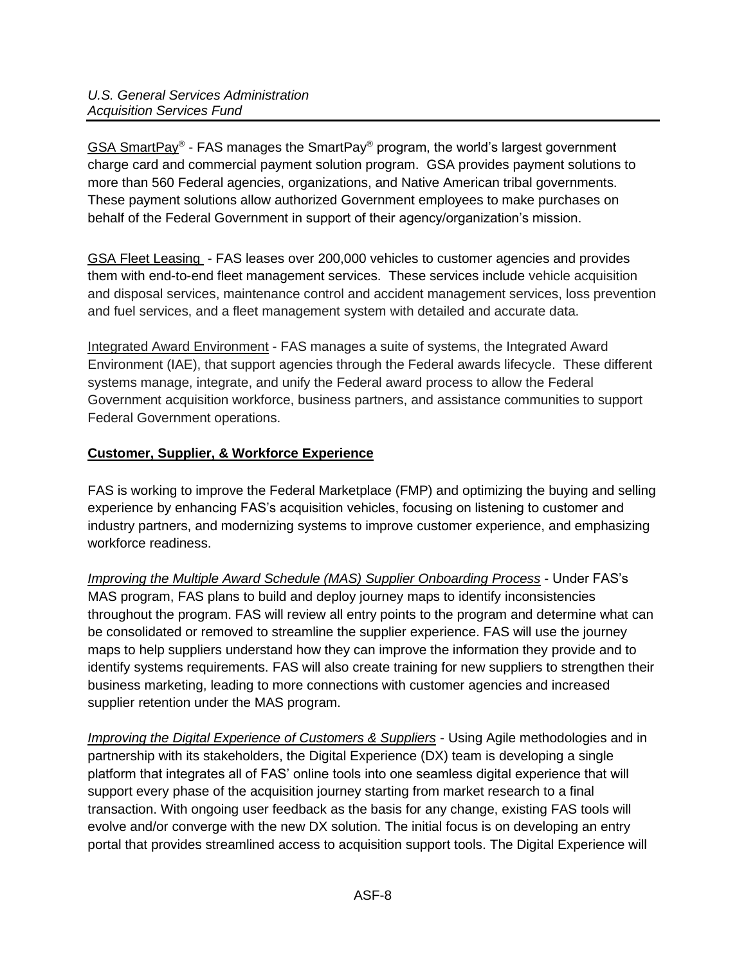GSA SmartPay® - FAS manages the SmartPay® program, the world's largest government charge card and commercial payment solution program. GSA provides payment solutions to more than 560 Federal agencies, organizations, and Native American tribal governments. These payment solutions allow authorized Government employees to make purchases on behalf of the Federal Government in support of their agency/organization's mission.

GSA Fleet Leasing - FAS leases over 200,000 vehicles to customer agencies and provides them with end-to-end fleet management services. These services include vehicle acquisition and disposal services, maintenance control and accident management services, loss prevention and fuel services, and a fleet management system with detailed and accurate data.

Integrated Award Environment - FAS manages a suite of systems, the Integrated Award Environment (IAE), that support agencies through the Federal awards lifecycle. These different systems manage, integrate, and unify the Federal award process to allow the Federal Government acquisition workforce, business partners, and assistance communities to support Federal Government operations.

# **Customer, Supplier, & Workforce Experience**

FAS is working to improve the Federal Marketplace (FMP) and optimizing the buying and selling experience by enhancing FAS's acquisition vehicles, focusing on listening to customer and industry partners, and modernizing systems to improve customer experience, and emphasizing workforce readiness.

*Improving the Multiple Award Schedule (MAS) Supplier Onboarding Process* - Under FAS's MAS program, FAS plans to build and deploy journey maps to identify inconsistencies throughout the program. FAS will review all entry points to the program and determine what can be consolidated or removed to streamline the supplier experience. FAS will use the journey maps to help suppliers understand how they can improve the information they provide and to identify systems requirements. FAS will also create training for new suppliers to strengthen their business marketing, leading to more connections with customer agencies and increased supplier retention under the MAS program.

*Improving the Digital Experience of Customers & Suppliers - Using Agile methodologies and in* partnership with its stakeholders, the Digital Experience (DX) team is developing a single platform that integrates all of FAS' online tools into one seamless digital experience that will support every phase of the acquisition journey starting from market research to a final transaction. With ongoing user feedback as the basis for any change, existing FAS tools will evolve and/or converge with the new DX solution. The initial focus is on developing an entry portal that provides streamlined access to acquisition support tools. The Digital Experience will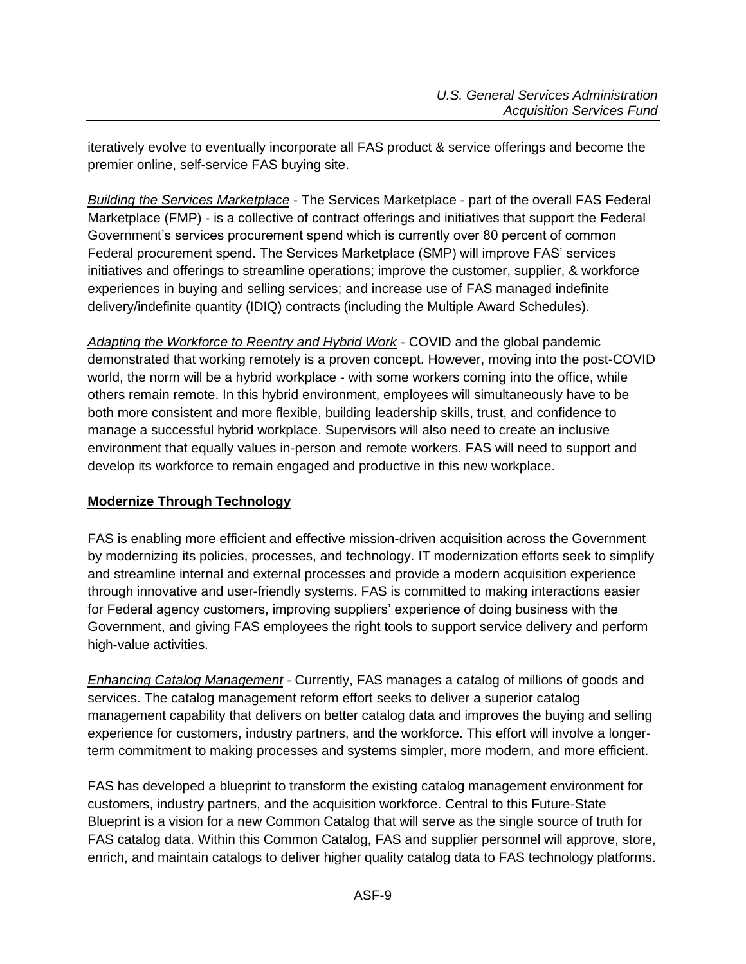iteratively evolve to eventually incorporate all FAS product & service offerings and become the premier online, self-service FAS buying site.

*Building the Services Marketplace* - The Services Marketplace - part of the overall FAS Federal Marketplace (FMP) - is a collective of contract offerings and initiatives that support the Federal Government's services procurement spend which is currently over 80 percent of common Federal procurement spend. The Services Marketplace (SMP) will improve FAS' services initiatives and offerings to streamline operations; improve the customer, supplier, & workforce experiences in buying and selling services; and increase use of FAS managed indefinite delivery/indefinite quantity (IDIQ) contracts (including the Multiple Award Schedules).

*Adapting the Workforce to Reentry and Hybrid Work* - COVID and the global pandemic demonstrated that working remotely is a proven concept. However, moving into the post-COVID world, the norm will be a hybrid workplace - with some workers coming into the office, while others remain remote. In this hybrid environment, employees will simultaneously have to be both more consistent and more flexible, building leadership skills, trust, and confidence to manage a successful hybrid workplace. Supervisors will also need to create an inclusive environment that equally values in-person and remote workers. FAS will need to support and develop its workforce to remain engaged and productive in this new workplace.

## **Modernize Through Technology**

FAS is enabling more efficient and effective mission-driven acquisition across the Government by modernizing its policies, processes, and technology. IT modernization efforts seek to simplify and streamline internal and external processes and provide a modern acquisition experience through innovative and user-friendly systems. FAS is committed to making interactions easier for Federal agency customers, improving suppliers' experience of doing business with the Government, and giving FAS employees the right tools to support service delivery and perform high-value activities.

*Enhancing Catalog Management -* Currently, FAS manages a catalog of millions of goods and services. The catalog management reform effort seeks to deliver a superior catalog management capability that delivers on better catalog data and improves the buying and selling experience for customers, industry partners, and the workforce. This effort will involve a longerterm commitment to making processes and systems simpler, more modern, and more efficient.

FAS has developed a blueprint to transform the existing catalog management environment for customers, industry partners, and the acquisition workforce. Central to this Future-State Blueprint is a vision for a new Common Catalog that will serve as the single source of truth for FAS catalog data. Within this Common Catalog, FAS and supplier personnel will approve, store, enrich, and maintain catalogs to deliver higher quality catalog data to FAS technology platforms.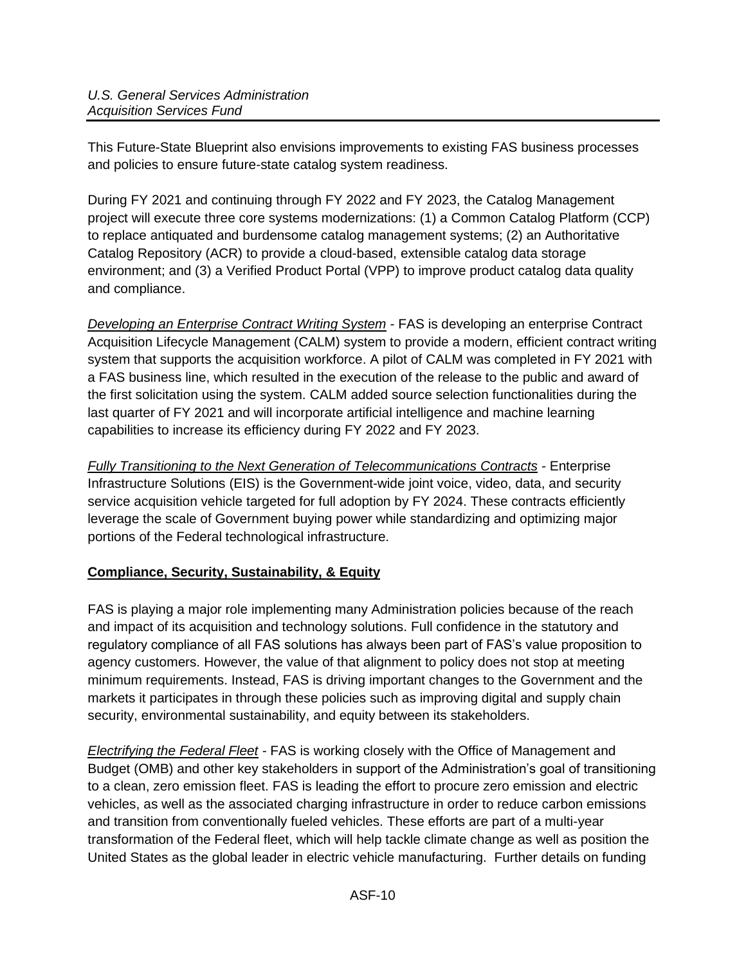This Future-State Blueprint also envisions improvements to existing FAS business processes and policies to ensure future-state catalog system readiness.

During FY 2021 and continuing through FY 2022 and FY 2023, the Catalog Management project will execute three core systems modernizations: (1) a Common Catalog Platform (CCP) to replace antiquated and burdensome catalog management systems; (2) an Authoritative Catalog Repository (ACR) to provide a cloud-based, extensible catalog data storage environment; and (3) a Verified Product Portal (VPP) to improve product catalog data quality and compliance.

*Developing an Enterprise Contract Writing System -* FAS is developing an enterprise Contract Acquisition Lifecycle Management (CALM) system to provide a modern, efficient contract writing system that supports the acquisition workforce. A pilot of CALM was completed in FY 2021 with a FAS business line, which resulted in the execution of the release to the public and award of the first solicitation using the system. CALM added source selection functionalities during the last quarter of FY 2021 and will incorporate artificial intelligence and machine learning capabilities to increase its efficiency during FY 2022 and FY 2023.

*Fully Transitioning to the Next Generation of Telecommunications Contracts -* Enterprise Infrastructure Solutions (EIS) is the Government-wide joint voice, video, data, and security service acquisition vehicle targeted for full adoption by FY 2024. These contracts efficiently leverage the scale of Government buying power while standardizing and optimizing major portions of the Federal technological infrastructure.

# **Compliance, Security, Sustainability, & Equity**

FAS is playing a major role implementing many Administration policies because of the reach and impact of its acquisition and technology solutions. Full confidence in the statutory and regulatory compliance of all FAS solutions has always been part of FAS's value proposition to agency customers. However, the value of that alignment to policy does not stop at meeting minimum requirements. Instead, FAS is driving important changes to the Government and the markets it participates in through these policies such as improving digital and supply chain security, environmental sustainability, and equity between its stakeholders.

*Electrifying the Federal Fleet -* FAS is working closely with the Office of Management and Budget (OMB) and other key stakeholders in support of the Administration's goal of transitioning to a clean, zero emission fleet. FAS is leading the effort to procure zero emission and electric vehicles, as well as the associated charging infrastructure in order to reduce carbon emissions and transition from conventionally fueled vehicles. These efforts are part of a multi-year transformation of the Federal fleet, which will help tackle climate change as well as position the United States as the global leader in electric vehicle manufacturing. Further details on funding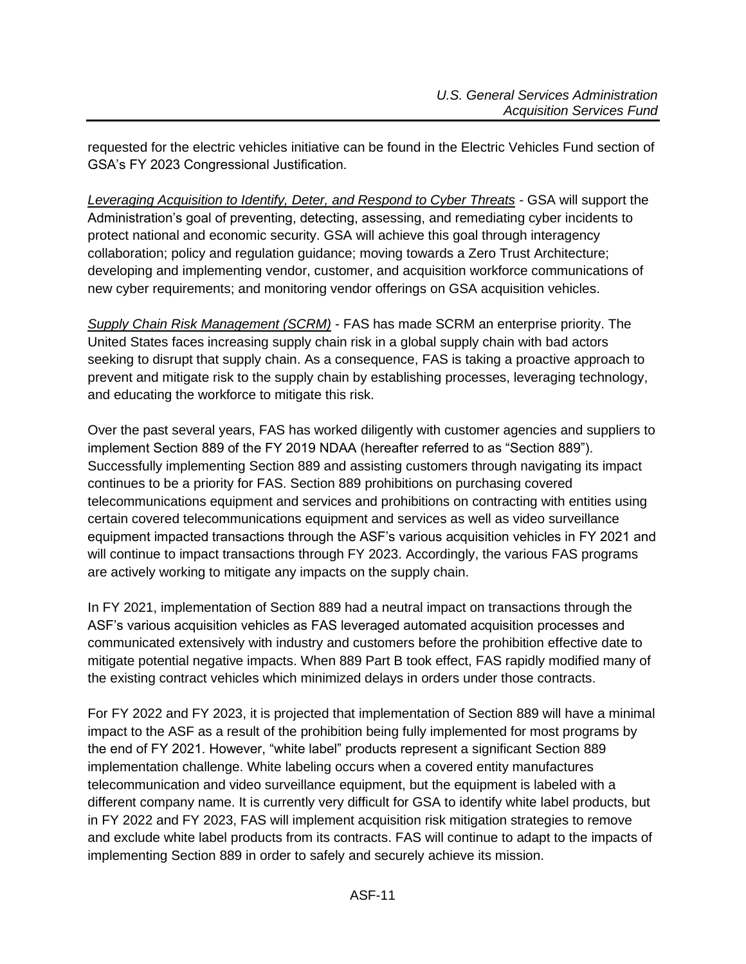requested for the electric vehicles initiative can be found in the Electric Vehicles Fund section of GSA's FY 2023 Congressional Justification.

*Leveraging Acquisition to Identify, Deter, and Respond to Cyber Threats -* GSA will support the Administration's goal of preventing, detecting, assessing, and remediating cyber incidents to protect national and economic security. GSA will achieve this goal through interagency collaboration; policy and regulation guidance; moving towards a Zero Trust Architecture; developing and implementing vendor, customer, and acquisition workforce communications of new cyber requirements; and monitoring vendor offerings on GSA acquisition vehicles.

*Supply Chain Risk Management (SCRM)* - FAS has made SCRM an enterprise priority. The United States faces increasing supply chain risk in a global supply chain with bad actors seeking to disrupt that supply chain. As a consequence, FAS is taking a proactive approach to prevent and mitigate risk to the supply chain by establishing processes, leveraging technology, and educating the workforce to mitigate this risk.

Over the past several years, FAS has worked diligently with customer agencies and suppliers to implement Section 889 of the FY 2019 NDAA (hereafter referred to as "Section 889"). Successfully implementing Section 889 and assisting customers through navigating its impact continues to be a priority for FAS. Section 889 prohibitions on purchasing covered telecommunications equipment and services and prohibitions on contracting with entities using certain covered telecommunications equipment and services as well as video surveillance equipment impacted transactions through the ASF's various acquisition vehicles in FY 2021 and will continue to impact transactions through FY 2023. Accordingly, the various FAS programs are actively working to mitigate any impacts on the supply chain.

In FY 2021, implementation of Section 889 had a neutral impact on transactions through the ASF's various acquisition vehicles as FAS leveraged automated acquisition processes and communicated extensively with industry and customers before the prohibition effective date to mitigate potential negative impacts. When 889 Part B took effect, FAS rapidly modified many of the existing contract vehicles which minimized delays in orders under those contracts.

For FY 2022 and FY 2023, it is projected that implementation of Section 889 will have a minimal impact to the ASF as a result of the prohibition being fully implemented for most programs by the end of FY 2021. However, "white label" products represent a significant Section 889 implementation challenge. White labeling occurs when a covered entity manufactures telecommunication and video surveillance equipment, but the equipment is labeled with a different company name. It is currently very difficult for GSA to identify white label products, but in FY 2022 and FY 2023, FAS will implement acquisition risk mitigation strategies to remove and exclude white label products from its contracts. FAS will continue to adapt to the impacts of implementing Section 889 in order to safely and securely achieve its mission.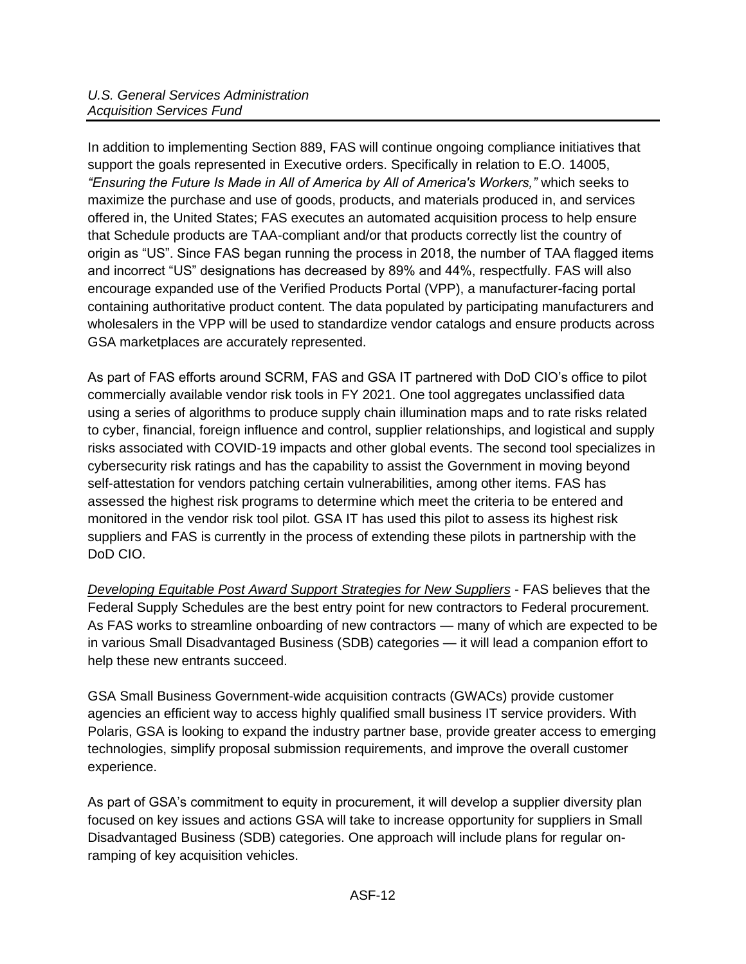In addition to implementing Section 889, FAS will continue ongoing compliance initiatives that support the goals represented in Executive orders. Specifically in relation to E.O. 14005, *"Ensuring the Future Is Made in All of America by All of America's Workers,"* which seeks to maximize the purchase and use of goods, products, and materials produced in, and services offered in, the United States; FAS executes an automated acquisition process to help ensure that Schedule products are TAA-compliant and/or that products correctly list the country of origin as "US". Since FAS began running the process in 2018, the number of TAA flagged items and incorrect "US" designations has decreased by 89% and 44%, respectfully. FAS will also encourage expanded use of the Verified Products Portal (VPP), a manufacturer-facing portal containing authoritative product content. The data populated by participating manufacturers and wholesalers in the VPP will be used to standardize vendor catalogs and ensure products across GSA marketplaces are accurately represented.

As part of FAS efforts around SCRM, FAS and GSA IT partnered with DoD CIO's office to pilot commercially available vendor risk tools in FY 2021. One tool aggregates unclassified data using a series of algorithms to produce supply chain illumination maps and to rate risks related to cyber, financial, foreign influence and control, supplier relationships, and logistical and supply risks associated with COVID-19 impacts and other global events. The second tool specializes in cybersecurity risk ratings and has the capability to assist the Government in moving beyond self-attestation for vendors patching certain vulnerabilities, among other items. FAS has assessed the highest risk programs to determine which meet the criteria to be entered and monitored in the vendor risk tool pilot. GSA IT has used this pilot to assess its highest risk suppliers and FAS is currently in the process of extending these pilots in partnership with the DoD CIO.

*Developing Equitable Post Award Support Strategies for New Suppliers* - FAS believes that the Federal Supply Schedules are the best entry point for new contractors to Federal procurement. As FAS works to streamline onboarding of new contractors — many of which are expected to be in various Small Disadvantaged Business (SDB) categories — it will lead a companion effort to help these new entrants succeed.

GSA Small Business Government-wide acquisition contracts (GWACs) provide customer agencies an efficient way to access highly qualified small business IT service providers. With Polaris, GSA is looking to expand the industry partner base, provide greater access to emerging technologies, simplify proposal submission requirements, and improve the overall customer experience.

As part of GSA's commitment to equity in procurement, it will develop a supplier diversity plan focused on key issues and actions GSA will take to increase opportunity for suppliers in Small Disadvantaged Business (SDB) categories. One approach will include plans for regular onramping of key acquisition vehicles.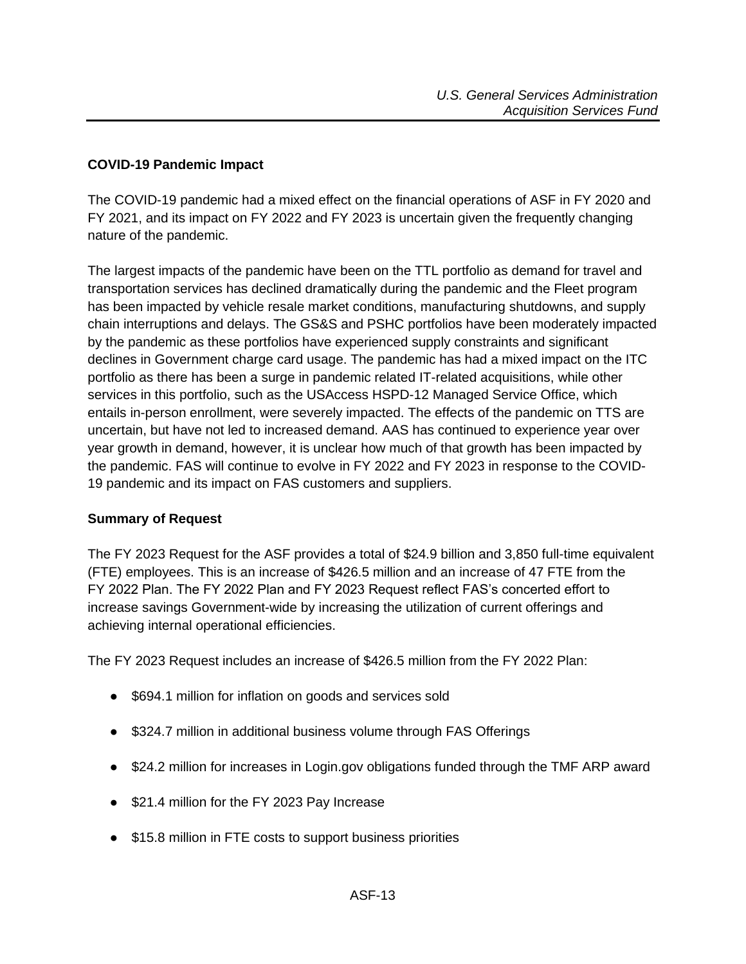## <span id="page-12-0"></span>**COVID-19 Pandemic Impact**

The COVID-19 pandemic had a mixed effect on the financial operations of ASF in FY 2020 and FY 2021, and its impact on FY 2022 and FY 2023 is uncertain given the frequently changing nature of the pandemic.

The largest impacts of the pandemic have been on the TTL portfolio as demand for travel and transportation services has declined dramatically during the pandemic and the Fleet program has been impacted by vehicle resale market conditions, manufacturing shutdowns, and supply chain interruptions and delays. The GS&S and PSHC portfolios have been moderately impacted by the pandemic as these portfolios have experienced supply constraints and significant declines in Government charge card usage. The pandemic has had a mixed impact on the ITC portfolio as there has been a surge in pandemic related IT-related acquisitions, while other services in this portfolio, such as the USAccess HSPD-12 Managed Service Office, which entails in-person enrollment, were severely impacted. The effects of the pandemic on TTS are uncertain, but have not led to increased demand. AAS has continued to experience year over year growth in demand, however, it is unclear how much of that growth has been impacted by the pandemic. FAS will continue to evolve in FY 2022 and FY 2023 in response to the COVID-19 pandemic and its impact on FAS customers and suppliers.

#### <span id="page-12-1"></span>**Summary of Request**

The FY 2023 Request for the ASF provides a total of \$24.9 billion and 3,850 full-time equivalent (FTE) employees. This is an increase of \$426.5 million and an increase of 47 FTE from the FY 2022 Plan. The FY 2022 Plan and FY 2023 Request reflect FAS's concerted effort to increase savings Government-wide by increasing the utilization of current offerings and achieving internal operational efficiencies.

The FY 2023 Request includes an increase of \$426.5 million from the FY 2022 Plan:

- \$694.1 million for inflation on goods and services sold
- \$324.7 million in additional business volume through FAS Offerings
- \$24.2 million for increases in Login.gov obligations funded through the TMF ARP award
- \$21.4 million for the FY 2023 Pay Increase
- \$15.8 million in FTE costs to support business priorities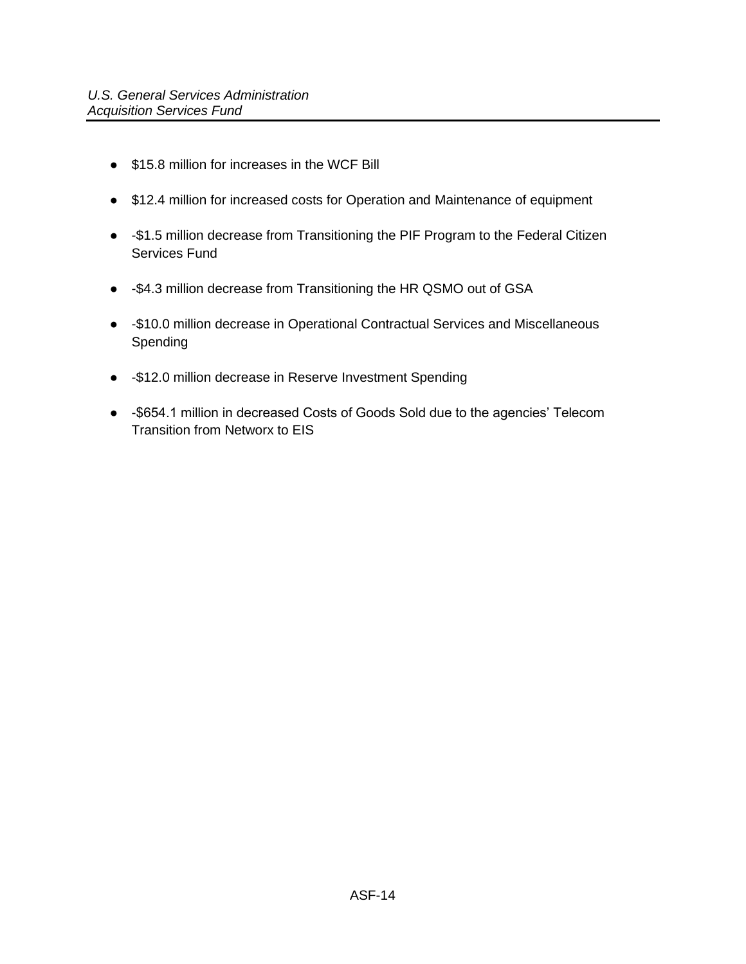- \$15.8 million for increases in the WCF Bill
- \$12.4 million for increased costs for Operation and Maintenance of equipment
- -\$1.5 million decrease from Transitioning the PIF Program to the Federal Citizen Services Fund
- -\$4.3 million decrease from Transitioning the HR QSMO out of GSA
- -\$10.0 million decrease in Operational Contractual Services and Miscellaneous Spending
- -\$12.0 million decrease in Reserve Investment Spending
- -\$654.1 million in decreased Costs of Goods Sold due to the agencies' Telecom Transition from Networx to EIS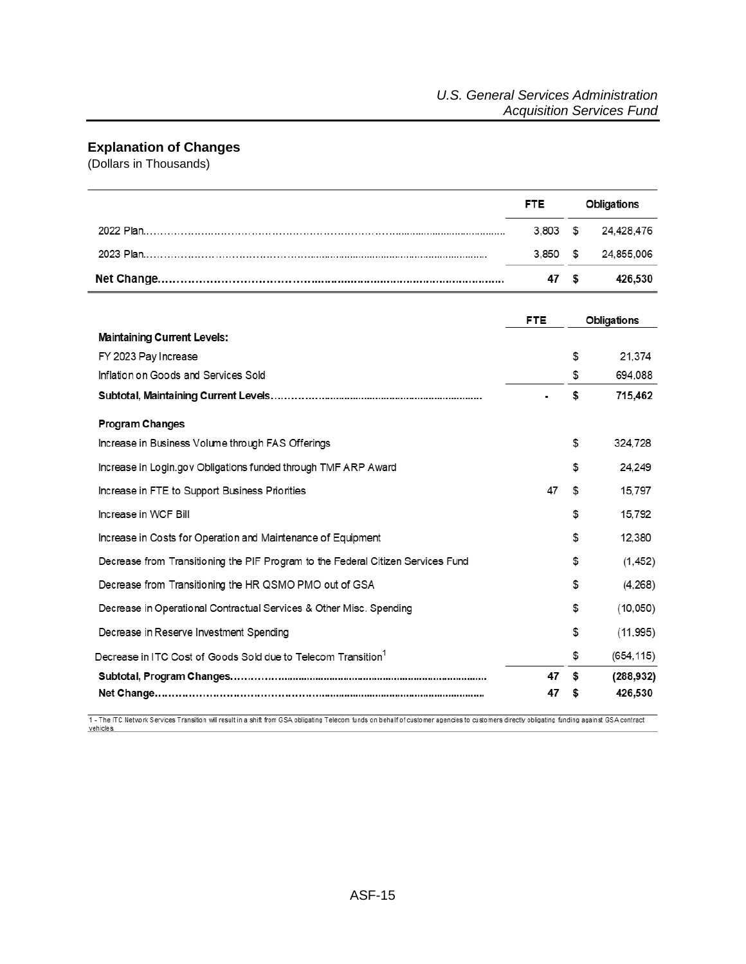## <span id="page-14-0"></span>**Explanation of Changes**

(Dollars in Thousands)

|                                                                                  | <b>FTE</b> |    | <b>Obligations</b> |
|----------------------------------------------------------------------------------|------------|----|--------------------|
|                                                                                  | 3,803      | \$ | 24,428,476         |
|                                                                                  | 3,850      | \$ | 24,855,006         |
|                                                                                  | 47         | \$ | 426,530            |
|                                                                                  | <b>FTE</b> |    | <b>Obligations</b> |
| <b>Maintaining Current Levels:</b>                                               |            |    |                    |
| FY 2023 Pay Increase                                                             |            | \$ | 21,374             |
| Inflation on Goods and Services Sold                                             |            | \$ | 694.088            |
|                                                                                  |            | \$ | 715,462            |
| <b>Program Changes</b>                                                           |            |    |                    |
| Increase in Business Volume through FAS Offerings                                |            | \$ | 324,728            |
| Increase in Login.gov Obligations funded through TMF ARP Award                   |            | \$ | 24.249             |
| Increase in FTE to Support Business Priorities                                   | 47         | S  | 15.797             |
| Increase in WCF Bill                                                             |            | \$ | 15,792             |
| Increase in Costs for Operation and Maintenance of Equipment                     |            | \$ | 12.380             |
| Decrease from Transitioning the PIF Program to the Federal Citizen Services Fund |            | \$ | (1, 452)           |
| Decrease from Transitioning the HR QSMO PMO out of GSA                           |            | S  | (4,268)            |
| Decrease in Operational Contractual Services & Other Misc. Spending              |            | \$ | (10,050)           |
| Decrease in Reserve Investment Spending                                          |            | \$ | (11, 995)          |
| Decrease in ITC Cost of Goods Sold due to Telecom Transition <sup>1</sup>        |            | \$ | (654, 115)         |
|                                                                                  | 47         | \$ | (288, 932)         |
|                                                                                  | 47         | 5  | 426,530            |

1 - The ITC Network Services Transition will result in a shift from GSA obligating Telecom funds on behalf of customer agencies to customers directly obligating funding against GSA contract vehicles.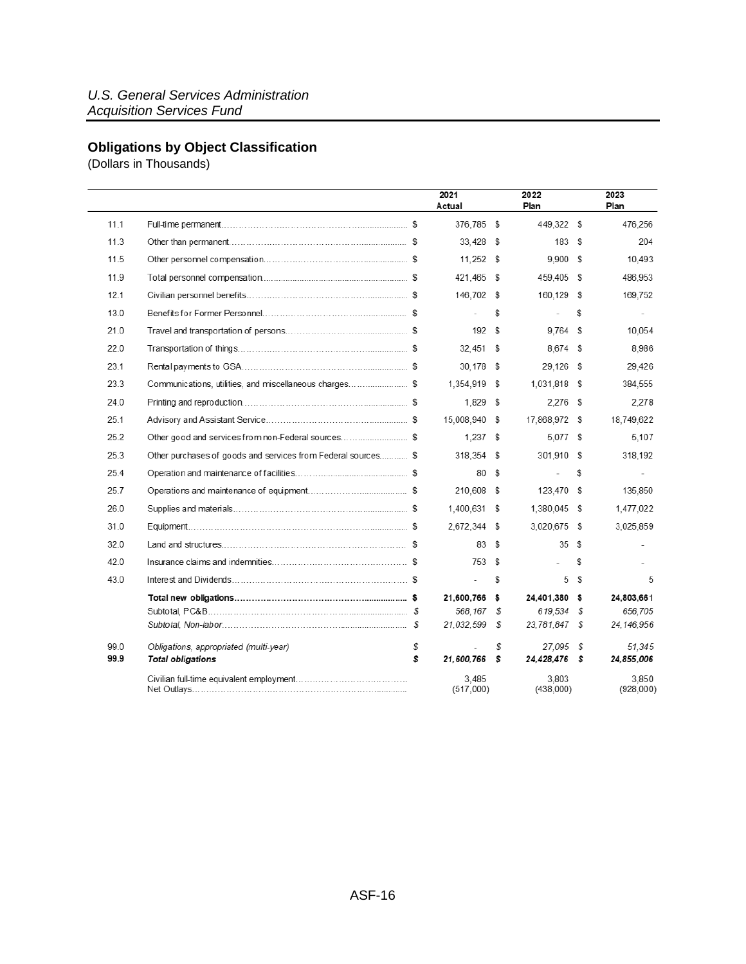# <span id="page-15-0"></span>**Obligations by Object Classification**

(Dollars in Thousands)

|      |                                                               | 2021<br>Actual     |    | 2022<br>Plan       |      | 2023<br>Plan       |
|------|---------------------------------------------------------------|--------------------|----|--------------------|------|--------------------|
| 11.1 |                                                               | 376,785 \$         |    | 449,322 \$         |      | 476,256            |
| 11.3 |                                                               | $33.428$ \$        |    | 183S               |      | 204                |
| 11.5 |                                                               | $11.252$ \$        |    | $9,900$ \$         |      | 10,493             |
| 11.9 |                                                               | 421,465            | S  | 459.405 \$         |      | 486,953            |
| 12.1 |                                                               | 146,702 \$         |    | 160,129 \$         |      | 169,752            |
| 13.0 |                                                               |                    | \$ | $\overline{a}$     | S    | $\sim$             |
| 21.0 |                                                               | 192S               |    | $9.764$ \$         |      | 10,054             |
| 22.0 |                                                               | 32,451             | s. | 8.674 \$           |      | 8,986              |
| 23.1 |                                                               | 30,178             | S  | 29,126 \$          |      | 29,426             |
| 23.3 | Communications, utilities, and miscellaneous charges \$       | 1,354,919 \$       |    | 1,031,818 \$       |      | 384,555            |
| 24.0 |                                                               | 1.829              | \$ | $2,276$ \$         |      | 2,278              |
| 25.1 |                                                               | 15,008,940         | s. | 17,868,972 \$      |      | 18,749,622         |
| 25.2 | Other good and services from non-Federal sources\$            | 1.237S             |    | 5.077 \$           |      | 5,107              |
| 25.3 | Other purchases of goods and services from Federal sources \$ | 318,354            | S  | 301,910 \$         |      | 318,192            |
| 25.4 |                                                               | 80                 | S  |                    | S    | $\overline{a}$     |
| 25.7 |                                                               | 210,608            | S  | 123,470 \$         |      | 135,850            |
| 26.0 |                                                               | 1,400,631 \$       |    | 1,380,045 \$       |      | 1,477,022          |
| 31.0 |                                                               | 2,672,344          | S  | 3,020,675 \$       |      | 3,025,859          |
| 32.0 |                                                               | 83                 | \$ | 35S                |      |                    |
| 42.0 |                                                               | 753                | S  |                    | S    |                    |
| 43.0 |                                                               | $\overline{a}$     | s  |                    | 5 \$ | 5                  |
|      |                                                               | 21.600.766         | \$ | 24.401.380 \$      |      | 24.803.661         |
|      |                                                               | 568.167            | s. | 619.534 \$         |      | 656,705            |
|      |                                                               | 21,032,599         | \$ | 23,781,847 \$      |      | 24, 146, 956       |
| 99.0 | Obligations, appropriated (multi-year)                        | \$                 | \$ | 27.095 \$          |      | 51.345             |
| 99.9 | <b>Total obligations</b>                                      | \$<br>21,600,766   | s  | 24,428,476 \$      |      | 24,855,006         |
|      |                                                               | 3,485<br>(517,000) |    | 3,803<br>(438,000) |      | 3,850<br>(928,000) |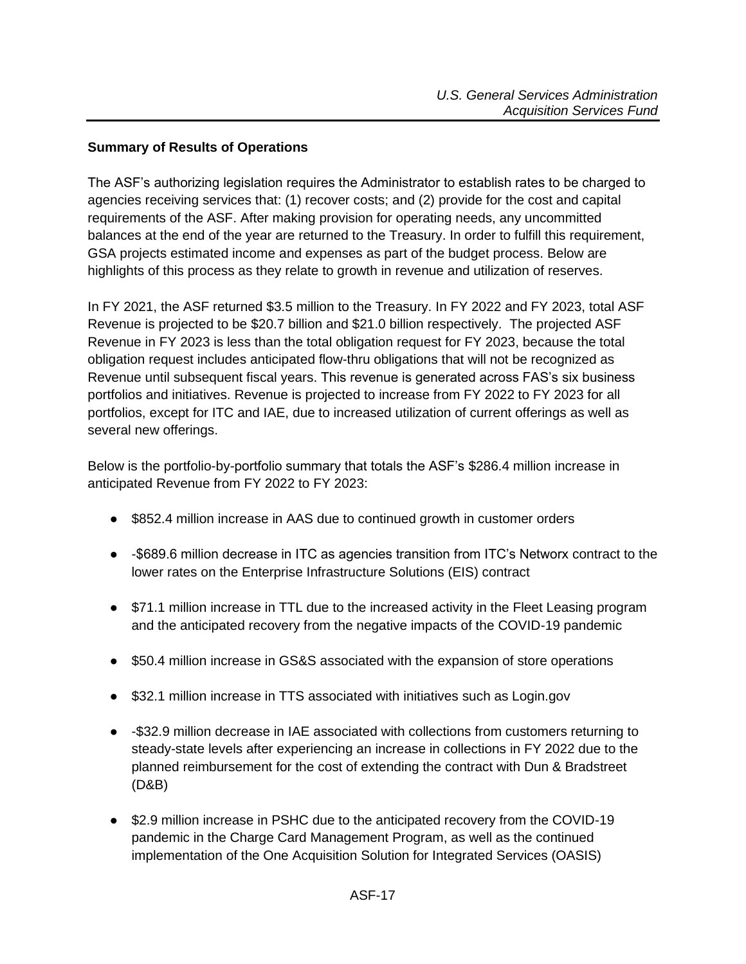#### <span id="page-16-0"></span>**Summary of Results of Operations**

The ASF's authorizing legislation requires the Administrator to establish rates to be charged to agencies receiving services that: (1) recover costs; and (2) provide for the cost and capital requirements of the ASF. After making provision for operating needs, any uncommitted balances at the end of the year are returned to the Treasury. In order to fulfill this requirement, GSA projects estimated income and expenses as part of the budget process. Below are highlights of this process as they relate to growth in revenue and utilization of reserves.

In FY 2021, the ASF returned \$3.5 million to the Treasury. In FY 2022 and FY 2023, total ASF Revenue is projected to be \$20.7 billion and \$21.0 billion respectively. The projected ASF Revenue in FY 2023 is less than the total obligation request for FY 2023, because the total obligation request includes anticipated flow-thru obligations that will not be recognized as Revenue until subsequent fiscal years. This revenue is generated across FAS's six business portfolios and initiatives. Revenue is projected to increase from FY 2022 to FY 2023 for all portfolios, except for ITC and IAE, due to increased utilization of current offerings as well as several new offerings.

Below is the portfolio-by-portfolio summary that totals the ASF's \$286.4 million increase in anticipated Revenue from FY 2022 to FY 2023:

- \$852.4 million increase in AAS due to continued growth in customer orders
- -\$689.6 million decrease in ITC as agencies transition from ITC's Networx contract to the lower rates on the Enterprise Infrastructure Solutions (EIS) contract
- \$71.1 million increase in TTL due to the increased activity in the Fleet Leasing program and the anticipated recovery from the negative impacts of the COVID-19 pandemic
- \$50.4 million increase in GS&S associated with the expansion of store operations
- \$32.1 million increase in TTS associated with initiatives such as Login.gov
- -\$32.9 million decrease in IAE associated with collections from customers returning to steady-state levels after experiencing an increase in collections in FY 2022 due to the planned reimbursement for the cost of extending the contract with Dun & Bradstreet (D&B)
- \$2.9 million increase in PSHC due to the anticipated recovery from the COVID-19 pandemic in the Charge Card Management Program, as well as the continued implementation of the One Acquisition Solution for Integrated Services (OASIS)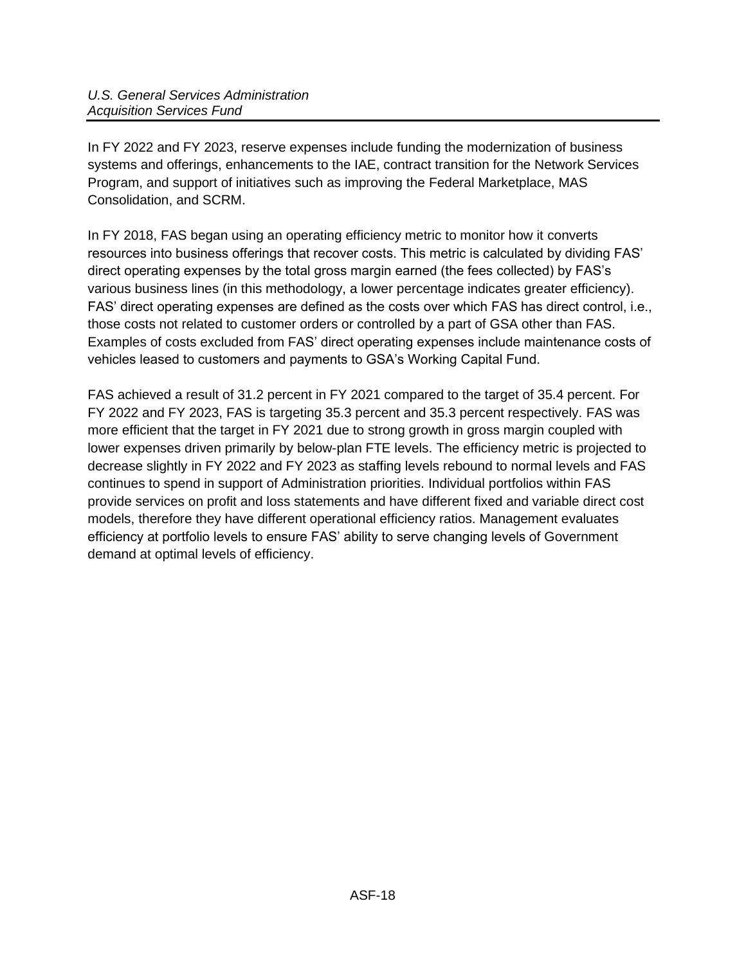In FY 2022 and FY 2023, reserve expenses include funding the modernization of business systems and offerings, enhancements to the IAE, contract transition for the Network Services Program, and support of initiatives such as improving the Federal Marketplace, MAS Consolidation, and SCRM.

In FY 2018, FAS began using an operating efficiency metric to monitor how it converts resources into business offerings that recover costs. This metric is calculated by dividing FAS' direct operating expenses by the total gross margin earned (the fees collected) by FAS's various business lines (in this methodology, a lower percentage indicates greater efficiency). FAS' direct operating expenses are defined as the costs over which FAS has direct control, i.e., those costs not related to customer orders or controlled by a part of GSA other than FAS. Examples of costs excluded from FAS' direct operating expenses include maintenance costs of vehicles leased to customers and payments to GSA's Working Capital Fund.

FAS achieved a result of 31.2 percent in FY 2021 compared to the target of 35.4 percent. For FY 2022 and FY 2023, FAS is targeting 35.3 percent and 35.3 percent respectively. FAS was more efficient that the target in FY 2021 due to strong growth in gross margin coupled with lower expenses driven primarily by below-plan FTE levels. The efficiency metric is projected to decrease slightly in FY 2022 and FY 2023 as staffing levels rebound to normal levels and FAS continues to spend in support of Administration priorities. Individual portfolios within FAS provide services on profit and loss statements and have different fixed and variable direct cost models, therefore they have different operational efficiency ratios. Management evaluates efficiency at portfolio levels to ensure FAS' ability to serve changing levels of Government demand at optimal levels of efficiency.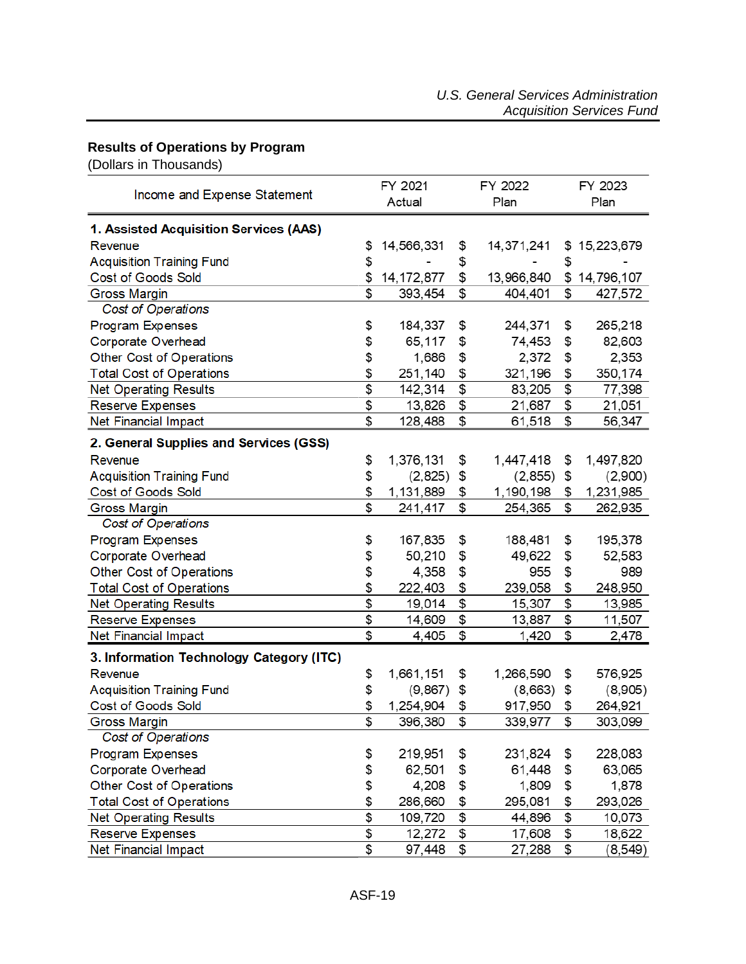# <span id="page-18-0"></span>**Results of Operations by Program**

(Dollars in Thousands)

|                                          |                 | FY 2021           |                           | FY 2022    | FY 2023         |
|------------------------------------------|-----------------|-------------------|---------------------------|------------|-----------------|
| Income and Expense Statement             |                 | Actual            |                           | Plan       | Plan            |
| 1. Assisted Acquisition Services (AAS)   |                 |                   |                           |            |                 |
| Revenue                                  | \$              | 14,566,331        | \$                        | 14,371,241 | \$15,223,679    |
| <b>Acquisition Training Fund</b>         | \$              |                   | \$                        |            | \$              |
| <b>Cost of Goods Sold</b>                | \$              | 14, 172, 877      | \$                        | 13,966,840 | \$14,796,107    |
| <b>Gross Margin</b>                      | \$              | 393,454           | \$                        | 404,401    | \$<br>427,572   |
| Cost of Operations                       |                 |                   |                           |            |                 |
| Program Expenses                         | \$              | 184,337           | \$                        | 244,371    | \$<br>265,218   |
| Corporate Overhead                       | \$              | 65,117            | \$                        | 74,453     | \$<br>82,603    |
| Other Cost of Operations                 | \$              | 1,686             | \$                        | 2,372      | \$<br>2,353     |
| <b>Total Cost of Operations</b>          | \$              | 251,140           | \$                        | 321,196    | \$<br>350,174   |
| <b>Net Operating Results</b>             | \$              | 142,314           | $\overline{\mathfrak{s}}$ | 83,205     | \$<br>77,398    |
|                                          | \$              |                   | \$                        |            | \$              |
| <b>Reserve Expenses</b>                  | \$              | 13,826<br>128,488 | \$                        | 21,687     | \$<br>21,051    |
| <b>Net Financial Impact</b>              |                 |                   |                           | 61,518     | 56,347          |
| 2. General Supplies and Services (GSS)   |                 |                   |                           |            |                 |
| Revenue                                  | \$              | 1,376,131         | \$                        | 1,447,418  | \$<br>1,497,820 |
| <b>Acquisition Training Fund</b>         | \$              | (2,825)           | \$                        | (2, 855)   | \$<br>(2,900)   |
| <b>Cost of Goods Sold</b>                | \$              | 1,131,889         | \$                        | 1,190,198  | \$<br>1,231,985 |
| <b>Gross Margin</b>                      | \$              | 241,417           | \$                        | 254,365    | \$<br>262,935   |
| Cost of Operations                       |                 |                   |                           |            |                 |
| <b>Program Expenses</b>                  | \$              | 167,835           | \$                        | 188,481    | \$<br>195,378   |
| Corporate Overhead                       | \$              | 50,210            | \$                        | 49,622     | \$<br>52,583    |
| Other Cost of Operations                 | \$              | 4,358             | \$                        | 955        | \$<br>989       |
| <b>Total Cost of Operations</b>          | \$              | 222,403           | \$                        | 239,058    | \$<br>248,950   |
| <b>Net Operating Results</b>             | \$              | 19,014            | \$                        | 15,307     | \$<br>13,985    |
| <b>Reserve Expenses</b>                  | \$              | 14,609            | \$                        | 13,887     | \$<br>11,507    |
| <b>Net Financial Impact</b>              | \$              | 4,405             | \$                        | 1,420      | \$<br>2,478     |
| 3. Information Technology Category (ITC) |                 |                   |                           |            |                 |
| Revenue                                  | \$              | 1,661,151         | \$                        | 1,266,590  | \$<br>576,925   |
| <b>Acquisition Training Fund</b>         | \$              | (9, 867)          | \$                        | (8,663)    | \$<br>(8,905)   |
| <b>Cost of Goods Sold</b>                | \$              | 1,254,904         | \$                        | 917,950    | \$<br>264,921   |
| <b>Gross Margin</b>                      | \$              | 396,380           | \$                        | 339,977    | \$<br>303,099   |
| Cost of Operations                       |                 |                   |                           |            |                 |
| Program Expenses                         | \$              | 219,951           | \$                        | 231,824    | \$<br>228,083   |
| Corporate Overhead                       | \$              | 62,501            | \$                        | 61,448     | \$<br>63,065    |
| Other Cost of Operations                 | \$              | 4,208             | \$                        | 1,809      | \$<br>1,878     |
| <b>Total Cost of Operations</b>          | \$              | 286,660           | \$                        | 295,081    | \$<br>293,026   |
| <b>Net Operating Results</b>             | $\overline{\$}$ | 109,720           | \$                        | 44,896     | \$<br>10,073    |
| <b>Reserve Expenses</b>                  | \$              | 12,272            | \$                        | 17,608     | \$<br>18,622    |
| <b>Net Financial Impact</b>              | \$              | 97,448            | \$                        | 27,288     | \$<br>(8, 549)  |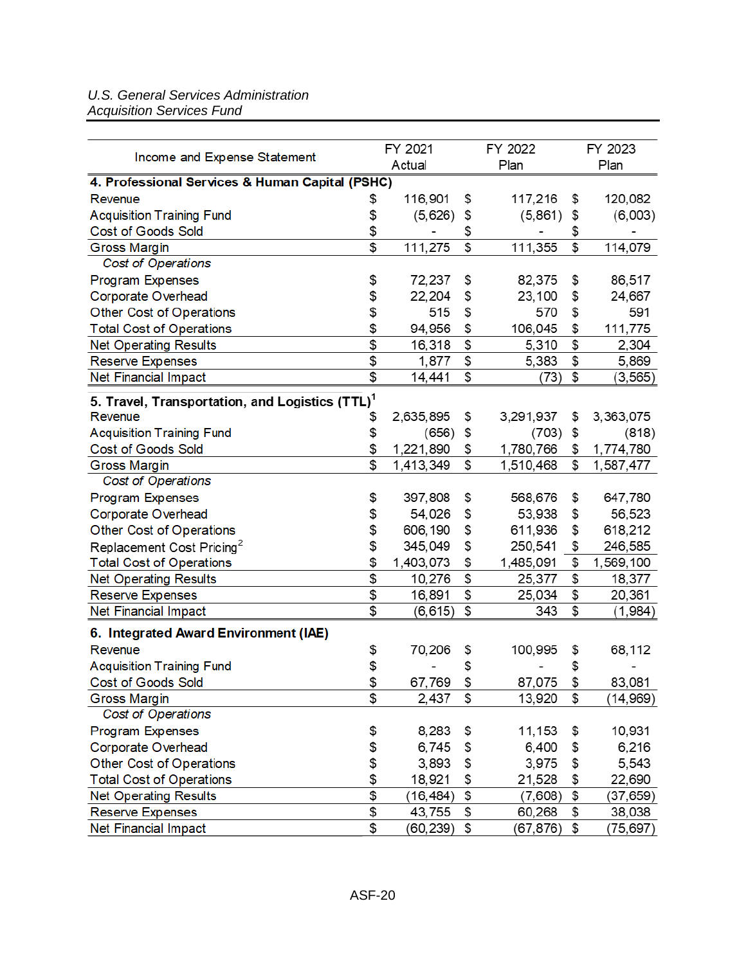#### *U.S. General Services Administration Acquisition Services Fund*

|                                                             |                           | FY 2021   |                           | FY 2022   |    | FY 2023   |  |
|-------------------------------------------------------------|---------------------------|-----------|---------------------------|-----------|----|-----------|--|
| Income and Expense Statement                                |                           | Actual    |                           | Plan      |    | Plan      |  |
| 4. Professional Services & Human Capital (PSHC)             |                           |           |                           |           |    |           |  |
| Revenue                                                     | \$                        | 116,901   | \$                        | 117,216   | \$ | 120,082   |  |
| <b>Acquisition Training Fund</b>                            | \$                        | (5,626)   | \$                        | (5,861)   | \$ | (6,003)   |  |
| <b>Cost of Goods Sold</b>                                   | \$                        |           | \$                        |           | \$ |           |  |
| <b>Gross Margin</b>                                         | \$                        | 111,275   | \$                        | 111,355   | \$ | 114,079   |  |
| Cost of Operations                                          |                           |           |                           |           |    |           |  |
| <b>Program Expenses</b>                                     | \$                        | 72,237    | \$                        | 82,375    | \$ | 86,517    |  |
| Corporate Overhead                                          | \$                        | 22,204    | \$                        | 23,100    | \$ | 24,667    |  |
| Other Cost of Operations                                    | \$                        | 515       | \$                        | 570       | \$ | 591       |  |
| <b>Total Cost of Operations</b>                             | \$                        | 94,956    | \$                        | 106,045   | \$ | 111,775   |  |
| <b>Net Operating Results</b>                                | \$                        | 16,318    | \$                        | 5,310     | \$ | 2,304     |  |
| <b>Reserve Expenses</b>                                     | \$                        | 1,877     | \$                        | 5,383     | \$ | 5,869     |  |
| Net Financial Impact                                        | \$                        | 14,441    | \$                        | (73)      | \$ | (3, 565)  |  |
| 5. Travel, Transportation, and Logistics (TTL) <sup>1</sup> |                           |           |                           |           |    |           |  |
| Revenue                                                     | \$                        | 2,635,895 | \$                        | 3,291,937 | \$ | 3,363,075 |  |
| <b>Acquisition Training Fund</b>                            | \$                        | (656)     | \$                        | (703)     | \$ | (818)     |  |
| <b>Cost of Goods Sold</b>                                   | \$                        | 1,221,890 | \$                        | 1,780,766 | \$ | 1,774,780 |  |
| <b>Gross Margin</b>                                         | \$                        | 1,413,349 | \$                        | 1,510,468 | \$ | 1,587,477 |  |
| Cost of Operations                                          |                           |           |                           |           |    |           |  |
| <b>Program Expenses</b>                                     | \$                        | 397,808   | \$                        | 568,676   | \$ | 647,780   |  |
| Corporate Overhead                                          | \$                        | 54,026    | \$                        | 53,938    | \$ | 56,523    |  |
| Other Cost of Operations                                    | \$                        | 606,190   | \$                        | 611,936   | \$ | 618,212   |  |
| Replacement Cost Pricing <sup>2</sup>                       | \$                        | 345,049   | \$                        | 250,541   | \$ | 246,585   |  |
| <b>Total Cost of Operations</b>                             | \$                        | 1,403,073 | \$                        | 1,485,091 | \$ | 1,569,100 |  |
| <b>Net Operating Results</b>                                | $\overline{\$}$           | 10,276    | $\overline{\mathfrak{s}}$ | 25,377    | \$ | 18,377    |  |
| <b>Reserve Expenses</b>                                     | \$                        | 16,891    | \$                        | 25,034    | \$ | 20,361    |  |
| Net Financial Impact                                        | $\overline{\mathfrak{s}}$ | (6, 615)  | \$                        | 343       | \$ | (1,984)   |  |
| 6. Integrated Award Environment (IAE)                       |                           |           |                           |           |    |           |  |
| Revenue                                                     | \$                        | 70,206    | \$                        | 100,995   | \$ | 68,112    |  |
| <b>Acquisition Training Fund</b>                            | \$                        |           | \$                        |           | \$ |           |  |
| <b>Cost of Goods Sold</b>                                   | $\frac{2}{2}$             | 67,769    | \$                        | 87,075    | \$ | 83,081    |  |
| <b>Gross Margin</b>                                         | $\overline{\mathfrak{s}}$ | 2,437     | \$                        | 13,920    | \$ | (14, 969) |  |
| Cost of Operations                                          |                           |           |                           |           |    |           |  |
| <b>Program Expenses</b>                                     | \$                        | 8,283     | \$                        | 11,153    | \$ | 10,931    |  |
| Corporate Overhead                                          | \$                        | 6,745     | \$                        | 6,400     | \$ | 6,216     |  |
| Other Cost of Operations                                    | \$                        | 3,893     | \$                        | 3,975     | \$ | 5,543     |  |
| <b>Total Cost of Operations</b>                             | \$                        | 18,921    | \$                        | 21,528    | \$ | 22,690    |  |
| <b>Net Operating Results</b>                                | \$                        | (16, 484) | \$                        | (7,608)   | \$ | (37, 659) |  |
| <b>Reserve Expenses</b>                                     | \$                        | 43,755    | \$                        | 60,268    | \$ | 38,038    |  |
| Net Financial Impact                                        | $\overline{\mathfrak{s}}$ | (60, 239) | \$                        | (67,876)  | \$ | (75,697)  |  |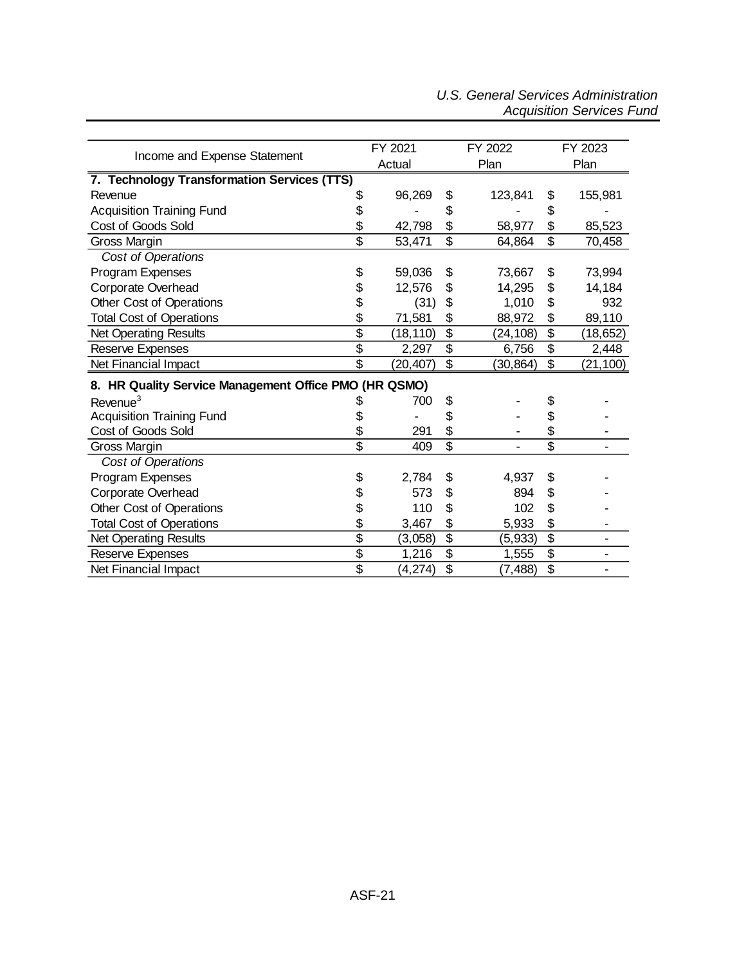#### *U.S. General Services Administration Acquisition Services Fund*

| Income and Expense Statement                          | FY 2021                   |           |                 | FY 2022   |                           | FY 2023   |  |
|-------------------------------------------------------|---------------------------|-----------|-----------------|-----------|---------------------------|-----------|--|
|                                                       |                           | Actual    |                 | Plan      |                           | Plan      |  |
| 7. Technology Transformation Services (TTS)           |                           |           |                 |           |                           |           |  |
| Revenue                                               | \$                        | 96,269    | \$              | 123,841   | \$                        | 155,981   |  |
| <b>Acquisition Training Fund</b>                      | \$                        |           | \$              |           | \$                        |           |  |
| Cost of Goods Sold                                    | \$                        | 42,798    | \$              | 58,977    | \$                        | 85,523    |  |
| Gross Margin                                          | $\overline{\mathfrak{s}}$ | 53,471    | \$              | 64,864    | \$                        | 70,458    |  |
| Cost of Operations                                    |                           |           |                 |           |                           |           |  |
| Program Expenses                                      | \$                        | 59,036    | \$              | 73,667    | \$                        | 73,994    |  |
| Corporate Overhead                                    | \$                        | 12,576    | \$              | 14,295    | \$                        | 14,184    |  |
| Other Cost of Operations                              | \$                        | (31)      | \$              | 1,010     | \$                        | 932       |  |
| <b>Total Cost of Operations</b>                       | \$                        | 71,581    | \$              | 88,972    | \$                        | 89,110    |  |
| <b>Net Operating Results</b>                          | $\overline{\$}$           | (18, 110) | $\overline{\$}$ | (24, 108) | $\overline{\$}$           | (18,652)  |  |
| Reserve Expenses                                      | $\overline{\$}$           | 2,297     | $\overline{\$}$ | 6,756     | \$                        | 2,448     |  |
| Net Financial Impact                                  | $\overline{\$}$           | (20, 407) | \$              | (30, 864) | \$                        | (21, 100) |  |
| 8. HR Quality Service Management Office PMO (HR QSMO) |                           |           |                 |           |                           |           |  |
| Revenue <sup>3</sup>                                  | 2                         | 700       | \$              |           | \$                        |           |  |
| <b>Acquisition Training Fund</b>                      | \$                        |           | \$              |           | \$                        |           |  |
| Cost of Goods Sold                                    | \$                        | 291       | \$              |           | \$                        |           |  |
| Gross Margin                                          | $\overline{\$}$           | 409       | $\overline{\$}$ |           | $\overline{\$}$           |           |  |
| Cost of Operations                                    |                           |           |                 |           |                           |           |  |
| Program Expenses                                      | \$                        | 2,784     | \$              | 4,937     | \$                        |           |  |
| Corporate Overhead                                    |                           | 573       | \$              | 894       | \$                        |           |  |
| Other Cost of Operations                              | \$                        | 110       | \$              | 102       | \$                        |           |  |
| <b>Total Cost of Operations</b>                       | \$                        | 3,467     | \$              | 5,933     | \$                        |           |  |
| <b>Net Operating Results</b>                          | $\overline{\$}$           | (3,058)   | $\overline{\$}$ | (5,933)   | $\overline{\mathfrak{s}}$ |           |  |
| Reserve Expenses                                      | $\overline{\$}$           | 1,216     | $\overline{\$}$ | 1,555     | $\overline{\$}$           |           |  |
| Net Financial Impact                                  | $\overline{\$}$           | (4,274)   | \$              | (7, 488)  | \$                        |           |  |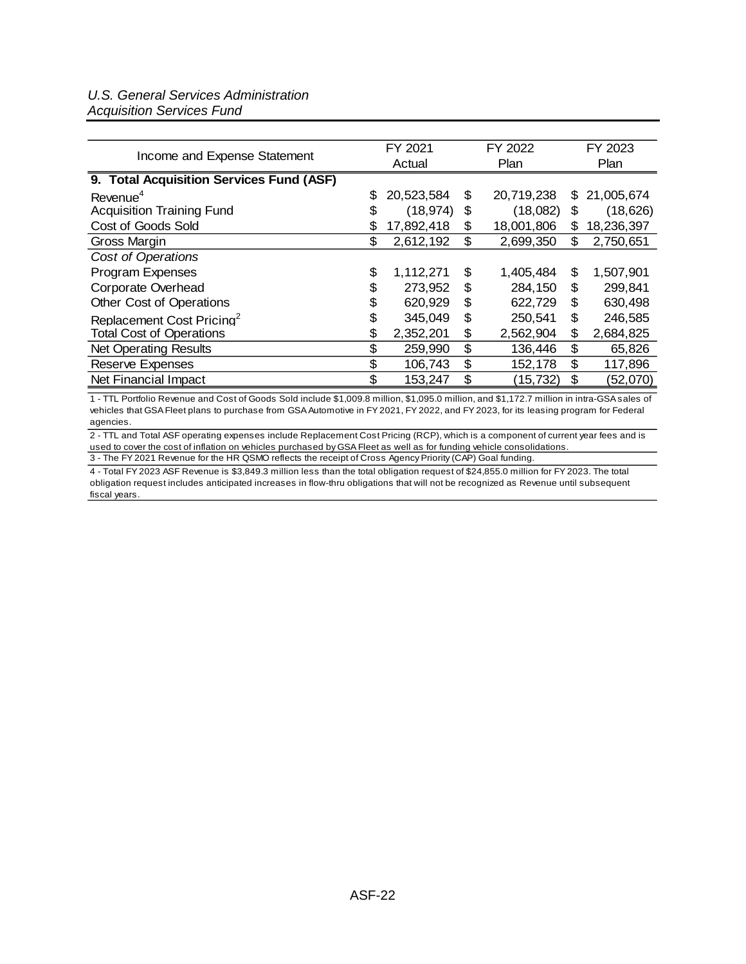#### *U.S. General Services Administration Acquisition Services Fund*

| Income and Expense Statement             |    | FY 2021    |    | FY 2022    |    | FY 2023    |  |
|------------------------------------------|----|------------|----|------------|----|------------|--|
|                                          |    | Actual     |    | Plan       |    | Plan       |  |
| 9. Total Acquisition Services Fund (ASF) |    |            |    |            |    |            |  |
| Revenue <sup>4</sup>                     | \$ | 20,523,584 | S  | 20,719,238 | \$ | 21,005,674 |  |
| <b>Acquisition Training Fund</b>         | S  | (18, 974)  | \$ | (18,082)   | \$ | (18, 626)  |  |
| Cost of Goods Sold                       | \$ | 17,892,418 | \$ | 18,001,806 | \$ | 18,236,397 |  |
| Gross Margin                             | \$ | 2,612,192  | \$ | 2,699,350  | \$ | 2,750,651  |  |
| Cost of Operations                       |    |            |    |            |    |            |  |
| <b>Program Expenses</b>                  | \$ | 1,112,271  | \$ | 1,405,484  | \$ | 1,507,901  |  |
| Corporate Overhead                       | \$ | 273,952    | \$ | 284,150    | \$ | 299,841    |  |
| Other Cost of Operations                 | \$ | 620,929    | \$ | 622,729    | \$ | 630,498    |  |
| Replacement Cost Pricing <sup>2</sup>    | \$ | 345,049    | \$ | 250,541    | \$ | 246,585    |  |
| <b>Total Cost of Operations</b>          | \$ | 2,352,201  | \$ | 2,562,904  | \$ | 2,684,825  |  |
| <b>Net Operating Results</b>             | \$ | 259,990    | \$ | 136,446    | \$ | 65,826     |  |
| <b>Reserve Expenses</b>                  | \$ | 106,743    | \$ | 152,178    | \$ | 117,896    |  |
| Net Financial Impact                     | \$ | 153,247    | \$ | (15, 732)  | \$ | (52,070)   |  |

1 - TTL Portfolio Revenue and Cost of Goods Sold include \$1,009.8 million, \$1,095.0 million, and \$1,172.7 million in intra-GSA sales of vehicles that GSA Fleet plans to purchase from GSA Automotive in FY 2021, FY 2022, and FY 2023, for its leasing program for Federal agencies.

3 - The FY 2021 Revenue for the HR QSMO reflects the receipt of Cross Agency Priority (CAP) Goal funding. 2 - TTL and Total ASF operating expenses include Replacement Cost Pricing (RCP), which is a component of current year fees and is used to cover the cost of inflation on vehicles purchased by GSA Fleet as well as for funding vehicle consolidations.

4 - Total FY 2023 ASF Revenue is \$3,849.3 million less than the total obligation request of \$24,855.0 million for FY 2023. The total obligation request includes anticipated increases in flow-thru obligations that will not be recognized as Revenue until subsequent fiscal years.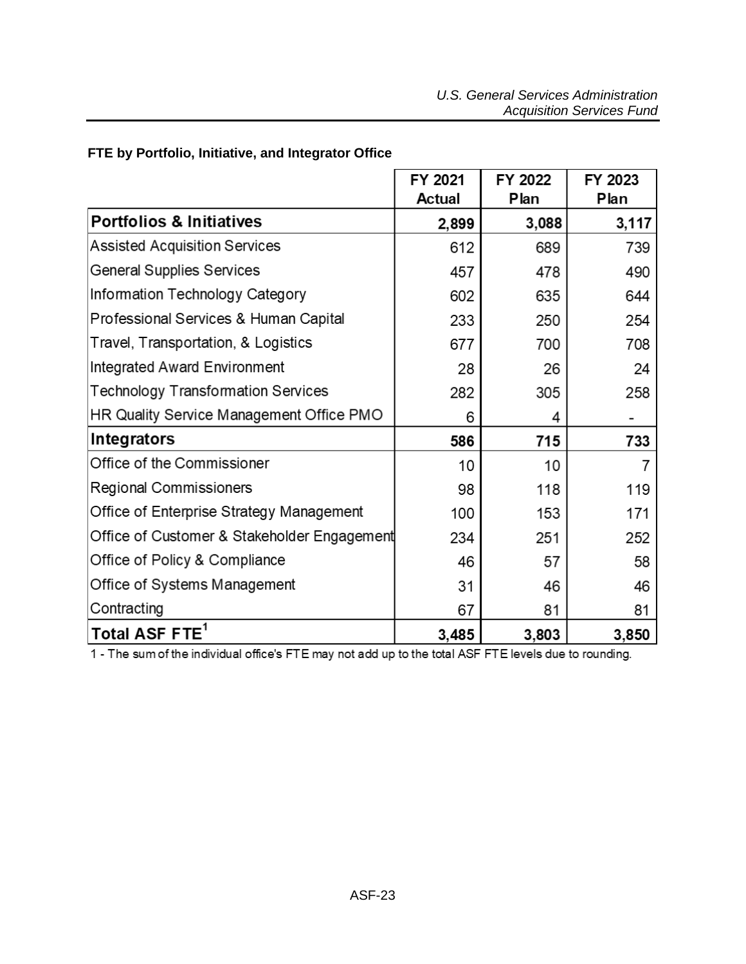|                                             | FY 2021<br><b>Actual</b> | FY 2022<br>Plan | FY 2023<br>Plan |
|---------------------------------------------|--------------------------|-----------------|-----------------|
| <b>Portfolios &amp; Initiatives</b>         | 2,899                    | 3,088           | 3,117           |
| <b>Assisted Acquisition Services</b>        | 612                      | 689             | 739             |
| <b>General Supplies Services</b>            | 457                      | 478             | 490             |
| Information Technology Category             | 602                      | 635             | 644             |
| Professional Services & Human Capital       | 233                      | 250             | 254             |
| Travel, Transportation, & Logistics         | 677                      | 700             | 708             |
| Integrated Award Environment                | 28                       | 26              | 24              |
| <b>Technology Transformation Services</b>   | 282                      | 305             | 258             |
| HR Quality Service Management Office PMO    | 6                        | 4               |                 |
| <b>Integrators</b>                          | 586                      | 715             | 733             |
| Office of the Commissioner                  | 10                       | 10              | 7               |
| <b>Regional Commissioners</b>               | 98                       | 118             | 119             |
| Office of Enterprise Strategy Management    | 100                      | 153             | 171             |
| Office of Customer & Stakeholder Engagement | 234                      | 251             | 252             |
| Office of Policy & Compliance               | 46                       | 57              | 58              |
| Office of Systems Management                | 31                       | 46              | 46              |
| Contracting                                 | 67                       | 81              | 81              |
| Total ASF FTE <sup>1</sup>                  | 3,485                    | 3,803           | 3,850           |

## <span id="page-22-0"></span>**FTE by Portfolio, Initiative, and Integrator Office**

1 - The sum of the individual office's FTE may not add up to the total ASF FTE levels due to rounding.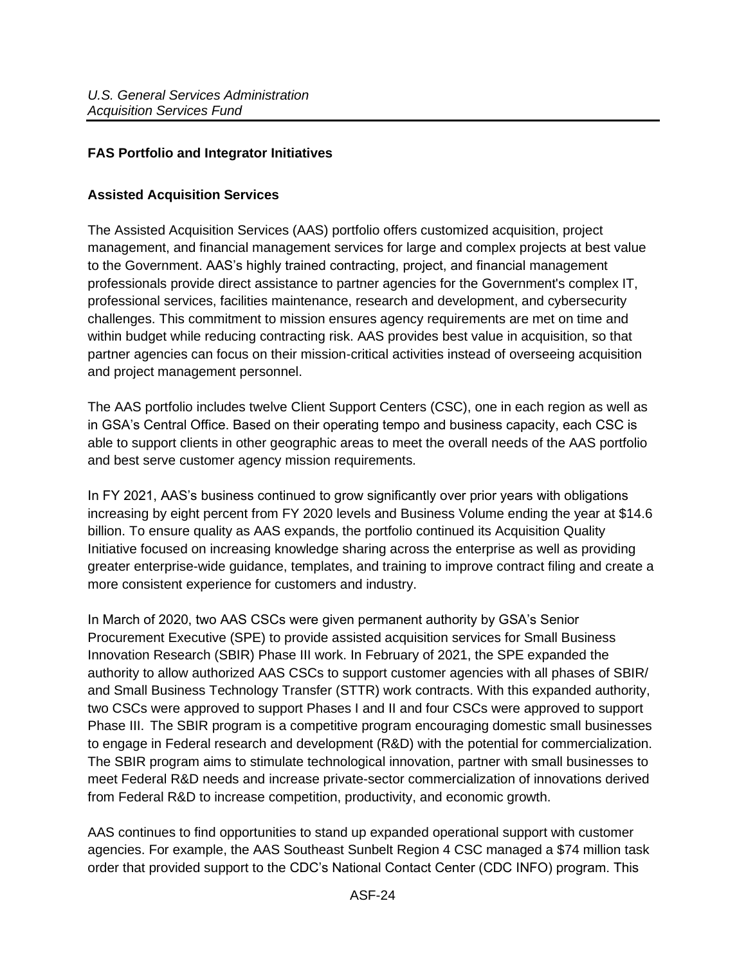## <span id="page-23-0"></span>**FAS Portfolio and Integrator Initiatives**

#### <span id="page-23-1"></span>**Assisted Acquisition Services**

The Assisted Acquisition Services (AAS) portfolio offers customized acquisition, project management, and financial management services for large and complex projects at best value to the Government. AAS's highly trained contracting, project, and financial management professionals provide direct assistance to partner agencies for the Government's complex IT, professional services, facilities maintenance, research and development, and cybersecurity challenges. This commitment to mission ensures agency requirements are met on time and within budget while reducing contracting risk. AAS provides best value in acquisition, so that partner agencies can focus on their mission-critical activities instead of overseeing acquisition and project management personnel.

The AAS portfolio includes twelve Client Support Centers (CSC), one in each region as well as in GSA's Central Office. Based on their operating tempo and business capacity, each CSC is able to support clients in other geographic areas to meet the overall needs of the AAS portfolio and best serve customer agency mission requirements.

In FY 2021, AAS's business continued to grow significantly over prior years with obligations increasing by eight percent from FY 2020 levels and Business Volume ending the year at \$14.6 billion. To ensure quality as AAS expands, the portfolio continued its Acquisition Quality Initiative focused on increasing knowledge sharing across the enterprise as well as providing greater enterprise-wide guidance, templates, and training to improve contract filing and create a more consistent experience for customers and industry.

In March of 2020, two AAS CSCs were given permanent authority by GSA's Senior Procurement Executive (SPE) to provide assisted acquisition services for Small Business Innovation Research (SBIR) Phase III work. In February of 2021, the SPE expanded the authority to allow authorized AAS CSCs to support customer agencies with all phases of SBIR/ and Small Business Technology Transfer (STTR) work contracts. With this expanded authority, two CSCs were approved to support Phases I and II and four CSCs were approved to support Phase III. The SBIR program is a competitive program encouraging domestic small businesses to engage in Federal research and development (R&D) with the potential for commercialization. The SBIR program aims to stimulate technological innovation, partner with small businesses to meet Federal R&D needs and increase private-sector commercialization of innovations derived from Federal R&D to increase competition, productivity, and economic growth.

AAS continues to find opportunities to stand up expanded operational support with customer agencies. For example, the AAS Southeast Sunbelt Region 4 CSC managed a \$74 million task order that provided support to the CDC's National Contact Center (CDC INFO) program. This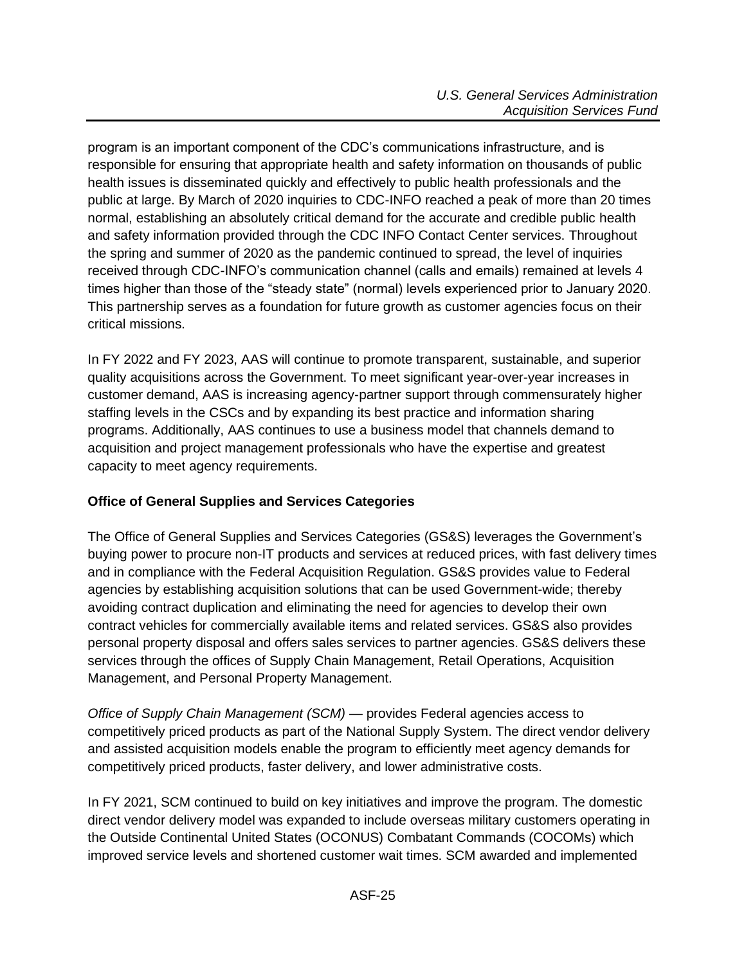program is an important component of the CDC's communications infrastructure, and is responsible for ensuring that appropriate health and safety information on thousands of public health issues is disseminated quickly and effectively to public health professionals and the public at large. By March of 2020 inquiries to CDC-INFO reached a peak of more than 20 times normal, establishing an absolutely critical demand for the accurate and credible public health and safety information provided through the CDC INFO Contact Center services. Throughout the spring and summer of 2020 as the pandemic continued to spread, the level of inquiries received through CDC-INFO's communication channel (calls and emails) remained at levels 4 times higher than those of the "steady state" (normal) levels experienced prior to January 2020. This partnership serves as a foundation for future growth as customer agencies focus on their critical missions.

In FY 2022 and FY 2023, AAS will continue to promote transparent, sustainable, and superior quality acquisitions across the Government. To meet significant year-over-year increases in customer demand, AAS is increasing agency-partner support through commensurately higher staffing levels in the CSCs and by expanding its best practice and information sharing programs. Additionally, AAS continues to use a business model that channels demand to acquisition and project management professionals who have the expertise and greatest capacity to meet agency requirements.

## <span id="page-24-0"></span>**Office of General Supplies and Services Categories**

The Office of General Supplies and Services Categories (GS&S) leverages the Government's buying power to procure non-IT products and services at reduced prices, with fast delivery times and in compliance with the Federal Acquisition Regulation. GS&S provides value to Federal agencies by establishing acquisition solutions that can be used Government-wide; thereby avoiding contract duplication and eliminating the need for agencies to develop their own contract vehicles for commercially available items and related services. GS&S also provides personal property disposal and offers sales services to partner agencies. GS&S delivers these services through the offices of Supply Chain Management, Retail Operations, Acquisition Management, and Personal Property Management.

*Office of Supply Chain Management (SCM)* — provides Federal agencies access to competitively priced products as part of the National Supply System. The direct vendor delivery and assisted acquisition models enable the program to efficiently meet agency demands for competitively priced products, faster delivery, and lower administrative costs.

In FY 2021, SCM continued to build on key initiatives and improve the program. The domestic direct vendor delivery model was expanded to include overseas military customers operating in the Outside Continental United States (OCONUS) Combatant Commands (COCOMs) which improved service levels and shortened customer wait times. SCM awarded and implemented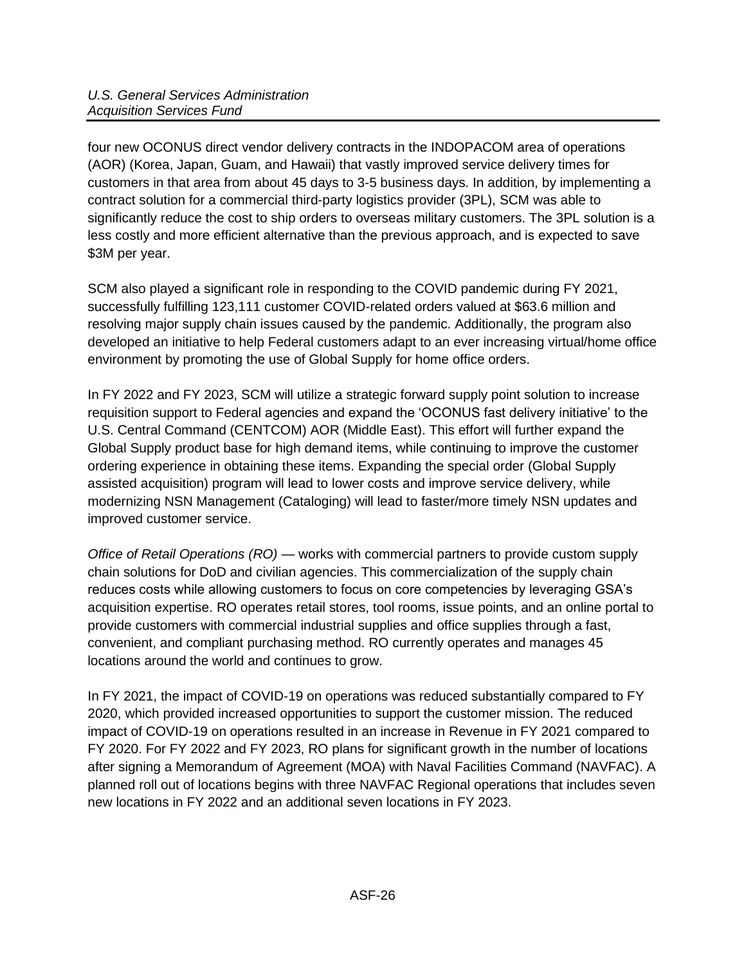four new OCONUS direct vendor delivery contracts in the INDOPACOM area of operations (AOR) (Korea, Japan, Guam, and Hawaii) that vastly improved service delivery times for customers in that area from about 45 days to 3-5 business days. In addition, by implementing a contract solution for a commercial third-party logistics provider (3PL), SCM was able to significantly reduce the cost to ship orders to overseas military customers. The 3PL solution is a less costly and more efficient alternative than the previous approach, and is expected to save \$3M per year.

SCM also played a significant role in responding to the COVID pandemic during FY 2021, successfully fulfilling 123,111 customer COVID-related orders valued at \$63.6 million and resolving major supply chain issues caused by the pandemic. Additionally, the program also developed an initiative to help Federal customers adapt to an ever increasing virtual/home office environment by promoting the use of Global Supply for home office orders.

In FY 2022 and FY 2023, SCM will utilize a strategic forward supply point solution to increase requisition support to Federal agencies and expand the 'OCONUS fast delivery initiative' to the U.S. Central Command (CENTCOM) AOR (Middle East). This effort will further expand the Global Supply product base for high demand items, while continuing to improve the customer ordering experience in obtaining these items. Expanding the special order (Global Supply assisted acquisition) program will lead to lower costs and improve service delivery, while modernizing NSN Management (Cataloging) will lead to faster/more timely NSN updates and improved customer service.

*Office of Retail Operations (RO) —* works with commercial partners to provide custom supply chain solutions for DoD and civilian agencies. This commercialization of the supply chain reduces costs while allowing customers to focus on core competencies by leveraging GSA's acquisition expertise. RO operates retail stores, tool rooms, issue points, and an online portal to provide customers with commercial industrial supplies and office supplies through a fast, convenient, and compliant purchasing method. RO currently operates and manages 45 locations around the world and continues to grow.

In FY 2021, the impact of COVID-19 on operations was reduced substantially compared to FY 2020, which provided increased opportunities to support the customer mission. The reduced impact of COVID-19 on operations resulted in an increase in Revenue in FY 2021 compared to FY 2020. For FY 2022 and FY 2023, RO plans for significant growth in the number of locations after signing a Memorandum of Agreement (MOA) with Naval Facilities Command (NAVFAC). A planned roll out of locations begins with three NAVFAC Regional operations that includes seven new locations in FY 2022 and an additional seven locations in FY 2023.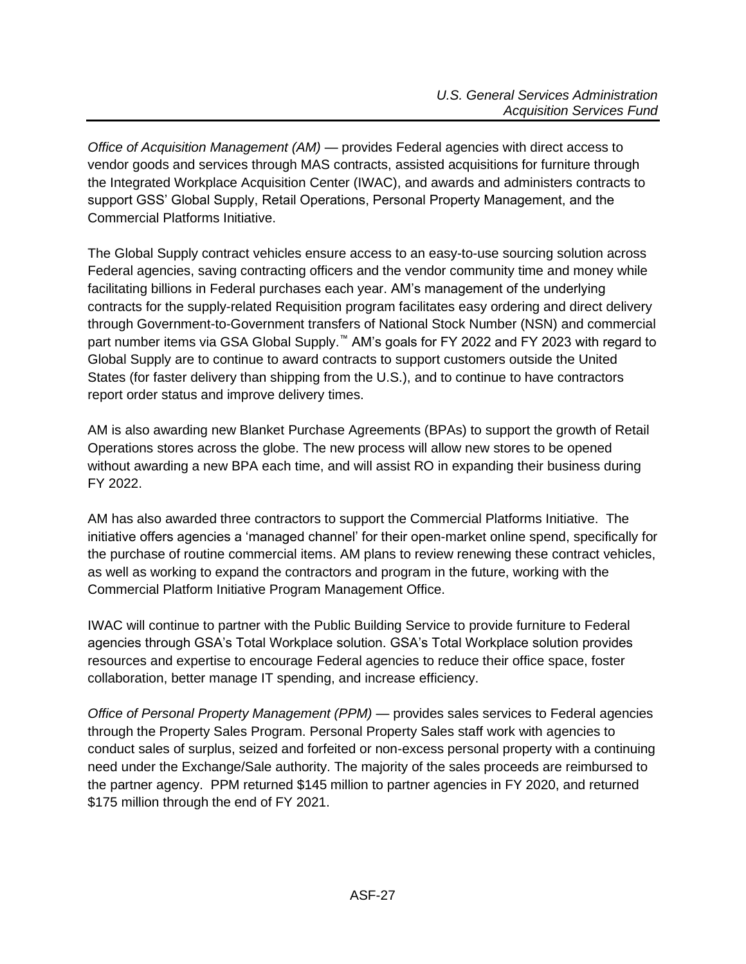*Office of Acquisition Management (AM) —* provides Federal agencies with direct access to vendor goods and services through MAS contracts, assisted acquisitions for furniture through the Integrated Workplace Acquisition Center (IWAC), and awards and administers contracts to support GSS' Global Supply, Retail Operations, Personal Property Management, and the Commercial Platforms Initiative.

The Global Supply contract vehicles ensure access to an easy-to-use sourcing solution across Federal agencies, saving contracting officers and the vendor community time and money while facilitating billions in Federal purchases each year. AM's management of the underlying contracts for the supply-related Requisition program facilitates easy ordering and direct delivery through Government-to-Government transfers of National Stock Number (NSN) and commercial part number items via GSA Global Supply.<sup>™</sup> AM's goals for FY 2022 and FY 2023 with regard to Global Supply are to continue to award contracts to support customers outside the United States (for faster delivery than shipping from the U.S.), and to continue to have contractors report order status and improve delivery times.

AM is also awarding new Blanket Purchase Agreements (BPAs) to support the growth of Retail Operations stores across the globe. The new process will allow new stores to be opened without awarding a new BPA each time, and will assist RO in expanding their business during FY 2022.

AM has also awarded three contractors to support the Commercial Platforms Initiative. The initiative offers agencies a 'managed channel' for their open-market online spend, specifically for the purchase of routine commercial items. AM plans to review renewing these contract vehicles, as well as working to expand the contractors and program in the future, working with the Commercial Platform Initiative Program Management Office.

IWAC will continue to partner with the Public Building Service to provide furniture to Federal agencies through GSA's Total Workplace solution. GSA's Total Workplace solution provides resources and expertise to encourage Federal agencies to reduce their office space, foster collaboration, better manage IT spending, and increase efficiency.

*Office of Personal Property Management (PPM)* — provides sales services to Federal agencies through the Property Sales Program. Personal Property Sales staff work with agencies to conduct sales of surplus, seized and forfeited or non-excess personal property with a continuing need under the Exchange/Sale authority. The majority of the sales proceeds are reimbursed to the partner agency. PPM returned \$145 million to partner agencies in FY 2020, and returned \$175 million through the end of FY 2021.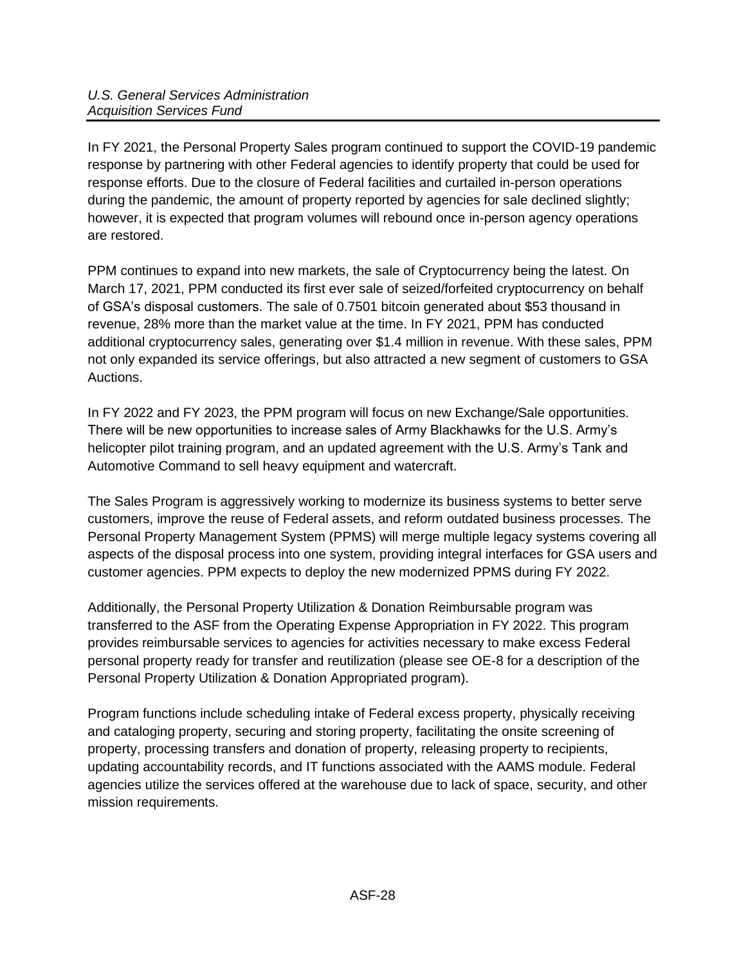In FY 2021, the Personal Property Sales program continued to support the COVID-19 pandemic response by partnering with other Federal agencies to identify property that could be used for response efforts. Due to the closure of Federal facilities and curtailed in-person operations during the pandemic, the amount of property reported by agencies for sale declined slightly; however, it is expected that program volumes will rebound once in-person agency operations are restored.

PPM continues to expand into new markets, the sale of Cryptocurrency being the latest. On March 17, 2021, PPM conducted its first ever sale of seized/forfeited cryptocurrency on behalf of GSA's disposal customers. The sale of 0.7501 bitcoin generated about \$53 thousand in revenue, 28% more than the market value at the time. In FY 2021, PPM has conducted additional cryptocurrency sales, generating over \$1.4 million in revenue. With these sales, PPM not only expanded its service offerings, but also attracted a new segment of customers to GSA Auctions.

In FY 2022 and FY 2023, the PPM program will focus on new Exchange/Sale opportunities. There will be new opportunities to increase sales of Army Blackhawks for the U.S. Army's helicopter pilot training program, and an updated agreement with the U.S. Army's Tank and Automotive Command to sell heavy equipment and watercraft.

The Sales Program is aggressively working to modernize its business systems to better serve customers, improve the reuse of Federal assets, and reform outdated business processes. The Personal Property Management System (PPMS) will merge multiple legacy systems covering all aspects of the disposal process into one system, providing integral interfaces for GSA users and customer agencies. PPM expects to deploy the new modernized PPMS during FY 2022.

Additionally, the Personal Property Utilization & Donation Reimbursable program was transferred to the ASF from the Operating Expense Appropriation in FY 2022. This program provides reimbursable services to agencies for activities necessary to make excess Federal personal property ready for transfer and reutilization (please see OE-8 for a description of the Personal Property Utilization & Donation Appropriated program).

Program functions include scheduling intake of Federal excess property, physically receiving and cataloging property, securing and storing property, facilitating the onsite screening of property, processing transfers and donation of property, releasing property to recipients, updating accountability records, and IT functions associated with the AAMS module. Federal agencies utilize the services offered at the warehouse due to lack of space, security, and other mission requirements.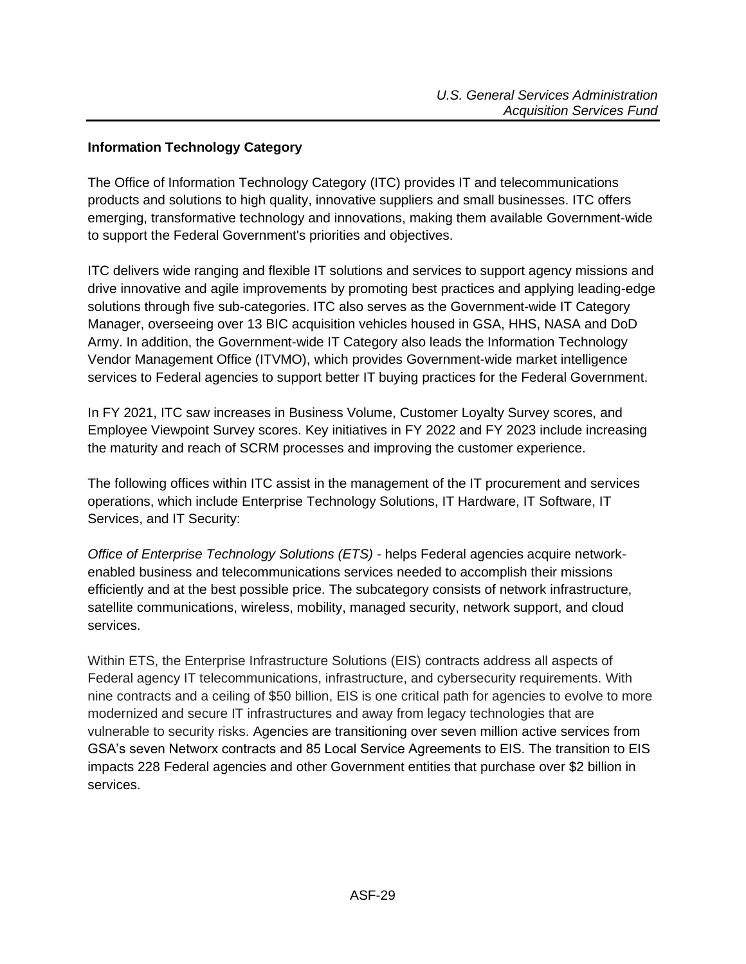#### <span id="page-28-0"></span>**Information Technology Category**

The Office of Information Technology Category (ITC) provides IT and telecommunications products and solutions to high quality, innovative suppliers and small businesses. ITC offers emerging, transformative technology and innovations, making them available Government-wide to support the Federal Government's priorities and objectives.

ITC delivers wide ranging and flexible IT solutions and services to support agency missions and drive innovative and agile improvements by promoting best practices and applying leading-edge solutions through five sub-categories. ITC also serves as the Government-wide IT Category Manager, overseeing over 13 BIC acquisition vehicles housed in GSA, HHS, NASA and DoD Army. In addition, the Government-wide IT Category also leads the Information Technology Vendor Management Office (ITVMO), which provides Government-wide market intelligence services to Federal agencies to support better IT buying practices for the Federal Government.

In FY 2021, ITC saw increases in Business Volume, Customer Loyalty Survey scores, and Employee Viewpoint Survey scores. Key initiatives in FY 2022 and FY 2023 include increasing the maturity and reach of SCRM processes and improving the customer experience.

The following offices within ITC assist in the management of the IT procurement and services operations, which include Enterprise Technology Solutions, IT Hardware, IT Software, IT Services, and IT Security:

*Office of Enterprise Technology Solutions (ETS)* - helps Federal agencies acquire networkenabled business and telecommunications services needed to accomplish their missions efficiently and at the best possible price. The subcategory consists of network infrastructure, satellite communications, wireless, mobility, managed security, network support, and cloud services.

Within ETS, the Enterprise Infrastructure Solutions (EIS) contracts address all aspects of Federal agency IT telecommunications, infrastructure, and cybersecurity requirements. With nine contracts and a ceiling of \$50 billion, EIS is one critical path for agencies to evolve to more modernized and secure IT infrastructures and away from legacy technologies that are vulnerable to security risks. Agencies are transitioning over seven million active services from GSA's seven Networx contracts and 85 Local Service Agreements to EIS. The transition to EIS impacts 228 Federal agencies and other Government entities that purchase over \$2 billion in services.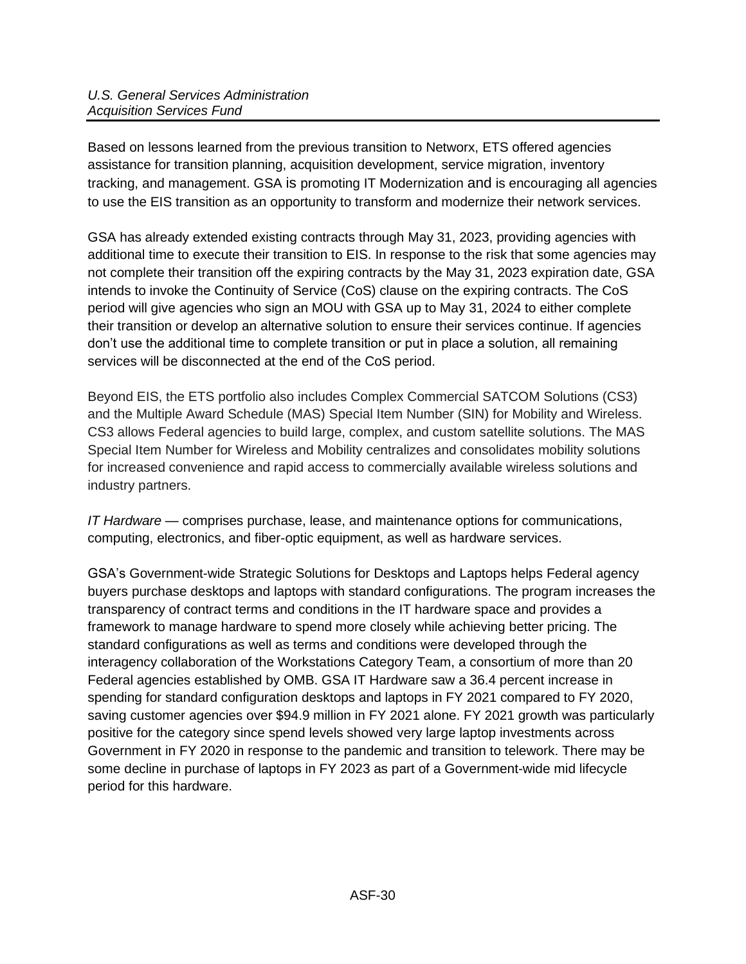Based on lessons learned from the previous transition to Networx, ETS offered agencies assistance for transition planning, acquisition development, service migration, inventory tracking, and management. GSA is promoting IT Modernization and is encouraging all agencies to use the EIS transition as an opportunity to transform and modernize their network services.

GSA has already extended existing contracts through May 31, 2023, providing agencies with additional time to execute their transition to EIS. In response to the risk that some agencies may not complete their transition off the expiring contracts by the May 31, 2023 expiration date, GSA intends to invoke the Continuity of Service (CoS) clause on the expiring contracts. The CoS period will give agencies who sign an MOU with GSA up to May 31, 2024 to either complete their transition or develop an alternative solution to ensure their services continue. If agencies don't use the additional time to complete transition or put in place a solution, all remaining services will be disconnected at the end of the CoS period.

Beyond EIS, the ETS portfolio also includes Complex Commercial SATCOM Solutions (CS3) and the Multiple Award Schedule (MAS) Special Item Number (SIN) for Mobility and Wireless. CS3 allows Federal agencies to build large, complex, and custom satellite solutions. The MAS Special Item Number for Wireless and Mobility centralizes and consolidates mobility solutions for increased convenience and rapid access to commercially available wireless solutions and industry partners.

*IT Hardware* — comprises purchase, lease, and maintenance options for communications, computing, electronics, and fiber-optic equipment, as well as hardware services.

GSA's Government-wide Strategic Solutions for Desktops and Laptops helps Federal agency buyers purchase desktops and laptops with standard configurations. The program increases the transparency of contract terms and conditions in the IT hardware space and provides a framework to manage hardware to spend more closely while achieving better pricing. The standard configurations as well as terms and conditions were developed through the interagency collaboration of the Workstations Category Team, a consortium of more than 20 Federal agencies established by OMB. GSA IT Hardware saw a 36.4 percent increase in spending for standard configuration desktops and laptops in FY 2021 compared to FY 2020, saving customer agencies over \$94.9 million in FY 2021 alone. FY 2021 growth was particularly positive for the category since spend levels showed very large laptop investments across Government in FY 2020 in response to the pandemic and transition to telework. There may be some decline in purchase of laptops in FY 2023 as part of a Government-wide mid lifecycle period for this hardware.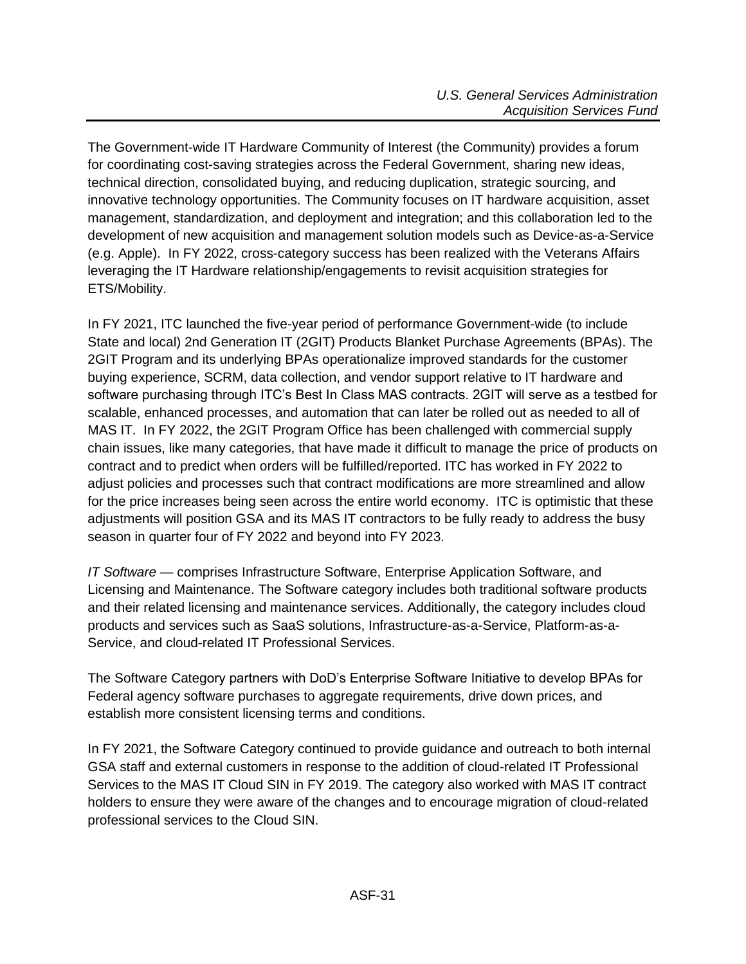The Government-wide IT Hardware Community of Interest (the Community) provides a forum for coordinating cost-saving strategies across the Federal Government, sharing new ideas, technical direction, consolidated buying, and reducing duplication, strategic sourcing, and innovative technology opportunities. The Community focuses on IT hardware acquisition, asset management, standardization, and deployment and integration; and this collaboration led to the development of new acquisition and management solution models such as Device-as-a-Service (e.g. Apple). In FY 2022, cross-category success has been realized with the Veterans Affairs leveraging the IT Hardware relationship/engagements to revisit acquisition strategies for ETS/Mobility.

In FY 2021, ITC launched the five-year period of performance Government-wide (to include State and local) 2nd Generation IT (2GIT) Products Blanket Purchase Agreements (BPAs). The 2GIT Program and its underlying BPAs operationalize improved standards for the customer buying experience, SCRM, data collection, and vendor support relative to IT hardware and software purchasing through ITC's Best In Class MAS contracts. 2GIT will serve as a testbed for scalable, enhanced processes, and automation that can later be rolled out as needed to all of MAS IT. In FY 2022, the 2GIT Program Office has been challenged with commercial supply chain issues, like many categories, that have made it difficult to manage the price of products on contract and to predict when orders will be fulfilled/reported. ITC has worked in FY 2022 to adjust policies and processes such that contract modifications are more streamlined and allow for the price increases being seen across the entire world economy. ITC is optimistic that these adjustments will position GSA and its MAS IT contractors to be fully ready to address the busy season in quarter four of FY 2022 and beyond into FY 2023.

*IT Software* — comprises Infrastructure Software, Enterprise Application Software, and Licensing and Maintenance. The Software category includes both traditional software products and their related licensing and maintenance services. Additionally, the category includes cloud products and services such as SaaS solutions, Infrastructure-as-a-Service, Platform-as-a-Service, and cloud-related IT Professional Services.

The Software Category partners with DoD's Enterprise Software Initiative to develop BPAs for Federal agency software purchases to aggregate requirements, drive down prices, and establish more consistent licensing terms and conditions.

In FY 2021, the Software Category continued to provide guidance and outreach to both internal GSA staff and external customers in response to the addition of cloud-related IT Professional Services to the MAS IT Cloud SIN in FY 2019. The category also worked with MAS IT contract holders to ensure they were aware of the changes and to encourage migration of cloud-related professional services to the Cloud SIN.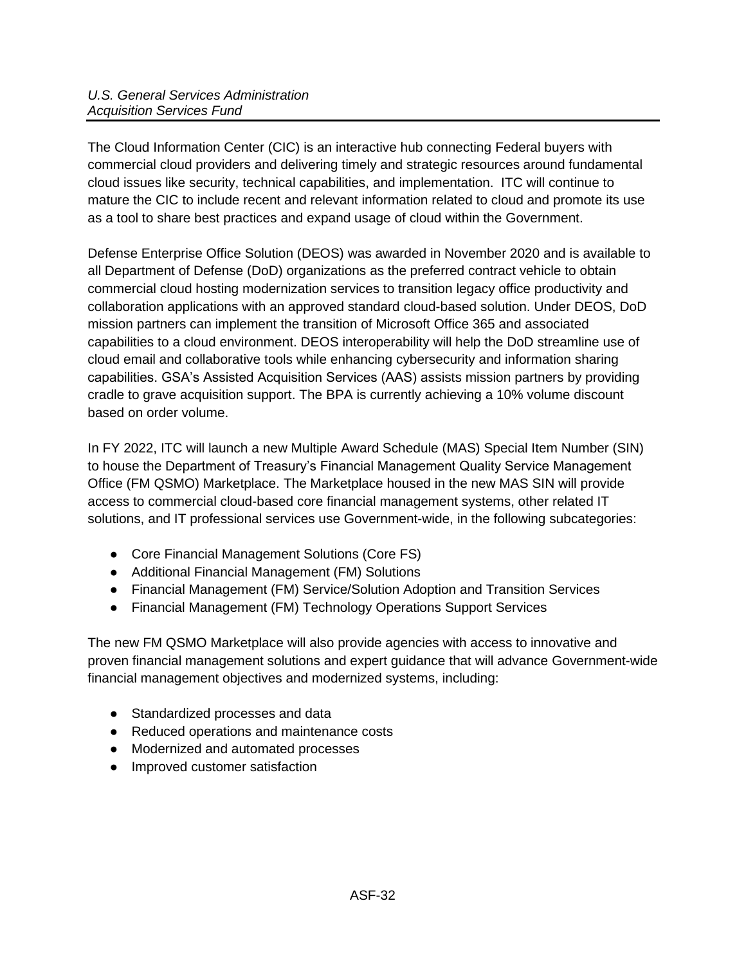The Cloud Information Center (CIC) is an interactive hub connecting Federal buyers with commercial cloud providers and delivering timely and strategic resources around fundamental cloud issues like security, technical capabilities, and implementation. ITC will continue to mature the CIC to include recent and relevant information related to cloud and promote its use as a tool to share best practices and expand usage of cloud within the Government.

Defense Enterprise Office Solution (DEOS) was awarded in November 2020 and is available to all Department of Defense (DoD) organizations as the preferred contract vehicle to obtain commercial cloud hosting modernization services to transition legacy office productivity and collaboration applications with an approved standard cloud-based solution. Under DEOS, DoD mission partners can implement the transition of Microsoft Office 365 and associated capabilities to a cloud environment. DEOS interoperability will help the DoD streamline use of cloud email and collaborative tools while enhancing cybersecurity and information sharing capabilities. GSA's Assisted Acquisition Services (AAS) assists mission partners by providing cradle to grave acquisition support. The BPA is currently achieving a 10% volume discount based on order volume.

In FY 2022, ITC will launch a new Multiple Award Schedule (MAS) Special Item Number (SIN) to house the Department of Treasury's Financial Management Quality Service Management Office (FM QSMO) Marketplace. The Marketplace housed in the new MAS SIN will provide access to commercial cloud-based core financial management systems, other related IT solutions, and IT professional services use Government-wide, in the following subcategories:

- Core Financial Management Solutions (Core FS)
- Additional Financial Management (FM) Solutions
- Financial Management (FM) Service/Solution Adoption and Transition Services
- Financial Management (FM) Technology Operations Support Services

The new FM QSMO Marketplace will also provide agencies with access to innovative and proven financial management solutions and expert guidance that will advance Government-wide financial management objectives and modernized systems, including:

- Standardized processes and data
- Reduced operations and maintenance costs
- Modernized and automated processes
- Improved customer satisfaction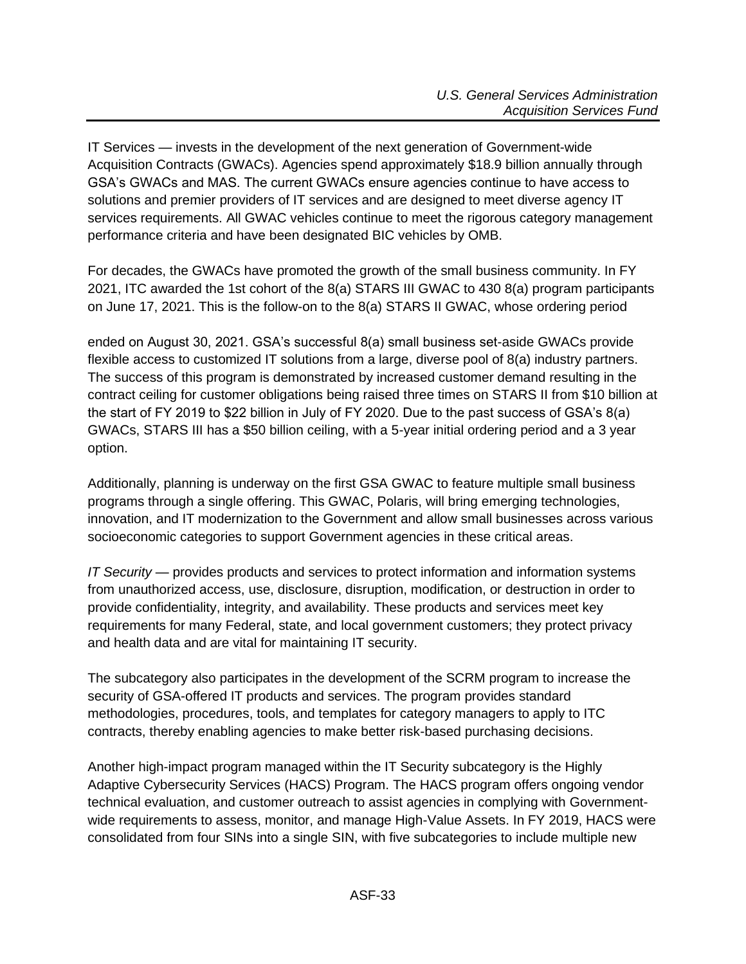IT Services — invests in the development of the next generation of Government-wide Acquisition Contracts (GWACs). Agencies spend approximately \$18.9 billion annually through GSA's GWACs and MAS. The current GWACs ensure agencies continue to have access to solutions and premier providers of IT services and are designed to meet diverse agency IT services requirements. All GWAC vehicles continue to meet the rigorous category management performance criteria and have been designated BIC vehicles by OMB.

For decades, the GWACs have promoted the growth of the small business community. In FY 2021, ITC awarded the 1st cohort of the 8(a) STARS III GWAC to 430 8(a) program participants on June 17, 2021. This is the follow-on to the 8(a) STARS II GWAC, whose ordering period

ended on August 30, 2021. GSA's successful 8(a) small business set-aside GWACs provide flexible access to customized IT solutions from a large, diverse pool of 8(a) industry partners. The success of this program is demonstrated by increased customer demand resulting in the contract ceiling for customer obligations being raised three times on STARS II from \$10 billion at the start of FY 2019 to \$22 billion in July of FY 2020. Due to the past success of GSA's 8(a) GWACs, STARS III has a \$50 billion ceiling, with a 5-year initial ordering period and a 3 year option.

Additionally, planning is underway on the first GSA GWAC to feature multiple small business programs through a single offering. This GWAC, Polaris, will bring emerging technologies, innovation, and IT modernization to the Government and allow small businesses across various socioeconomic categories to support Government agencies in these critical areas.

*IT Security* — provides products and services to protect information and information systems from unauthorized access, use, disclosure, disruption, modification, or destruction in order to provide confidentiality, integrity, and availability. These products and services meet key requirements for many Federal, state, and local government customers; they protect privacy and health data and are vital for maintaining IT security.

The subcategory also participates in the development of the SCRM program to increase the security of GSA-offered IT products and services. The program provides standard methodologies, procedures, tools, and templates for category managers to apply to ITC contracts, thereby enabling agencies to make better risk-based purchasing decisions.

Another high-impact program managed within the IT Security subcategory is the Highly Adaptive Cybersecurity Services (HACS) Program. The HACS program offers ongoing vendor technical evaluation, and customer outreach to assist agencies in complying with Governmentwide requirements to assess, monitor, and manage High-Value Assets. In FY 2019, HACS were consolidated from four SINs into a single SIN, with five subcategories to include multiple new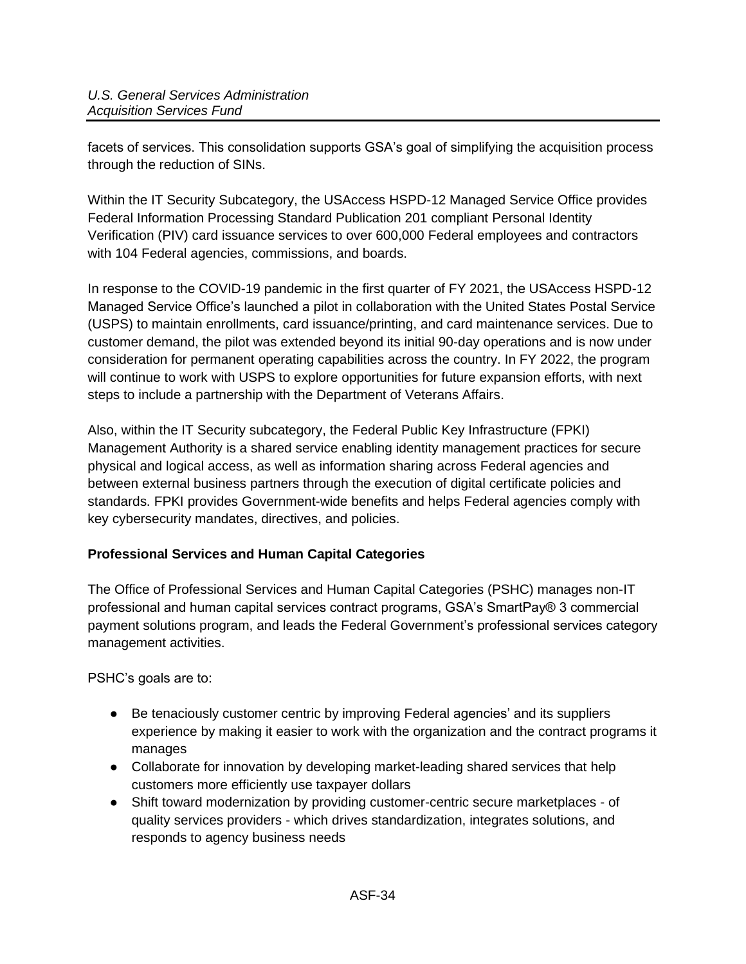facets of services. This consolidation supports GSA's goal of simplifying the acquisition process through the reduction of SINs.

Within the IT Security Subcategory, the USAccess HSPD-12 Managed Service Office provides Federal Information Processing Standard Publication 201 compliant Personal Identity Verification (PIV) card issuance services to over 600,000 Federal employees and contractors with 104 Federal agencies, commissions, and boards.

In response to the COVID-19 pandemic in the first quarter of FY 2021, the USAccess HSPD-12 Managed Service Office's launched a pilot in collaboration with the United States Postal Service (USPS) to maintain enrollments, card issuance/printing, and card maintenance services. Due to customer demand, the pilot was extended beyond its initial 90-day operations and is now under consideration for permanent operating capabilities across the country. In FY 2022, the program will continue to work with USPS to explore opportunities for future expansion efforts, with next steps to include a partnership with the Department of Veterans Affairs.

Also, within the IT Security subcategory, the Federal Public Key Infrastructure (FPKI) Management Authority is a shared service enabling identity management practices for secure physical and logical access, as well as information sharing across Federal agencies and between external business partners through the execution of digital certificate policies and standards. FPKI provides Government-wide benefits and helps Federal agencies comply with key cybersecurity mandates, directives, and policies.

## <span id="page-33-0"></span>**Professional Services and Human Capital Categories**

The Office of Professional Services and Human Capital Categories (PSHC) manages non-IT professional and human capital services contract programs, GSA's SmartPay® 3 commercial payment solutions program, and leads the Federal Government's professional services category management activities.

PSHC's goals are to:

- Be tenaciously customer centric by improving Federal agencies' and its suppliers experience by making it easier to work with the organization and the contract programs it manages
- Collaborate for innovation by developing market-leading shared services that help customers more efficiently use taxpayer dollars
- Shift toward modernization by providing customer-centric secure marketplaces of quality services providers - which drives standardization, integrates solutions, and responds to agency business needs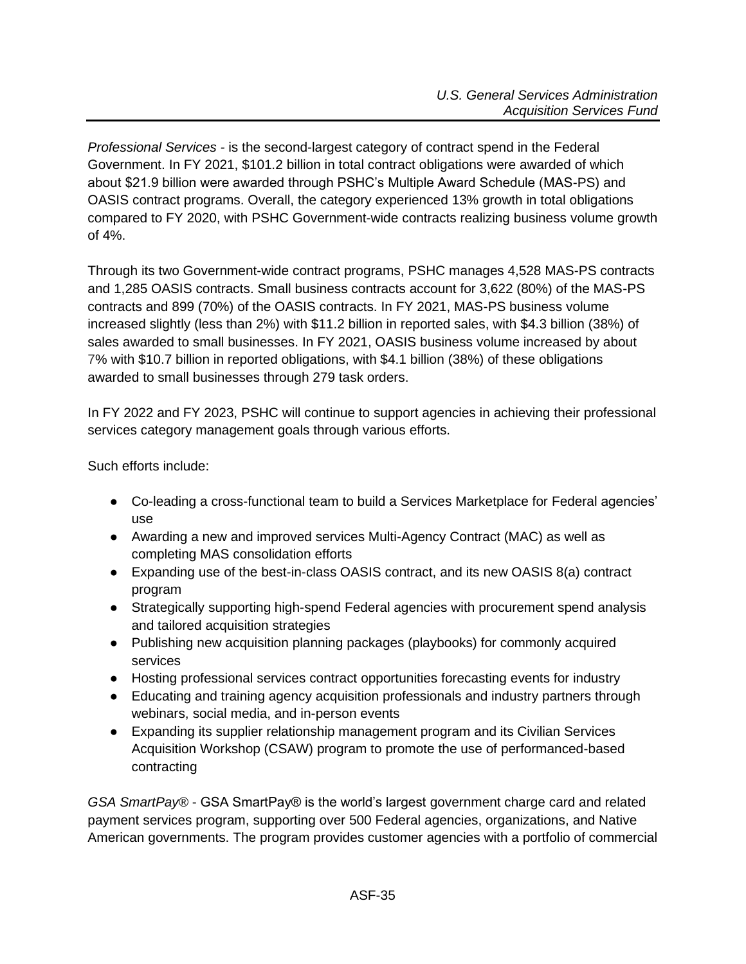*Professional Services -* is the second-largest category of contract spend in the Federal Government. In FY 2021, \$101.2 billion in total contract obligations were awarded of which about \$21.9 billion were awarded through PSHC's Multiple Award Schedule (MAS-PS) and OASIS contract programs. Overall, the category experienced 13% growth in total obligations compared to FY 2020, with PSHC Government-wide contracts realizing business volume growth of 4%.

Through its two Government-wide contract programs, PSHC manages 4,528 MAS-PS contracts and 1,285 OASIS contracts. Small business contracts account for 3,622 (80%) of the MAS-PS contracts and 899 (70%) of the OASIS contracts. In FY 2021, MAS-PS business volume increased slightly (less than 2%) with \$11.2 billion in reported sales, with \$4.3 billion (38%) of sales awarded to small businesses. In FY 2021, OASIS business volume increased by about 7% with \$10.7 billion in reported obligations, with \$4.1 billion (38%) of these obligations awarded to small businesses through 279 task orders.

In FY 2022 and FY 2023, PSHC will continue to support agencies in achieving their professional services category management goals through various efforts.

Such efforts include:

- Co-leading a cross-functional team to build a Services Marketplace for Federal agencies' use
- Awarding a new and improved services Multi-Agency Contract (MAC) as well as completing MAS consolidation efforts
- $\bullet$  Expanding use of the best-in-class OASIS contract, and its new OASIS 8(a) contract program
- Strategically supporting high-spend Federal agencies with procurement spend analysis and tailored acquisition strategies
- Publishing new acquisition planning packages (playbooks) for commonly acquired services
- Hosting professional services contract opportunities forecasting events for industry
- Educating and training agency acquisition professionals and industry partners through webinars, social media, and in-person events
- Expanding its supplier relationship management program and its Civilian Services Acquisition Workshop (CSAW) program to promote the use of performanced-based contracting

*GSA SmartPay®* - GSA SmartPay® is the world's largest government charge card and related payment services program, supporting over 500 Federal agencies, organizations, and Native American governments. The program provides customer agencies with a portfolio of commercial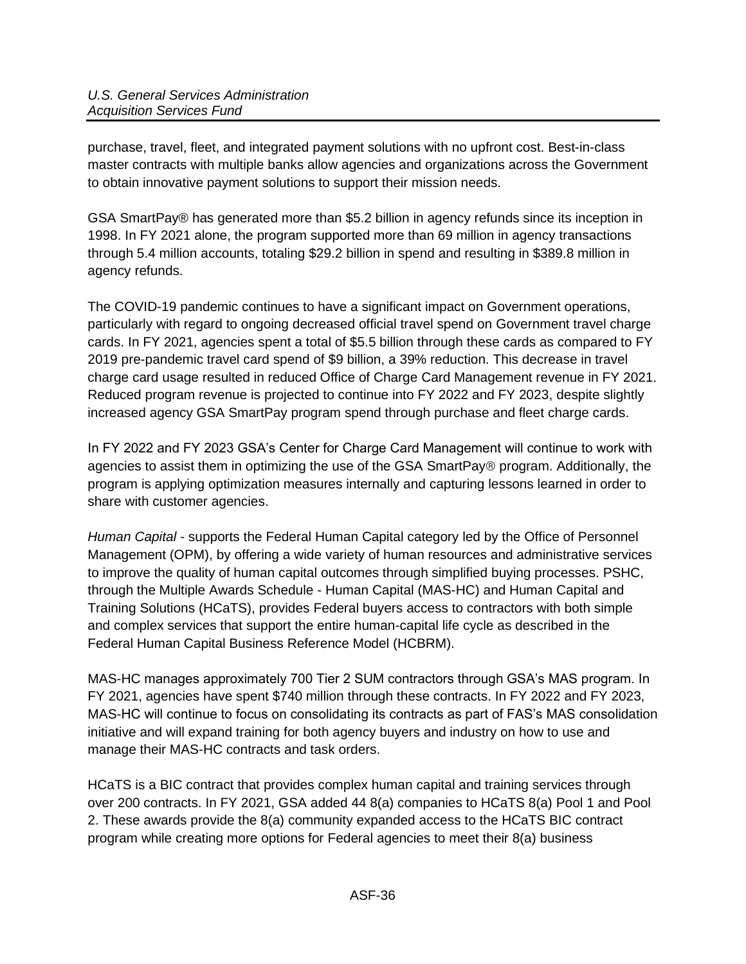purchase, travel, fleet, and integrated payment solutions with no upfront cost. Best-in-class master contracts with multiple banks allow agencies and organizations across the Government to obtain innovative payment solutions to support their mission needs.

GSA SmartPay® has generated more than \$5.2 billion in agency refunds since its inception in 1998. In FY 2021 alone, the program supported more than 69 million in agency transactions through 5.4 million accounts, totaling \$29.2 billion in spend and resulting in \$389.8 million in agency refunds.

The COVID-19 pandemic continues to have a significant impact on Government operations, particularly with regard to ongoing decreased official travel spend on Government travel charge cards. In FY 2021, agencies spent a total of \$5.5 billion through these cards as compared to FY 2019 pre-pandemic travel card spend of \$9 billion, a 39% reduction. This decrease in travel charge card usage resulted in reduced Office of Charge Card Management revenue in FY 2021. Reduced program revenue is projected to continue into FY 2022 and FY 2023, despite slightly increased agency GSA SmartPay program spend through purchase and fleet charge cards.

In FY 2022 and FY 2023 GSA's Center for Charge Card Management will continue to work with agencies to assist them in optimizing the use of the GSA SmartPay® program. Additionally, the program is applying optimization measures internally and capturing lessons learned in order to share with customer agencies.

*Human Capital -* supports the Federal Human Capital category led by the Office of Personnel Management (OPM), by offering a wide variety of human resources and administrative services to improve the quality of human capital outcomes through simplified buying processes. PSHC, through the Multiple Awards Schedule - Human Capital (MAS-HC) and Human Capital and Training Solutions (HCaTS), provides Federal buyers access to contractors with both simple and complex services that support the entire human-capital life cycle as described in the Federal Human Capital Business Reference Model (HCBRM).

MAS-HC manages approximately 700 Tier 2 SUM contractors through GSA's MAS program. In FY 2021, agencies have spent \$740 million through these contracts. In FY 2022 and FY 2023, MAS-HC will continue to focus on consolidating its contracts as part of FAS's MAS consolidation initiative and will expand training for both agency buyers and industry on how to use and manage their MAS-HC contracts and task orders.

HCaTS is a BIC contract that provides complex human capital and training services through over 200 contracts. In FY 2021, GSA added 44 8(a) companies to HCaTS 8(a) Pool 1 and Pool 2. These awards provide the 8(a) community expanded access to the HCaTS BIC contract program while creating more options for Federal agencies to meet their 8(a) business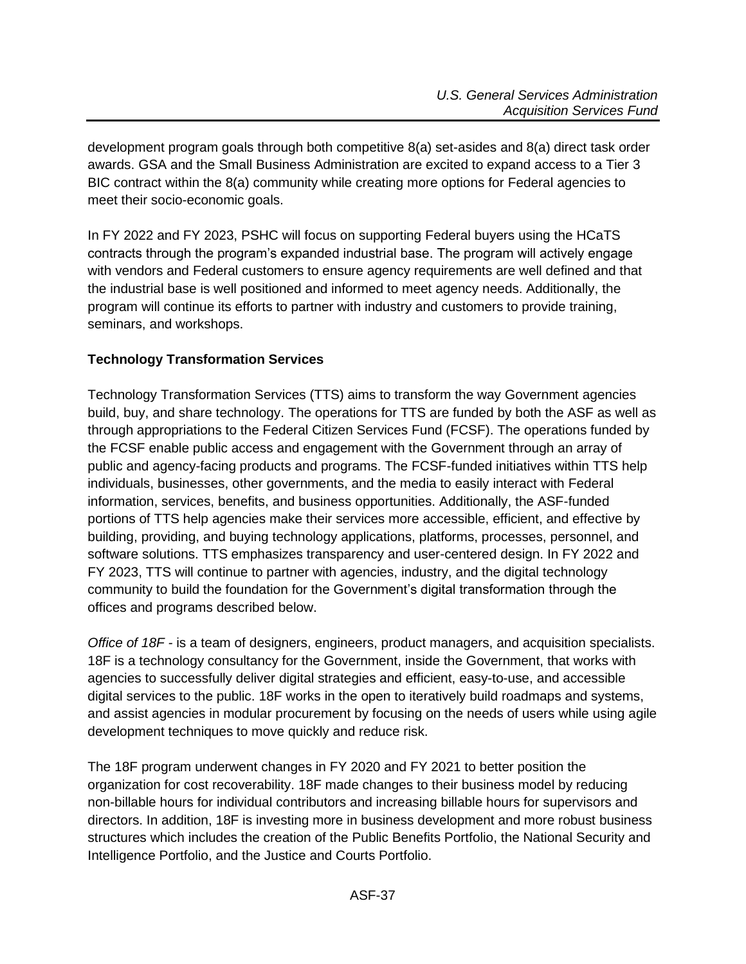development program goals through both competitive 8(a) set-asides and 8(a) direct task order awards. GSA and the Small Business Administration are excited to expand access to a Tier 3 BIC contract within the 8(a) community while creating more options for Federal agencies to meet their socio-economic goals.

In FY 2022 and FY 2023, PSHC will focus on supporting Federal buyers using the HCaTS contracts through the program's expanded industrial base. The program will actively engage with vendors and Federal customers to ensure agency requirements are well defined and that the industrial base is well positioned and informed to meet agency needs. Additionally, the program will continue its efforts to partner with industry and customers to provide training, seminars, and workshops.

# <span id="page-36-0"></span>**Technology Transformation Services**

Technology Transformation Services (TTS) aims to transform the way Government agencies build, buy, and share technology. The operations for TTS are funded by both the ASF as well as through appropriations to the Federal Citizen Services Fund (FCSF). The operations funded by the FCSF enable public access and engagement with the Government through an array of public and agency-facing products and programs. The FCSF-funded initiatives within TTS help individuals, businesses, other governments, and the media to easily interact with Federal information, services, benefits, and business opportunities. Additionally, the ASF-funded portions of TTS help agencies make their services more accessible, efficient, and effective by building, providing, and buying technology applications, platforms, processes, personnel, and software solutions. TTS emphasizes transparency and user-centered design. In FY 2022 and FY 2023, TTS will continue to partner with agencies, industry, and the digital technology community to build the foundation for the Government's digital transformation through the offices and programs described below.

*Office of 18F -* is a team of designers, engineers, product managers, and acquisition specialists. 18F is a technology consultancy for the Government, inside the Government, that works with agencies to successfully deliver digital strategies and efficient, easy-to-use, and accessible digital services to the public. 18F works in the open to iteratively build roadmaps and systems, and assist agencies in modular procurement by focusing on the needs of users while using agile development techniques to move quickly and reduce risk.

The 18F program underwent changes in FY 2020 and FY 2021 to better position the organization for cost recoverability. 18F made changes to their business model by reducing non-billable hours for individual contributors and increasing billable hours for supervisors and directors. In addition, 18F is investing more in business development and more robust business structures which includes the creation of the Public Benefits Portfolio, the National Security and Intelligence Portfolio, and the Justice and Courts Portfolio.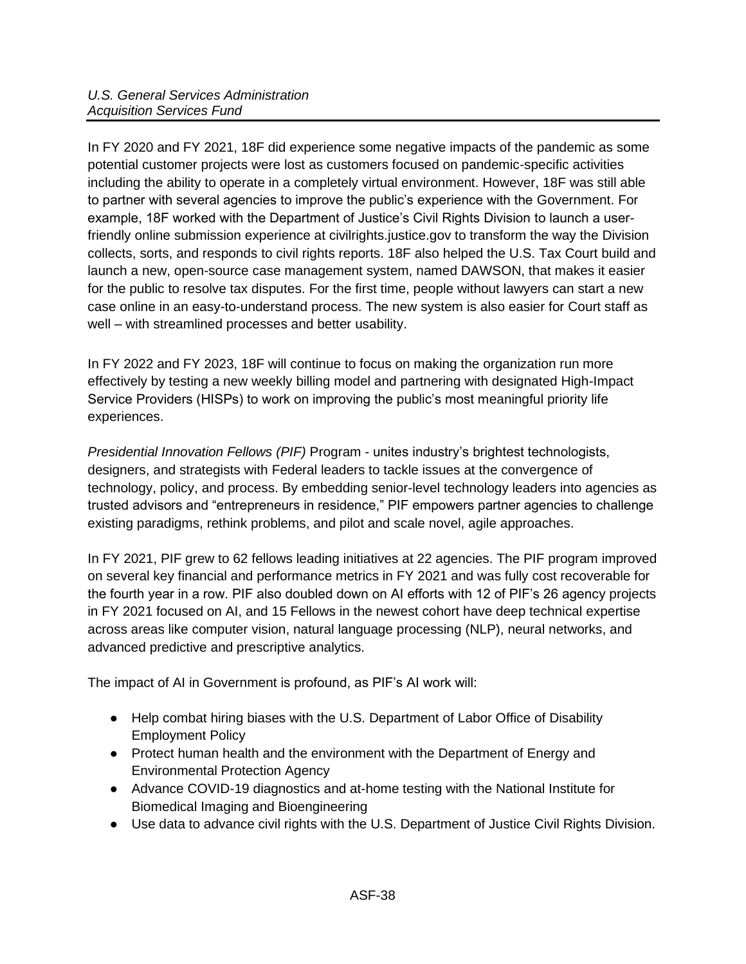In FY 2020 and FY 2021, 18F did experience some negative impacts of the pandemic as some potential customer projects were lost as customers focused on pandemic-specific activities including the ability to operate in a completely virtual environment. However, 18F was still able to partner with several agencies to improve the public's experience with the Government. For example, 18F worked with the Department of Justice's Civil Rights Division to launch a userfriendly online submission experience at civilrights.justice.gov to transform the way the Division collects, sorts, and responds to civil rights reports. 18F also helped the U.S. Tax Court build and launch a new, open-source case management system, named DAWSON, that makes it easier for the public to resolve tax disputes. For the first time, people without lawyers can start a new case online in an easy-to-understand process. The new system is also easier for Court staff as well – with streamlined processes and better usability.

In FY 2022 and FY 2023, 18F will continue to focus on making the organization run more effectively by testing a new weekly billing model and partnering with designated High-Impact Service Providers (HISPs) to work on improving the public's most meaningful priority life experiences.

*Presidential Innovation Fellows (PIF)* Program - unites industry's brightest technologists, designers, and strategists with Federal leaders to tackle issues at the convergence of technology, policy, and process. By embedding senior-level technology leaders into agencies as trusted advisors and "entrepreneurs in residence," PIF empowers partner agencies to challenge existing paradigms, rethink problems, and pilot and scale novel, agile approaches.

In FY 2021, PIF grew to 62 fellows leading initiatives at 22 agencies. The PIF program improved on several key financial and performance metrics in FY 2021 and was fully cost recoverable for the fourth year in a row. PIF also doubled down on AI efforts with 12 of PIF's 26 agency projects in FY 2021 focused on AI, and 15 Fellows in the newest cohort have deep technical expertise across areas like computer vision, natural language processing (NLP), neural networks, and advanced predictive and prescriptive analytics.

The impact of AI in Government is profound, as PIF's AI work will:

- Help combat hiring biases with the U.S. Department of Labor Office of Disability Employment Policy
- Protect human health and the environment with the Department of Energy and Environmental Protection Agency
- Advance COVID-19 diagnostics and at-home testing with the National Institute for Biomedical Imaging and Bioengineering
- Use data to advance civil rights with the U.S. Department of Justice Civil Rights Division.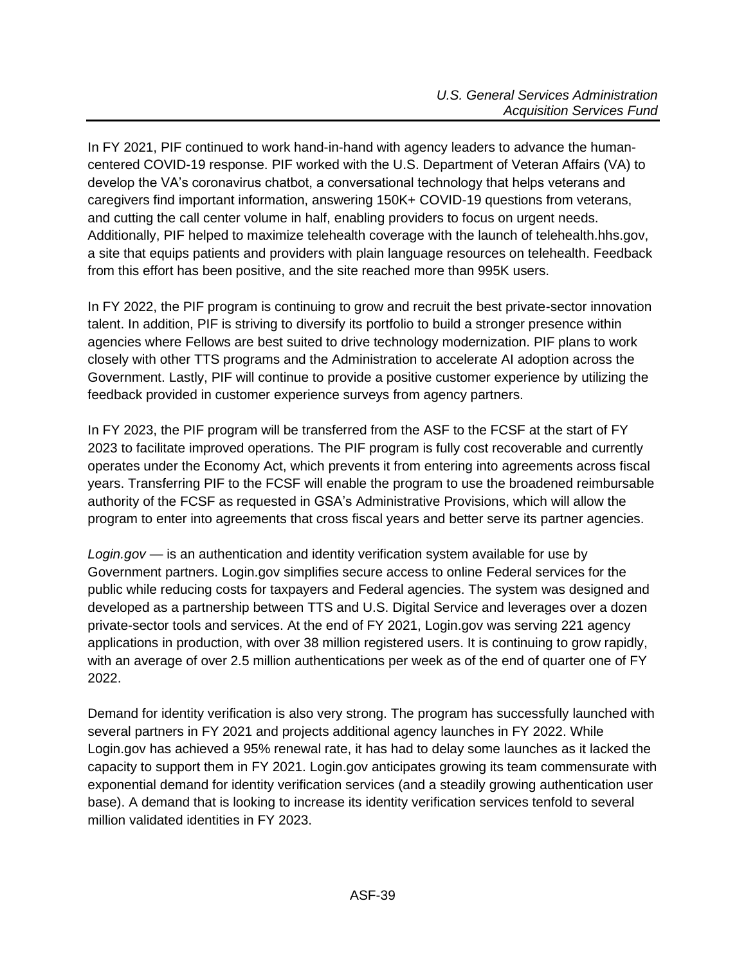In FY 2021, PIF continued to work hand-in-hand with agency leaders to advance the humancentered COVID-19 response. PIF worked with the U.S. Department of Veteran Affairs (VA) to develop the VA's coronavirus chatbot, a conversational technology that helps veterans and caregivers find important information, answering 150K+ COVID-19 questions from veterans, and cutting the call center volume in half, enabling providers to focus on urgent needs. Additionally, PIF helped to maximize telehealth coverage with the launch of telehealth.hhs.gov, a site that equips patients and providers with plain language resources on telehealth. Feedback from this effort has been positive, and the site reached more than 995K users.

In FY 2022, the PIF program is continuing to grow and recruit the best private-sector innovation talent. In addition, PIF is striving to diversify its portfolio to build a stronger presence within agencies where Fellows are best suited to drive technology modernization. PIF plans to work closely with other TTS programs and the Administration to accelerate AI adoption across the Government. Lastly, PIF will continue to provide a positive customer experience by utilizing the feedback provided in customer experience surveys from agency partners.

In FY 2023, the PIF program will be transferred from the ASF to the FCSF at the start of FY 2023 to facilitate improved operations. The PIF program is fully cost recoverable and currently operates under the Economy Act, which prevents it from entering into agreements across fiscal years. Transferring PIF to the FCSF will enable the program to use the broadened reimbursable authority of the FCSF as requested in GSA's Administrative Provisions, which will allow the program to enter into agreements that cross fiscal years and better serve its partner agencies.

*Login.gov* — is an authentication and identity verification system available for use by Government partners. Login.gov simplifies secure access to online Federal services for the public while reducing costs for taxpayers and Federal agencies. The system was designed and developed as a partnership between TTS and U.S. Digital Service and leverages over a dozen private-sector tools and services. At the end of FY 2021, Login.gov was serving 221 agency applications in production, with over 38 million registered users. It is continuing to grow rapidly, with an average of over 2.5 million authentications per week as of the end of quarter one of FY 2022.

Demand for identity verification is also very strong. The program has successfully launched with several partners in FY 2021 and projects additional agency launches in FY 2022. While Login.gov has achieved a 95% renewal rate, it has had to delay some launches as it lacked the capacity to support them in FY 2021. Login.gov anticipates growing its team commensurate with exponential demand for identity verification services (and a steadily growing authentication user base). A demand that is looking to increase its identity verification services tenfold to several million validated identities in FY 2023.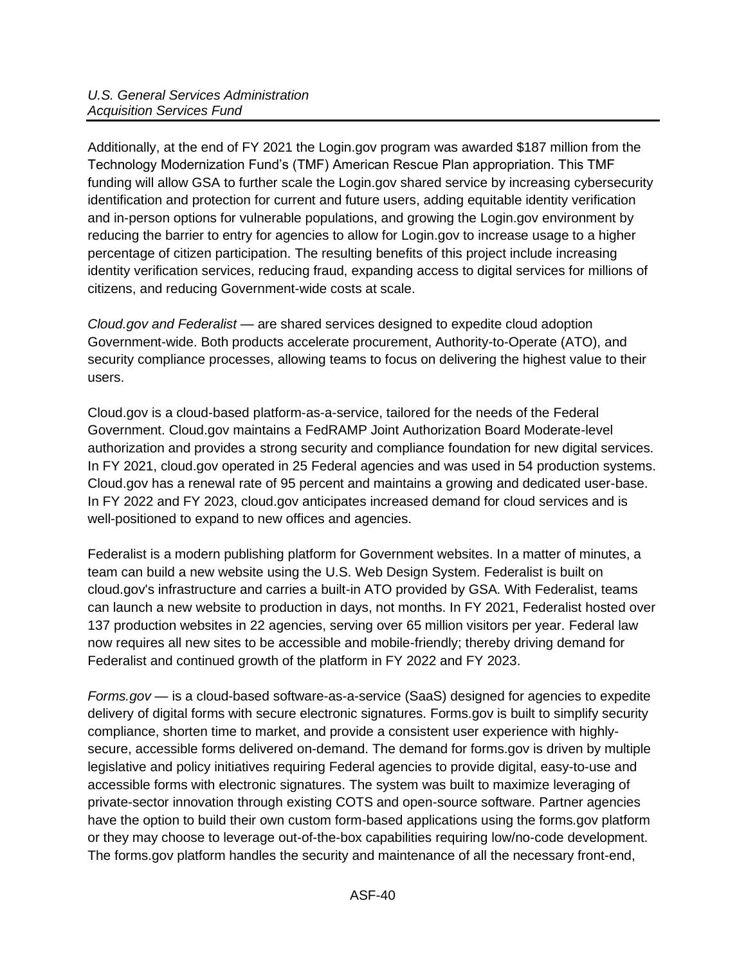Additionally, at the end of FY 2021 the Login.gov program was awarded \$187 million from the Technology Modernization Fund's (TMF) American Rescue Plan appropriation. This TMF funding will allow GSA to further scale the Login.gov shared service by increasing cybersecurity identification and protection for current and future users, adding equitable identity verification and in-person options for vulnerable populations, and growing the Login.gov environment by reducing the barrier to entry for agencies to allow for Login.gov to increase usage to a higher percentage of citizen participation. The resulting benefits of this project include increasing identity verification services, reducing fraud, expanding access to digital services for millions of citizens, and reducing Government-wide costs at scale.

*Cloud.gov and Federalist* — are shared services designed to expedite cloud adoption Government-wide. Both products accelerate procurement, Authority-to-Operate (ATO), and security compliance processes, allowing teams to focus on delivering the highest value to their users.

Cloud.gov is a cloud-based platform-as-a-service, tailored for the needs of the Federal Government. Cloud.gov maintains a FedRAMP Joint Authorization Board Moderate-level authorization and provides a strong security and compliance foundation for new digital services. In FY 2021, cloud.gov operated in 25 Federal agencies and was used in 54 production systems. Cloud.gov has a renewal rate of 95 percent and maintains a growing and dedicated user-base. In FY 2022 and FY 2023, cloud.gov anticipates increased demand for cloud services and is well-positioned to expand to new offices and agencies.

Federalist is a modern publishing platform for Government websites. In a matter of minutes, a team can build a new website using the U.S. Web Design System. Federalist is built on cloud.gov's infrastructure and carries a built-in ATO provided by GSA. With Federalist, teams can launch a new website to production in days, not months. In FY 2021, Federalist hosted over 137 production websites in 22 agencies, serving over 65 million visitors per year. Federal law now requires all new sites to be accessible and mobile-friendly; thereby driving demand for Federalist and continued growth of the platform in FY 2022 and FY 2023.

*Forms.gov* — is a cloud-based software-as-a-service (SaaS) designed for agencies to expedite delivery of digital forms with secure electronic signatures. Forms.gov is built to simplify security compliance, shorten time to market, and provide a consistent user experience with highlysecure, accessible forms delivered on-demand. The demand for forms.gov is driven by multiple legislative and policy initiatives requiring Federal agencies to provide digital, easy-to-use and accessible forms with electronic signatures. The system was built to maximize leveraging of private-sector innovation through existing COTS and open-source software. Partner agencies have the option to build their own custom form-based applications using the forms.gov platform or they may choose to leverage out-of-the-box capabilities requiring low/no-code development. The forms.gov platform handles the security and maintenance of all the necessary front-end,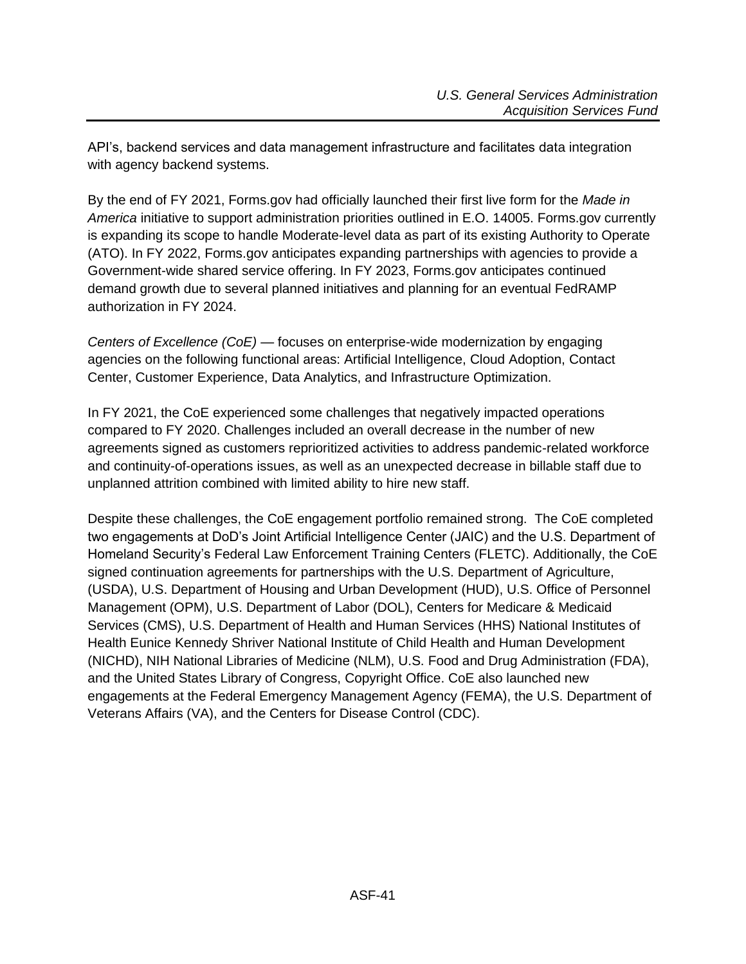API's, backend services and data management infrastructure and facilitates data integration with agency backend systems.

By the end of FY 2021, Forms.gov had officially launched their first live form for the *Made in America* initiative to support administration priorities outlined in E.O. 14005. Forms.gov currently is expanding its scope to handle Moderate-level data as part of its existing Authority to Operate (ATO). In FY 2022, Forms.gov anticipates expanding partnerships with agencies to provide a Government-wide shared service offering. In FY 2023, Forms.gov anticipates continued demand growth due to several planned initiatives and planning for an eventual FedRAMP authorization in FY 2024.

*Centers of Excellence (CoE)* — focuses on enterprise-wide modernization by engaging agencies on the following functional areas: Artificial Intelligence, Cloud Adoption, Contact Center, Customer Experience, Data Analytics, and Infrastructure Optimization.

In FY 2021, the CoE experienced some challenges that negatively impacted operations compared to FY 2020. Challenges included an overall decrease in the number of new agreements signed as customers reprioritized activities to address pandemic-related workforce and continuity-of-operations issues, as well as an unexpected decrease in billable staff due to unplanned attrition combined with limited ability to hire new staff.

Despite these challenges, the CoE engagement portfolio remained strong. The CoE completed two engagements at DoD's Joint Artificial Intelligence Center (JAIC) and the U.S. Department of Homeland Security's Federal Law Enforcement Training Centers (FLETC). Additionally, the CoE signed continuation agreements for partnerships with the U.S. Department of Agriculture, (USDA), U.S. Department of Housing and Urban Development (HUD), U.S. Office of Personnel Management (OPM), U.S. Department of Labor (DOL), Centers for Medicare & Medicaid Services (CMS), U.S. Department of Health and Human Services (HHS) National Institutes of Health Eunice Kennedy Shriver National Institute of Child Health and Human Development (NICHD), NIH National Libraries of Medicine (NLM), U.S. Food and Drug Administration (FDA), and the United States Library of Congress, Copyright Office. CoE also launched new engagements at the Federal Emergency Management Agency (FEMA), the U.S. Department of Veterans Affairs (VA), and the Centers for Disease Control (CDC).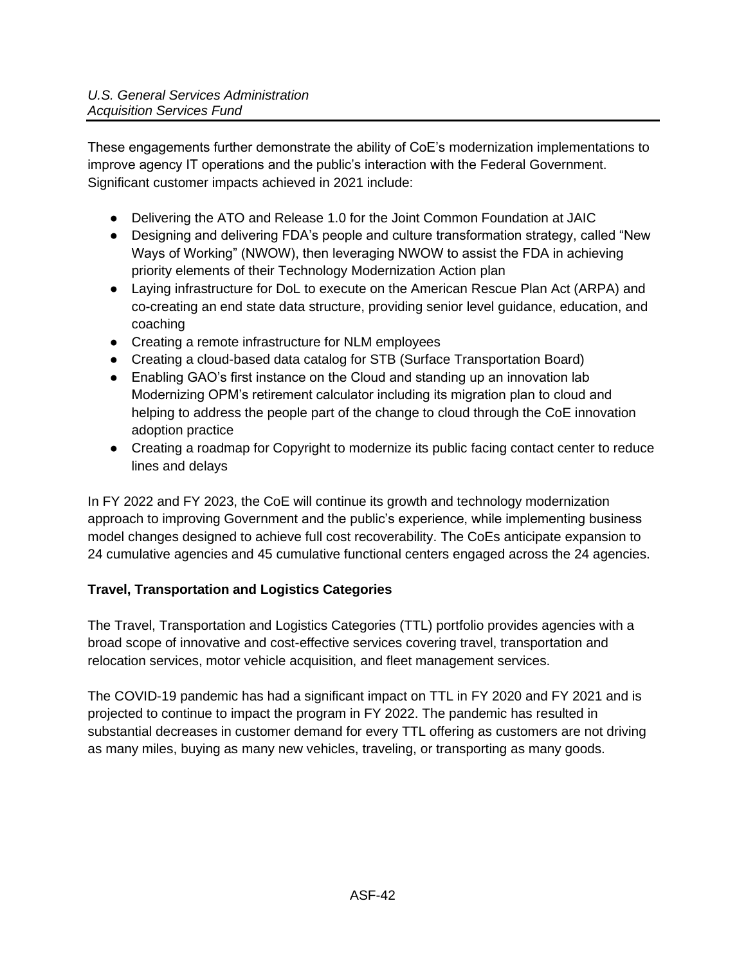These engagements further demonstrate the ability of CoE's modernization implementations to improve agency IT operations and the public's interaction with the Federal Government. Significant customer impacts achieved in 2021 include:

- Delivering the ATO and Release 1.0 for the Joint Common Foundation at JAIC
- Designing and delivering FDA's people and culture transformation strategy, called "New Ways of Working" (NWOW), then leveraging NWOW to assist the FDA in achieving priority elements of their Technology Modernization Action plan
- Laying infrastructure for DoL to execute on the American Rescue Plan Act (ARPA) and co-creating an end state data structure, providing senior level guidance, education, and coaching
- Creating a remote infrastructure for NLM employees
- Creating a cloud-based data catalog for STB (Surface Transportation Board)
- Enabling GAO's first instance on the Cloud and standing up an innovation lab Modernizing OPM's retirement calculator including its migration plan to cloud and helping to address the people part of the change to cloud through the CoE innovation adoption practice
- Creating a roadmap for Copyright to modernize its public facing contact center to reduce lines and delays

In FY 2022 and FY 2023, the CoE will continue its growth and technology modernization approach to improving Government and the public's experience, while implementing business model changes designed to achieve full cost recoverability. The CoEs anticipate expansion to 24 cumulative agencies and 45 cumulative functional centers engaged across the 24 agencies.

# <span id="page-41-0"></span>**Travel, Transportation and Logistics Categories**

The Travel, Transportation and Logistics Categories (TTL) portfolio provides agencies with a broad scope of innovative and cost-effective services covering travel, transportation and relocation services, motor vehicle acquisition, and fleet management services.

The COVID-19 pandemic has had a significant impact on TTL in FY 2020 and FY 2021 and is projected to continue to impact the program in FY 2022. The pandemic has resulted in substantial decreases in customer demand for every TTL offering as customers are not driving as many miles, buying as many new vehicles, traveling, or transporting as many goods.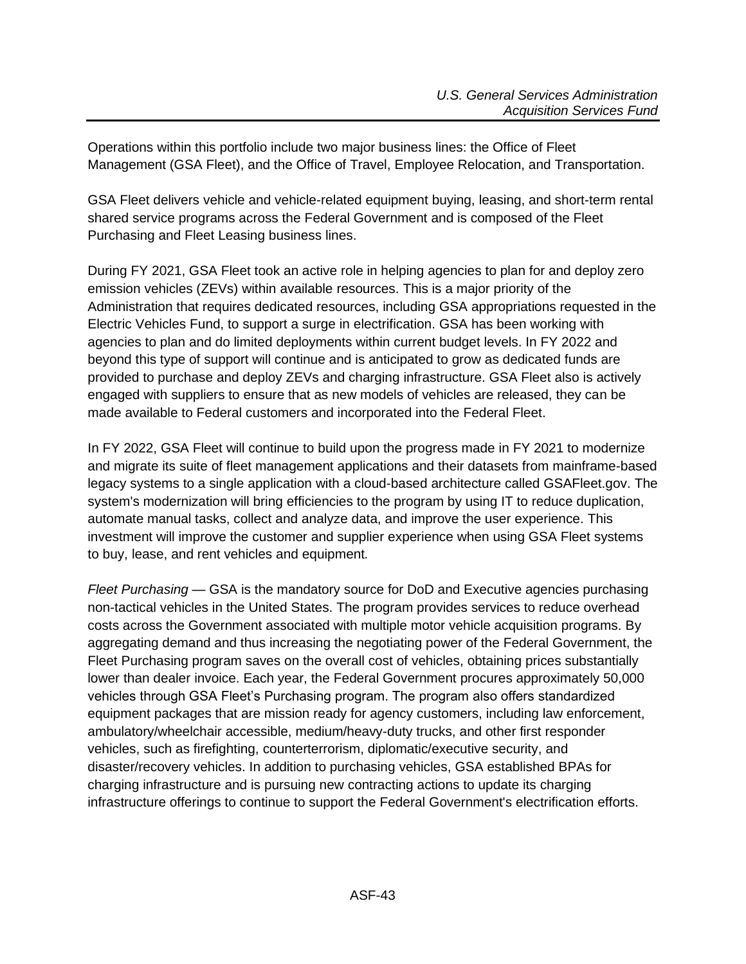Operations within this portfolio include two major business lines: the Office of Fleet Management (GSA Fleet), and the Office of Travel, Employee Relocation, and Transportation.

GSA Fleet delivers vehicle and vehicle-related equipment buying, leasing, and short-term rental shared service programs across the Federal Government and is composed of the Fleet Purchasing and Fleet Leasing business lines.

During FY 2021, GSA Fleet took an active role in helping agencies to plan for and deploy zero emission vehicles (ZEVs) within available resources. This is a major priority of the Administration that requires dedicated resources, including GSA appropriations requested in the Electric Vehicles Fund, to support a surge in electrification. GSA has been working with agencies to plan and do limited deployments within current budget levels. In FY 2022 and beyond this type of support will continue and is anticipated to grow as dedicated funds are provided to purchase and deploy ZEVs and charging infrastructure. GSA Fleet also is actively engaged with suppliers to ensure that as new models of vehicles are released, they can be made available to Federal customers and incorporated into the Federal Fleet.

In FY 2022, GSA Fleet will continue to build upon the progress made in FY 2021 to modernize and migrate its suite of fleet management applications and their datasets from mainframe-based legacy systems to a single application with a cloud-based architecture called GSAFleet.gov. The system's modernization will bring efficiencies to the program by using IT to reduce duplication, automate manual tasks, collect and analyze data, and improve the user experience. This investment will improve the customer and supplier experience when using GSA Fleet systems to buy, lease, and rent vehicles and equipment*.*

*Fleet Purchasing* — GSA is the mandatory source for DoD and Executive agencies purchasing non-tactical vehicles in the United States. The program provides services to reduce overhead costs across the Government associated with multiple motor vehicle acquisition programs. By aggregating demand and thus increasing the negotiating power of the Federal Government, the Fleet Purchasing program saves on the overall cost of vehicles, obtaining prices substantially lower than dealer invoice. Each year, the Federal Government procures approximately 50,000 vehicles through GSA Fleet's Purchasing program. The program also offers standardized equipment packages that are mission ready for agency customers, including law enforcement, ambulatory/wheelchair accessible, medium/heavy-duty trucks, and other first responder vehicles, such as firefighting, counterterrorism, diplomatic/executive security, and disaster/recovery vehicles. In addition to purchasing vehicles, GSA established BPAs for charging infrastructure and is pursuing new contracting actions to update its charging infrastructure offerings to continue to support the Federal Government's electrification efforts.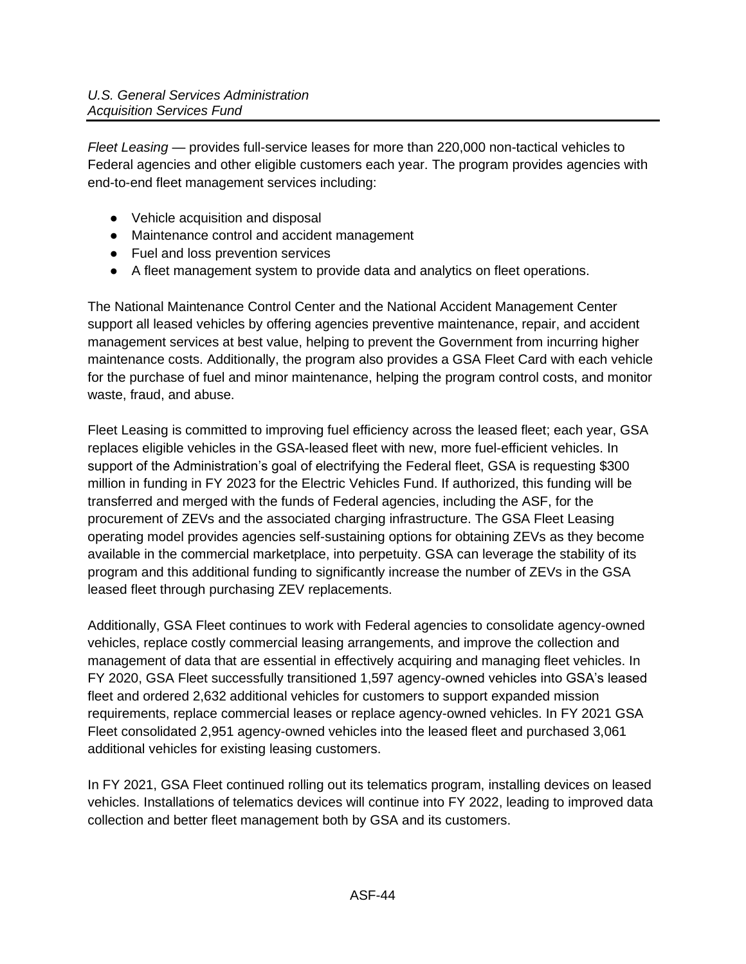*Fleet Leasing* — provides full-service leases for more than 220,000 non-tactical vehicles to Federal agencies and other eligible customers each year. The program provides agencies with end-to-end fleet management services including:

- Vehicle acquisition and disposal
- Maintenance control and accident management
- Fuel and loss prevention services
- A fleet management system to provide data and analytics on fleet operations.

The National Maintenance Control Center and the National Accident Management Center support all leased vehicles by offering agencies preventive maintenance, repair, and accident management services at best value, helping to prevent the Government from incurring higher maintenance costs. Additionally, the program also provides a GSA Fleet Card with each vehicle for the purchase of fuel and minor maintenance, helping the program control costs, and monitor waste, fraud, and abuse.

Fleet Leasing is committed to improving fuel efficiency across the leased fleet; each year, GSA replaces eligible vehicles in the GSA-leased fleet with new, more fuel-efficient vehicles. In support of the Administration's goal of electrifying the Federal fleet, GSA is requesting \$300 million in funding in FY 2023 for the Electric Vehicles Fund. If authorized, this funding will be transferred and merged with the funds of Federal agencies, including the ASF, for the procurement of ZEVs and the associated charging infrastructure. The GSA Fleet Leasing operating model provides agencies self-sustaining options for obtaining ZEVs as they become available in the commercial marketplace, into perpetuity. GSA can leverage the stability of its program and this additional funding to significantly increase the number of ZEVs in the GSA leased fleet through purchasing ZEV replacements.

Additionally, GSA Fleet continues to work with Federal agencies to consolidate agency-owned vehicles, replace costly commercial leasing arrangements, and improve the collection and management of data that are essential in effectively acquiring and managing fleet vehicles. In FY 2020, GSA Fleet successfully transitioned 1,597 agency-owned vehicles into GSA's leased fleet and ordered 2,632 additional vehicles for customers to support expanded mission requirements, replace commercial leases or replace agency-owned vehicles. In FY 2021 GSA Fleet consolidated 2,951 agency-owned vehicles into the leased fleet and purchased 3,061 additional vehicles for existing leasing customers.

In FY 2021, GSA Fleet continued rolling out its telematics program, installing devices on leased vehicles. Installations of telematics devices will continue into FY 2022, leading to improved data collection and better fleet management both by GSA and its customers.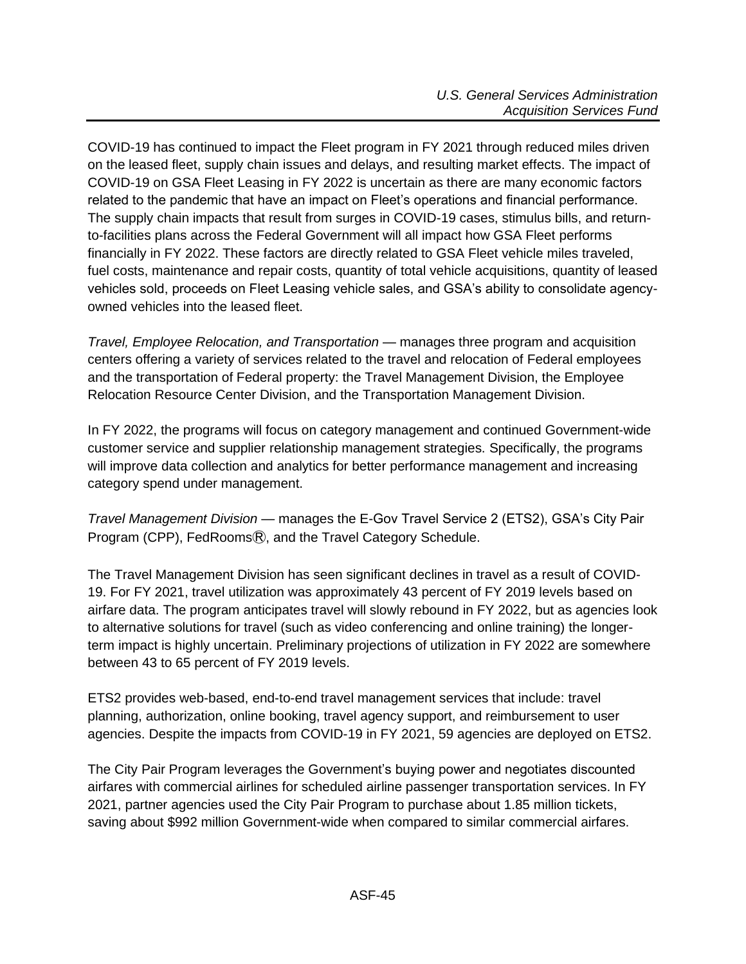COVID-19 has continued to impact the Fleet program in FY 2021 through reduced miles driven on the leased fleet, supply chain issues and delays, and resulting market effects. The impact of COVID-19 on GSA Fleet Leasing in FY 2022 is uncertain as there are many economic factors related to the pandemic that have an impact on Fleet's operations and financial performance. The supply chain impacts that result from surges in COVID-19 cases, stimulus bills, and returnto-facilities plans across the Federal Government will all impact how GSA Fleet performs financially in FY 2022. These factors are directly related to GSA Fleet vehicle miles traveled, fuel costs, maintenance and repair costs, quantity of total vehicle acquisitions, quantity of leased vehicles sold, proceeds on Fleet Leasing vehicle sales, and GSA's ability to consolidate agencyowned vehicles into the leased fleet.

*Travel, Employee Relocation, and Transportation* — manages three program and acquisition centers offering a variety of services related to the travel and relocation of Federal employees and the transportation of Federal property: the Travel Management Division, the Employee Relocation Resource Center Division, and the Transportation Management Division.

In FY 2022, the programs will focus on category management and continued Government-wide customer service and supplier relationship management strategies. Specifically, the programs will improve data collection and analytics for better performance management and increasing category spend under management.

*Travel Management Division* — manages the E-Gov Travel Service 2 (ETS2), GSA's City Pair Program (CPP), FedRoomsⓇ, and the Travel Category Schedule.

The Travel Management Division has seen significant declines in travel as a result of COVID-19. For FY 2021, travel utilization was approximately 43 percent of FY 2019 levels based on airfare data. The program anticipates travel will slowly rebound in FY 2022, but as agencies look to alternative solutions for travel (such as video conferencing and online training) the longerterm impact is highly uncertain. Preliminary projections of utilization in FY 2022 are somewhere between 43 to 65 percent of FY 2019 levels.

ETS2 provides web-based, end-to-end travel management services that include: travel planning, authorization, online booking, travel agency support, and reimbursement to user agencies. Despite the impacts from COVID-19 in FY 2021, 59 agencies are deployed on ETS2.

The City Pair Program leverages the Government's buying power and negotiates discounted airfares with commercial airlines for scheduled airline passenger transportation services. In FY 2021, partner agencies used the City Pair Program to purchase about 1.85 million tickets, saving about \$992 million Government-wide when compared to similar commercial airfares.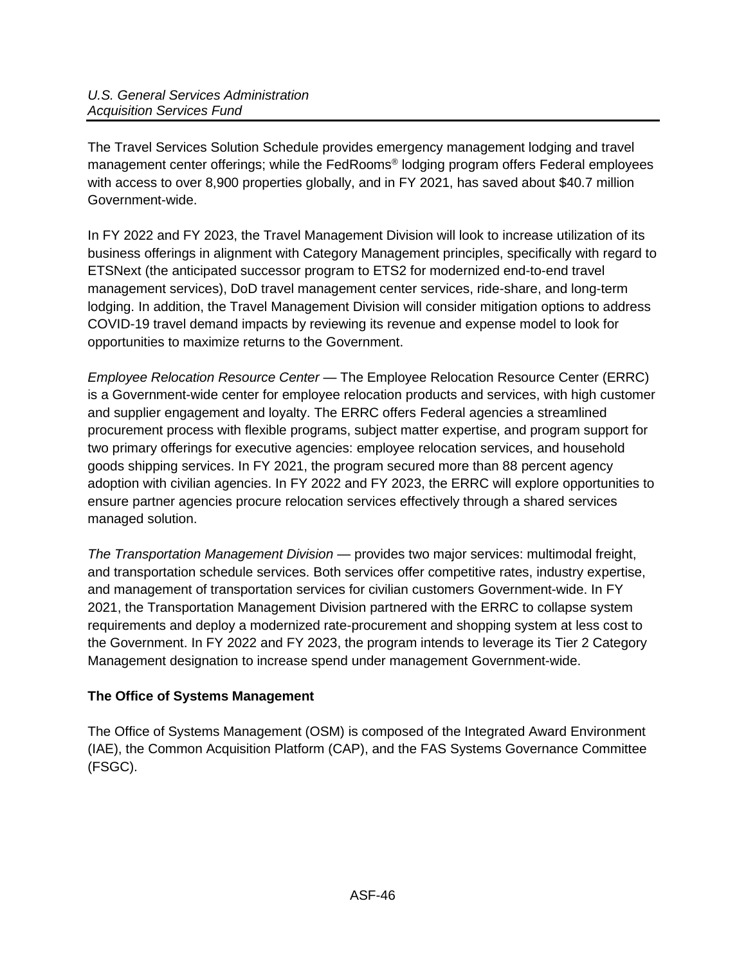The Travel Services Solution Schedule provides emergency management lodging and travel management center offerings; while the FedRooms® lodging program offers Federal employees with access to over 8,900 properties globally, and in FY 2021, has saved about \$40.7 million Government-wide.

In FY 2022 and FY 2023, the Travel Management Division will look to increase utilization of its business offerings in alignment with Category Management principles, specifically with regard to ETSNext (the anticipated successor program to ETS2 for modernized end-to-end travel management services), DoD travel management center services, ride-share, and long-term lodging. In addition, the Travel Management Division will consider mitigation options to address COVID-19 travel demand impacts by reviewing its revenue and expense model to look for opportunities to maximize returns to the Government.

*Employee Relocation Resource Center* — The Employee Relocation Resource Center (ERRC) is a Government-wide center for employee relocation products and services, with high customer and supplier engagement and loyalty. The ERRC offers Federal agencies a streamlined procurement process with flexible programs, subject matter expertise, and program support for two primary offerings for executive agencies: employee relocation services, and household goods shipping services. In FY 2021, the program secured more than 88 percent agency adoption with civilian agencies. In FY 2022 and FY 2023, the ERRC will explore opportunities to ensure partner agencies procure relocation services effectively through a shared services managed solution.

*The Transportation Management Division* — provides two major services: multimodal freight, and transportation schedule services. Both services offer competitive rates, industry expertise, and management of transportation services for civilian customers Government-wide. In FY 2021, the Transportation Management Division partnered with the ERRC to collapse system requirements and deploy a modernized rate-procurement and shopping system at less cost to the Government. In FY 2022 and FY 2023, the program intends to leverage its Tier 2 Category Management designation to increase spend under management Government-wide.

# <span id="page-45-0"></span>**The Office of Systems Management**

The Office of Systems Management (OSM) is composed of the Integrated Award Environment (IAE), the Common Acquisition Platform (CAP), and the FAS Systems Governance Committee (FSGC).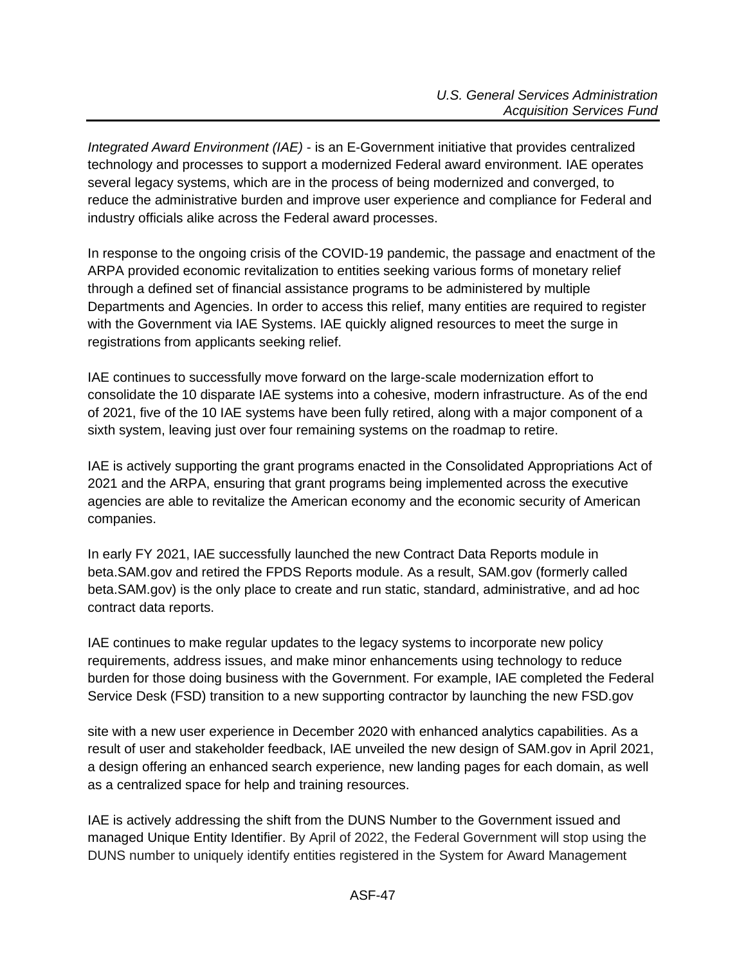*Integrated Award Environment (IAE)* - is an E-Government initiative that provides centralized technology and processes to support a modernized Federal award environment. IAE operates several legacy systems, which are in the process of being modernized and converged, to reduce the administrative burden and improve user experience and compliance for Federal and industry officials alike across the Federal award processes.

In response to the ongoing crisis of the COVID-19 pandemic, the passage and enactment of the ARPA provided economic revitalization to entities seeking various forms of monetary relief through a defined set of financial assistance programs to be administered by multiple Departments and Agencies. In order to access this relief, many entities are required to register with the Government via IAE Systems. IAE quickly aligned resources to meet the surge in registrations from applicants seeking relief.

IAE continues to successfully move forward on the large-scale modernization effort to consolidate the 10 disparate IAE systems into a cohesive, modern infrastructure. As of the end of 2021, five of the 10 IAE systems have been fully retired, along with a major component of a sixth system, leaving just over four remaining systems on the roadmap to retire.

IAE is actively supporting the grant programs enacted in the Consolidated Appropriations Act of 2021 and the ARPA, ensuring that grant programs being implemented across the executive agencies are able to revitalize the American economy and the economic security of American companies.

In early FY 2021, IAE successfully launched the new Contract Data Reports module in beta.SAM.gov and retired the FPDS Reports module. As a result, SAM.gov (formerly called [beta.SAM.gov\)](http://beta.sam.gov/) is the only place to create and run static, standard, administrative, and ad hoc contract data reports.

IAE continues to make regular updates to the legacy systems to incorporate new policy requirements, address issues, and make minor enhancements using technology to reduce burden for those doing business with the Government. For example, IAE completed the Federal Service Desk (FSD) transition to a new supporting contractor by launching the new FSD.gov

site with a new user experience in December 2020 with enhanced analytics capabilities. As a result of user and stakeholder feedback, IAE unveiled the new design of [SAM.gov](http://beta.sam.gov/) in April 2021, a design offering an enhanced search experience, new landing pages for each domain, as well as a centralized space for help and training resources.

IAE is actively addressing the shift from the DUNS Number to the Government issued and managed Unique Entity Identifier. By April of 2022, the Federal Government will stop using the DUNS number to uniquely identify entities registered in the System for Award Management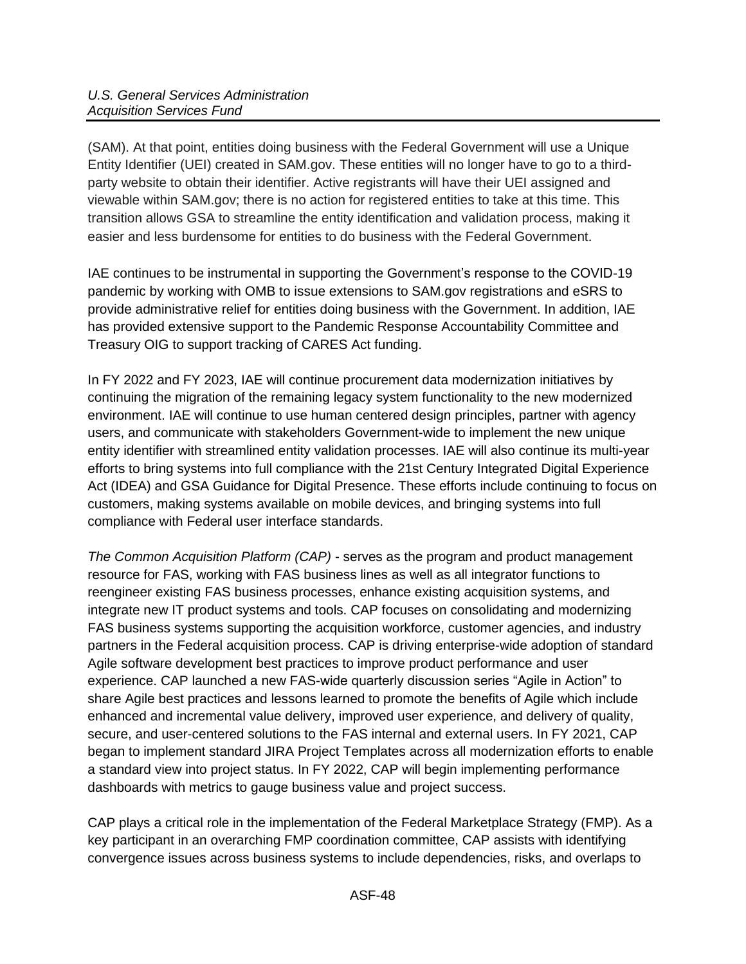(SAM). At that point, entities doing business with the Federal Government will use a Unique Entity Identifier (UEI) created in SAM.gov. These entities will no longer have to go to a thirdparty website to obtain their identifier. Active registrants will have their UEI assigned and viewable within SAM.gov; there is no action for registered entities to take at this time. This transition allows GSA to streamline the entity identification and validation process, making it easier and less burdensome for entities to do business with the Federal Government.

IAE continues to be instrumental in supporting the Government's response to the COVID-19 pandemic by working with OMB to issue extensions to SAM.gov registrations and eSRS to provide administrative relief for entities doing business with the Government. In addition, IAE has provided extensive support to the Pandemic Response Accountability Committee and Treasury OIG to support tracking of CARES Act funding.

In FY 2022 and FY 2023, IAE will continue procurement data modernization initiatives by continuing the migration of the remaining legacy system functionality to the new modernized environment. IAE will continue to use human centered design principles, partner with agency users, and communicate with stakeholders Government-wide to implement the new unique entity identifier with streamlined entity validation processes. IAE will also continue its multi-year efforts to bring systems into full compliance with the 21st Century Integrated Digital Experience Act (IDEA) and GSA Guidance for Digital Presence. These efforts include continuing to focus on customers, making systems available on mobile devices, and bringing systems into full compliance with Federal user interface standards.

*The Common Acquisition Platform (CAP)* - serves as the program and product management resource for FAS, working with FAS business lines as well as all integrator functions to reengineer existing FAS business processes, enhance existing acquisition systems, and integrate new IT product systems and tools. CAP focuses on consolidating and modernizing FAS business systems supporting the acquisition workforce, customer agencies, and industry partners in the Federal acquisition process. CAP is driving enterprise-wide adoption of standard Agile software development best practices to improve product performance and user experience. CAP launched a new FAS-wide quarterly discussion series "Agile in Action" to share Agile best practices and lessons learned to promote the benefits of Agile which include enhanced and incremental value delivery, improved user experience, and delivery of quality, secure, and user-centered solutions to the FAS internal and external users. In FY 2021, CAP began to implement standard JIRA Project Templates across all modernization efforts to enable a standard view into project status. In FY 2022, CAP will begin implementing performance dashboards with metrics to gauge business value and project success.

CAP plays a critical role in the implementation of the Federal Marketplace Strategy (FMP). As a key participant in an overarching FMP coordination committee, CAP assists with identifying convergence issues across business systems to include dependencies, risks, and overlaps to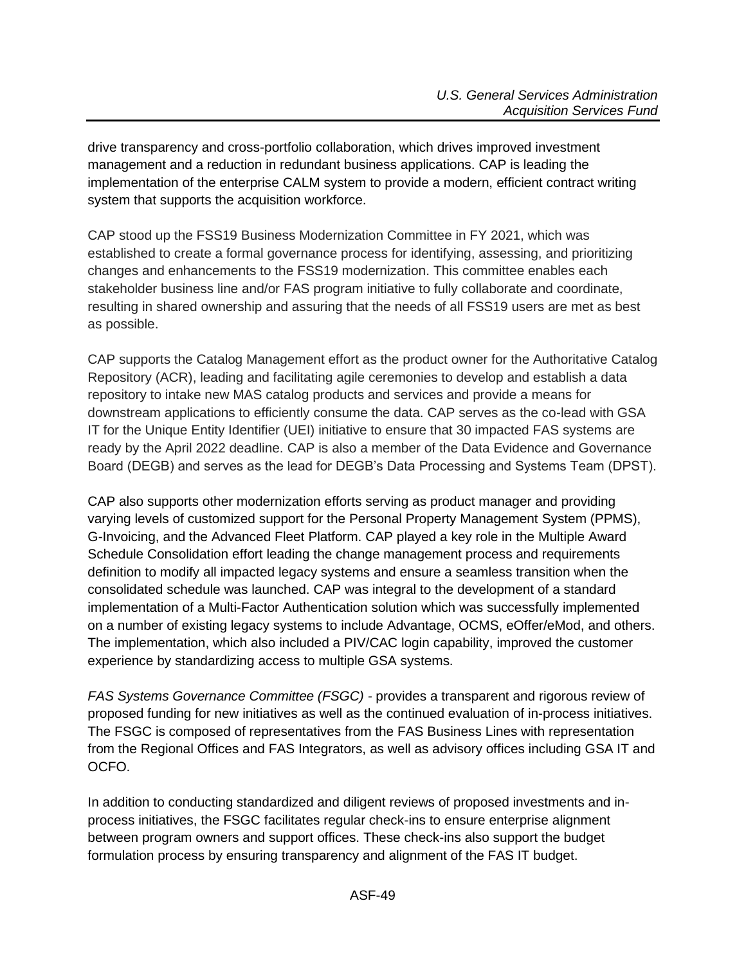drive transparency and cross-portfolio collaboration, which drives improved investment management and a reduction in redundant business applications. CAP is leading the implementation of the enterprise CALM system to provide a modern, efficient contract writing system that supports the acquisition workforce.

CAP stood up the FSS19 Business Modernization Committee in FY 2021, which was established to create a formal governance process for identifying, assessing, and prioritizing changes and enhancements to the FSS19 modernization. This committee enables each stakeholder business line and/or FAS program initiative to fully collaborate and coordinate, resulting in shared ownership and assuring that the needs of all FSS19 users are met as best as possible.

CAP supports the Catalog Management effort as the product owner for the Authoritative Catalog Repository (ACR), leading and facilitating agile ceremonies to develop and establish a data repository to intake new MAS catalog products and services and provide a means for downstream applications to efficiently consume the data. CAP serves as the co-lead with GSA IT for the Unique Entity Identifier (UEI) initiative to ensure that 30 impacted FAS systems are ready by the April 2022 deadline. CAP is also a member of the Data Evidence and Governance Board (DEGB) and serves as the lead for DEGB's Data Processing and Systems Team (DPST).

CAP also supports other modernization efforts serving as product manager and providing varying levels of customized support for the Personal Property Management System (PPMS), G-Invoicing, and the Advanced Fleet Platform. CAP played a key role in the Multiple Award Schedule Consolidation effort leading the change management process and requirements definition to modify all impacted legacy systems and ensure a seamless transition when the consolidated schedule was launched. CAP was integral to the development of a standard implementation of a Multi-Factor Authentication solution which was successfully implemented on a number of existing legacy systems to include Advantage, OCMS, eOffer/eMod, and others. The implementation, which also included a PIV/CAC login capability, improved the customer experience by standardizing access to multiple GSA systems.

*FAS Systems Governance Committee (FSGC) -* provides a transparent and rigorous review of proposed funding for new initiatives as well as the continued evaluation of in-process initiatives. The FSGC is composed of representatives from the FAS Business Lines with representation from the Regional Offices and FAS Integrators, as well as advisory offices including GSA IT and OCFO.

In addition to conducting standardized and diligent reviews of proposed investments and inprocess initiatives, the FSGC facilitates regular check-ins to ensure enterprise alignment between program owners and support offices. These check-ins also support the budget formulation process by ensuring transparency and alignment of the FAS IT budget.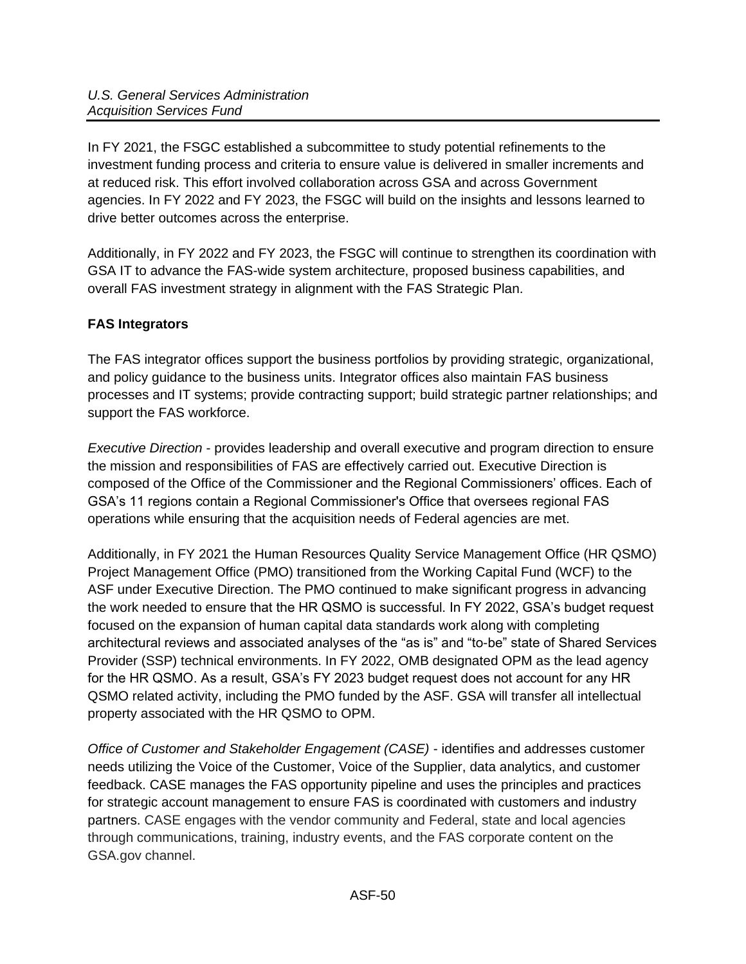In FY 2021, the FSGC established a subcommittee to study potential refinements to the investment funding process and criteria to ensure value is delivered in smaller increments and at reduced risk. This effort involved collaboration across GSA and across Government agencies. In FY 2022 and FY 2023, the FSGC will build on the insights and lessons learned to drive better outcomes across the enterprise.

Additionally, in FY 2022 and FY 2023, the FSGC will continue to strengthen its coordination with GSA IT to advance the FAS-wide system architecture, proposed business capabilities, and overall FAS investment strategy in alignment with the FAS Strategic Plan.

# <span id="page-49-0"></span>**FAS Integrators**

The FAS integrator offices support the business portfolios by providing strategic, organizational, and policy guidance to the business units. Integrator offices also maintain FAS business processes and IT systems; provide contracting support; build strategic partner relationships; and support the FAS workforce.

*Executive Direction* - provides leadership and overall executive and program direction to ensure the mission and responsibilities of FAS are effectively carried out. Executive Direction is composed of the Office of the Commissioner and the Regional Commissioners' offices. Each of GSA's 11 regions contain a Regional Commissioner's Office that oversees regional FAS operations while ensuring that the acquisition needs of Federal agencies are met.

Additionally, in FY 2021 the Human Resources Quality Service Management Office (HR QSMO) Project Management Office (PMO) transitioned from the Working Capital Fund (WCF) to the ASF under Executive Direction. The PMO continued to make significant progress in advancing the work needed to ensure that the HR QSMO is successful. In FY 2022, GSA's budget request focused on the expansion of human capital data standards work along with completing architectural reviews and associated analyses of the "as is" and "to-be" state of Shared Services Provider (SSP) technical environments. In FY 2022, OMB designated OPM as the lead agency for the HR QSMO. As a result, GSA's FY 2023 budget request does not account for any HR QSMO related activity, including the PMO funded by the ASF. GSA will transfer all intellectual property associated with the HR QSMO to OPM.

*Office of Customer and Stakeholder Engagement (CASE)* - identifies and addresses customer needs utilizing the Voice of the Customer, Voice of the Supplier, data analytics, and customer feedback. CASE manages the FAS opportunity pipeline and uses the principles and practices for strategic account management to ensure FAS is coordinated with customers and industry partners. CASE engages with the vendor community and Federal, state and local agencies through communications, training, industry events, and the FAS corporate content on the GSA.gov channel.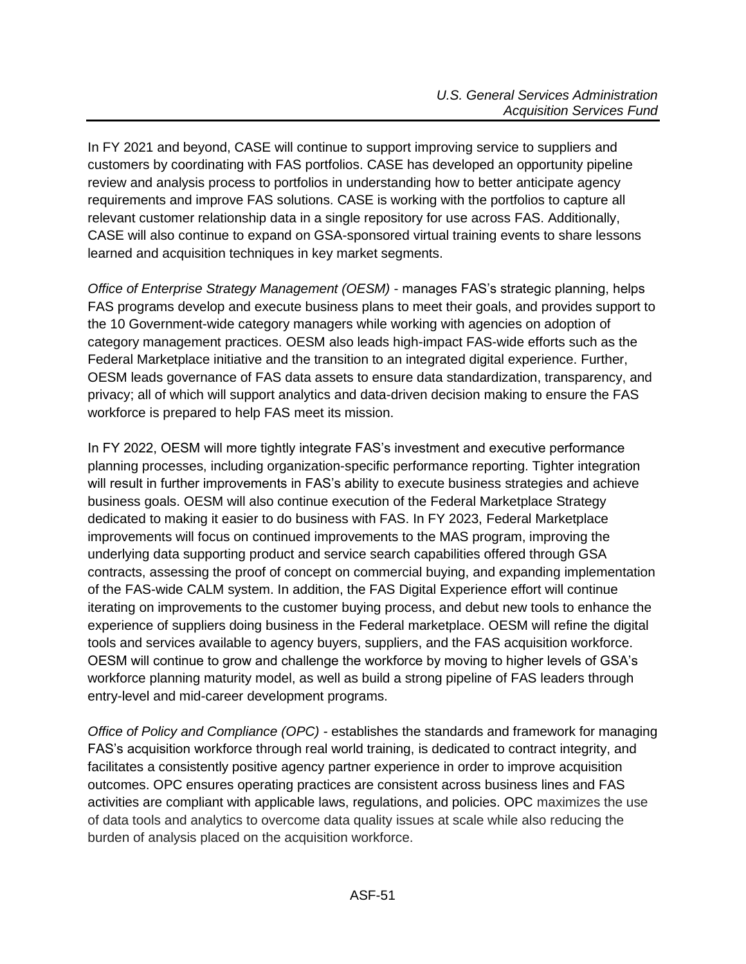In FY 2021 and beyond, CASE will continue to support improving service to suppliers and customers by coordinating with FAS portfolios. CASE has developed an opportunity pipeline review and analysis process to portfolios in understanding how to better anticipate agency requirements and improve FAS solutions. CASE is working with the portfolios to capture all relevant customer relationship data in a single repository for use across FAS. Additionally, CASE will also continue to expand on GSA-sponsored virtual training events to share lessons learned and acquisition techniques in key market segments.

*Office of Enterprise Strategy Management (OESM)* - manages FAS's strategic planning, helps FAS programs develop and execute business plans to meet their goals, and provides support to the 10 Government-wide category managers while working with agencies on adoption of category management practices. OESM also leads high-impact FAS-wide efforts such as the Federal Marketplace initiative and the transition to an integrated digital experience. Further, OESM leads governance of FAS data assets to ensure data standardization, transparency, and privacy; all of which will support analytics and data-driven decision making to ensure the FAS workforce is prepared to help FAS meet its mission.

In FY 2022, OESM will more tightly integrate FAS's investment and executive performance planning processes, including organization-specific performance reporting. Tighter integration will result in further improvements in FAS's ability to execute business strategies and achieve business goals. OESM will also continue execution of the Federal Marketplace Strategy dedicated to making it easier to do business with FAS. In FY 2023, Federal Marketplace improvements will focus on continued improvements to the MAS program, improving the underlying data supporting product and service search capabilities offered through GSA contracts, assessing the proof of concept on commercial buying, and expanding implementation of the FAS-wide CALM system. In addition, the FAS Digital Experience effort will continue iterating on improvements to the customer buying process, and debut new tools to enhance the experience of suppliers doing business in the Federal marketplace. OESM will refine the digital tools and services available to agency buyers, suppliers, and the FAS acquisition workforce. OESM will continue to grow and challenge the workforce by moving to higher levels of GSA's workforce planning maturity model, as well as build a strong pipeline of FAS leaders through entry-level and mid-career development programs.

*Office of Policy and Compliance (OPC) -* establishes the standards and framework for managing FAS's acquisition workforce through real world training, is dedicated to contract integrity, and facilitates a consistently positive agency partner experience in order to improve acquisition outcomes. OPC ensures operating practices are consistent across business lines and FAS activities are compliant with applicable laws, regulations, and policies. OPC maximizes the use of data tools and analytics to overcome data quality issues at scale while also reducing the burden of analysis placed on the acquisition workforce.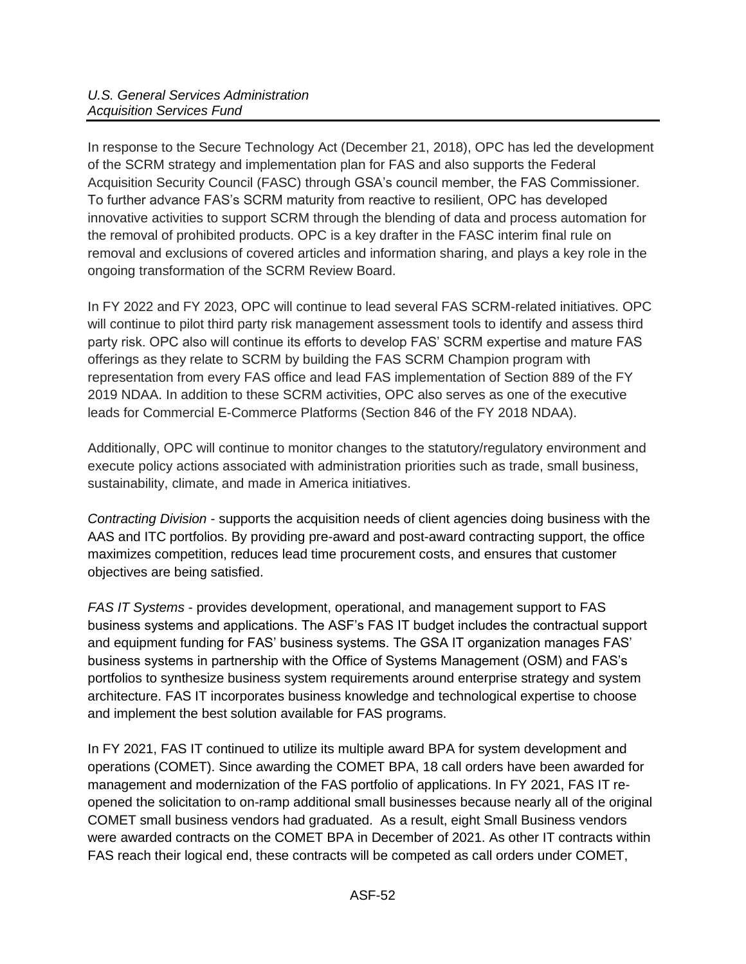In response to the Secure Technology Act (December 21, 2018), OPC has led the development of the SCRM strategy and implementation plan for FAS and also supports the Federal Acquisition Security Council (FASC) through GSA's council member, the FAS Commissioner. To further advance FAS's SCRM maturity from reactive to resilient, OPC has developed innovative activities to support SCRM through the blending of data and process automation for the removal of prohibited products. OPC is a key drafter in the FASC interim final rule on removal and exclusions of covered articles and information sharing, and plays a key role in the ongoing transformation of the SCRM Review Board.

In FY 2022 and FY 2023, OPC will continue to lead several FAS SCRM-related initiatives. OPC will continue to pilot third party risk management assessment tools to identify and assess third party risk. OPC also will continue its efforts to develop FAS' SCRM expertise and mature FAS offerings as they relate to SCRM by building the FAS SCRM Champion program with representation from every FAS office and lead FAS implementation of Section 889 of the FY 2019 NDAA. In addition to these SCRM activities, OPC also serves as one of the executive leads for Commercial E-Commerce Platforms (Section 846 of the FY 2018 NDAA).

Additionally, OPC will continue to monitor changes to the statutory/regulatory environment and execute policy actions associated with administration priorities such as trade, small business, sustainability, climate, and made in America initiatives.

*Contracting Division* - supports the acquisition needs of client agencies doing business with the AAS and ITC portfolios. By providing pre-award and post-award contracting support, the office maximizes competition, reduces lead time procurement costs, and ensures that customer objectives are being satisfied.

*FAS IT Systems* - provides development, operational, and management support to FAS business systems and applications. The ASF's FAS IT budget includes the contractual support and equipment funding for FAS' business systems. The GSA IT organization manages FAS' business systems in partnership with the Office of Systems Management (OSM) and FAS's portfolios to synthesize business system requirements around enterprise strategy and system architecture. FAS IT incorporates business knowledge and technological expertise to choose and implement the best solution available for FAS programs.

In FY 2021, FAS IT continued to utilize its multiple award BPA for system development and operations (COMET). Since awarding the COMET BPA, 18 call orders have been awarded for management and modernization of the FAS portfolio of applications. In FY 2021, FAS IT reopened the solicitation to on-ramp additional small businesses because nearly all of the original COMET small business vendors had graduated. As a result, eight Small Business vendors were awarded contracts on the COMET BPA in December of 2021. As other IT contracts within FAS reach their logical end, these contracts will be competed as call orders under COMET,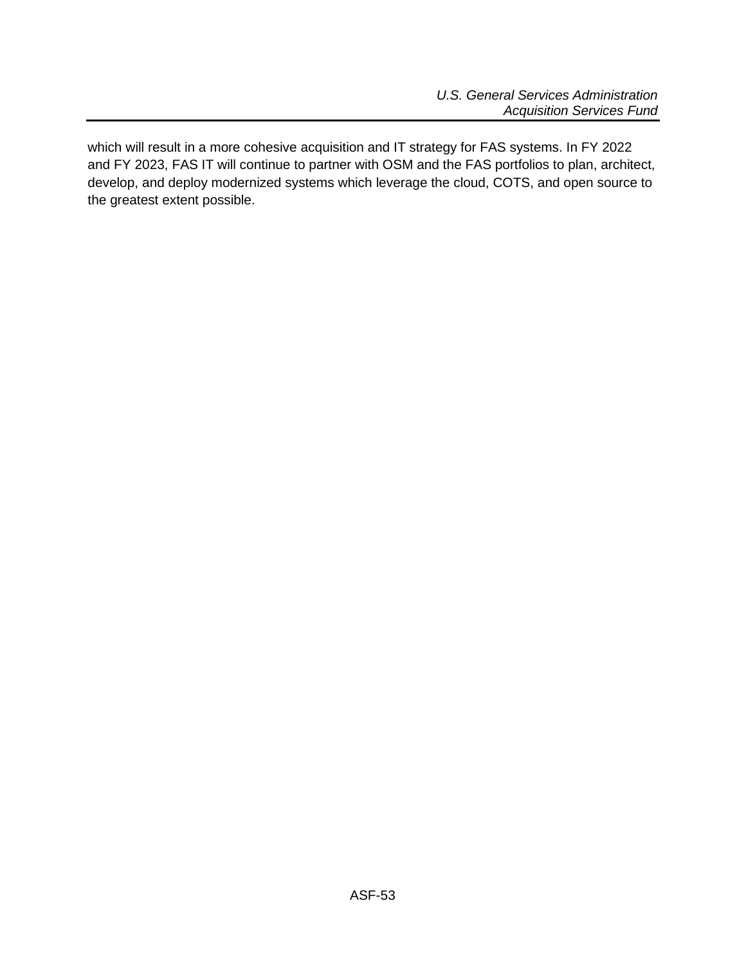which will result in a more cohesive acquisition and IT strategy for FAS systems. In FY 2022 and FY 2023, FAS IT will continue to partner with OSM and the FAS portfolios to plan, architect, develop, and deploy modernized systems which leverage the cloud, COTS, and open source to the greatest extent possible.